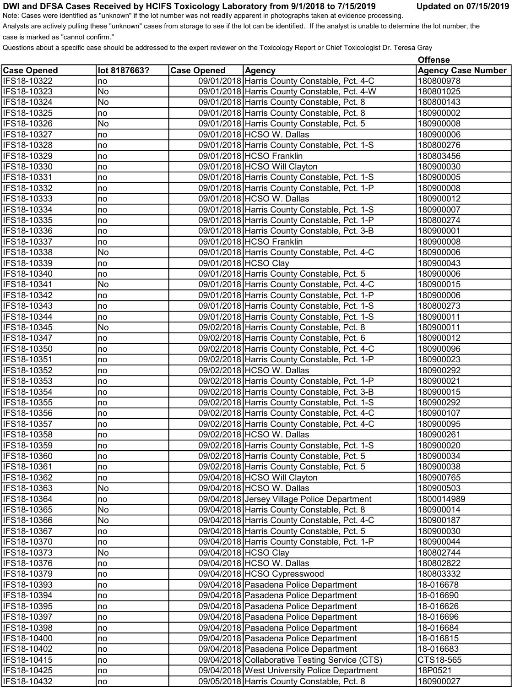## DWI and DFSA Cases Received by HCIFS Toxicology Laboratory from 9/1/2018 to 7/15/2019 Updated on 07/15/2019

Questions about a specific case should be addressed to the expert reviewer on the Toxicology Report or Chief Toxicologist Dr. Teresa Gray

|  | <b>Updated on 07/15/2019</b> |
|--|------------------------------|
|--|------------------------------|

|                    |              |                    |                                                | <b>Offense</b>            |
|--------------------|--------------|--------------------|------------------------------------------------|---------------------------|
| <b>Case Opened</b> | lot 8187663? | <b>Case Opened</b> | <b>Agency</b>                                  | <b>Agency Case Number</b> |
| IFS18-10322        | no           |                    | 09/01/2018 Harris County Constable, Pct. 4-C   | 180800978                 |
| IFS18-10323        | No           |                    | 09/01/2018 Harris County Constable, Pct. 4-W   | 180801025                 |
| IFS18-10324        | No           |                    | 09/01/2018 Harris County Constable, Pct. 8     | 180800143                 |
| IFS18-10325        | no           |                    | 09/01/2018 Harris County Constable, Pct. 8     | 180900002                 |
| IFS18-10326        | No           |                    | 09/01/2018 Harris County Constable, Pct. 5     | 180900008                 |
| IFS18-10327        | no           |                    | 09/01/2018 HCSO W. Dallas                      | 180900006                 |
| IFS18-10328        | no           |                    | 09/01/2018 Harris County Constable, Pct. 1-S   | 180800276                 |
| IFS18-10329        | no           |                    | 09/01/2018 HCSO Franklin                       | 180803456                 |
| IFS18-10330        | no           |                    | 09/01/2018 HCSO Will Clayton                   | 180900030                 |
| IFS18-10331        | no           |                    | 09/01/2018 Harris County Constable, Pct. 1-S   | 180900005                 |
| IFS18-10332        | no           |                    | 09/01/2018 Harris County Constable, Pct. 1-P   | 180900008                 |
| IFS18-10333        | no           |                    | 09/01/2018 HCSO W. Dallas                      | 180900012                 |
| IFS18-10334        | no           |                    | 09/01/2018 Harris County Constable, Pct. 1-S   | 180900007                 |
| IFS18-10335        | no           |                    | 09/01/2018 Harris County Constable, Pct. 1-P   | 180800274                 |
| IFS18-10336        | no           |                    | 09/01/2018 Harris County Constable, Pct. 3-B   | 180900001                 |
| IFS18-10337        | no           |                    | 09/01/2018 HCSO Franklin                       | 180900008                 |
| IFS18-10338        | No           |                    | 09/01/2018 Harris County Constable, Pct. 4-C   | 180900006                 |
| IFS18-10339        | no           |                    | 09/01/2018 HCSO Clay                           | 180900043                 |
| IFS18-10340        | no           |                    | 09/01/2018 Harris County Constable, Pct. 5     | 180900006                 |
| IFS18-10341        | No           |                    | 09/01/2018 Harris County Constable, Pct. 4-C   | 180900015                 |
| IFS18-10342        | no           |                    | 09/01/2018 Harris County Constable, Pct. 1-P   | 180900006                 |
| IFS18-10343        | no           |                    | 09/01/2018 Harris County Constable, Pct. 1-S   | 180800273                 |
| IFS18-10344        | no           |                    | 09/01/2018 Harris County Constable, Pct. 1-S   | 180900011                 |
| IFS18-10345        | No           |                    | 09/02/2018 Harris County Constable, Pct. 8     | 180900011                 |
| IFS18-10347        | no           |                    | 09/02/2018 Harris County Constable, Pct. 6     | 180900012                 |
| IFS18-10350        | no           |                    | 09/02/2018 Harris County Constable, Pct. 4-C   | 180900096                 |
| IFS18-10351        | no           |                    | 09/02/2018 Harris County Constable, Pct. 1-P   | 180900023                 |
| IFS18-10352        | no           |                    | 09/02/2018 HCSO W. Dallas                      | 180900292                 |
| IFS18-10353        | no           |                    | 09/02/2018 Harris County Constable, Pct. 1-P   | 180900021                 |
| IFS18-10354        | no           |                    | 09/02/2018 Harris County Constable, Pct. 3-B   | 180900015                 |
| IFS18-10355        | no           |                    | 09/02/2018 Harris County Constable, Pct. 1-S   | 180900292                 |
| IFS18-10356        | no           |                    | 09/02/2018 Harris County Constable, Pct. 4-C   | 180900107                 |
| IFS18-10357        | no           |                    | 09/02/2018 Harris County Constable, Pct. 4-C   | 180900095                 |
| IFS18-10358        | no           |                    | 09/02/2018 HCSO W. Dallas                      | 180900261                 |
| IFS18-10359        | no           |                    | 09/02/2018 Harris County Constable, Pct. 1-S   | 180900020                 |
| IFS18-10360        | no           |                    | 09/02/2018 Harris County Constable, Pct. 5     | 180900034                 |
| IFS18-10361        | no           |                    | 09/02/2018 Harris County Constable, Pct. 5     | 180900038                 |
| IFS18-10362        | no           |                    | 09/04/2018 HCSO Will Clayton                   | 180900765                 |
| IFS18-10363        | No           |                    | 09/04/2018 HCSO W. Dallas                      | 180900503                 |
| IFS18-10364        | no           |                    | 09/04/2018 Jersey Village Police Department    | 1800014989                |
| IFS18-10365        | No           |                    | 09/04/2018 Harris County Constable, Pct. 8     | 180900014                 |
| IFS18-10366        | No           |                    | 09/04/2018 Harris County Constable, Pct. 4-C   | 180900187                 |
| IFS18-10367        | no           |                    | 09/04/2018 Harris County Constable, Pct. 5     | 180900030                 |
| IFS18-10370        | no           |                    | 09/04/2018 Harris County Constable, Pct. 1-P   | 180900044                 |
| IFS18-10373        | No           |                    | 09/04/2018 HCSO Clay                           | 180802744                 |
| IFS18-10376        | no           |                    | 09/04/2018 HCSO W. Dallas                      | 180802822                 |
| IFS18-10379        | no           |                    | 09/04/2018 HCSO Cypresswood                    | 180803332                 |
| IFS18-10393        | no           |                    | 09/04/2018 Pasadena Police Department          | 18-016678                 |
| IFS18-10394        | no           |                    | 09/04/2018 Pasadena Police Department          | 18-016690                 |
| IFS18-10395        | no           |                    | 09/04/2018 Pasadena Police Department          | 18-016626                 |
| IFS18-10397        | no           |                    | 09/04/2018 Pasadena Police Department          | 18-016696                 |
| IFS18-10398        | no           |                    | 09/04/2018 Pasadena Police Department          | 18-016684                 |
| IFS18-10400        | no           |                    | 09/04/2018 Pasadena Police Department          | 18-016815                 |
| IFS18-10402        | no           |                    | 09/04/2018 Pasadena Police Department          | 18-016683                 |
| IFS18-10415        | no           |                    | 09/04/2018 Collaborative Testing Service (CTS) | CTS18-565                 |
| IFS18-10425        | no           |                    | 09/04/2018 West University Police Department   | 18P0521                   |
| IFS18-10432        | no           |                    | 09/05/2018 Harris County Constable, Pct. 8     | 180900027                 |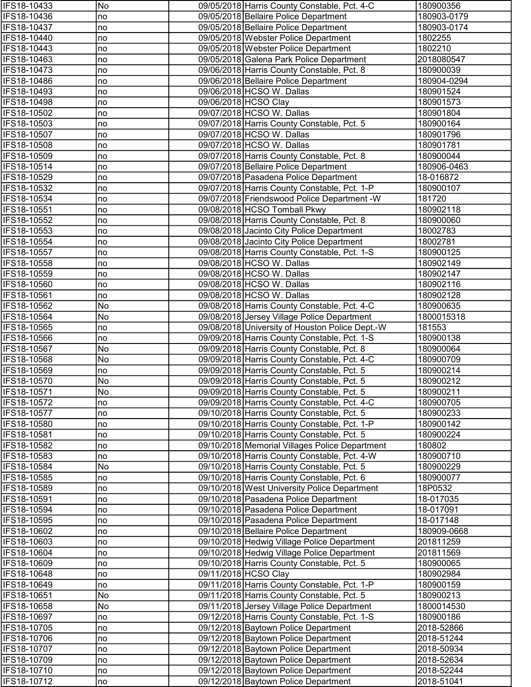| IFS18-10433                | No       | 09/05/2018 Harris County Constable, Pct. 4-C                                                   | 180900356              |
|----------------------------|----------|------------------------------------------------------------------------------------------------|------------------------|
| IFS18-10436                | no       | 09/05/2018 Bellaire Police Department                                                          | 180903-0179            |
| IFS18-10437                | no       | 09/05/2018 Bellaire Police Department                                                          | 180903-0174            |
| IFS18-10440                | no       | 09/05/2018 Webster Police Department                                                           | 1802255                |
| IFS18-10443                | no       | 09/05/2018 Webster Police Department                                                           | 1802210                |
| IFS18-10463                | no       | 09/05/2018 Galena Park Police Department                                                       | 2018080547             |
| IFS18-10473                | no       | 09/06/2018 Harris County Constable, Pct. 8                                                     | 180900039              |
| IFS18-10486                | no       | 09/06/2018 Bellaire Police Department                                                          | 180904-0294            |
| IFS18-10493                | no       | 09/06/2018 HCSO W. Dallas                                                                      | 180901524              |
| IFS18-10498                | no       | 09/06/2018 HCSO Clay                                                                           | 180901573              |
| IFS18-10502                | no       | 09/07/2018 HCSO W. Dallas                                                                      | 180901804              |
| IFS18-10503                | no       | 09/07/2018 Harris County Constable, Pct. 5                                                     | 180900164              |
| IFS18-10507                | no       | 09/07/2018 HCSO W. Dallas                                                                      | 180901796              |
| IFS18-10508                | no       | 09/07/2018 HCSO W. Dallas                                                                      | 180901781              |
| IFS18-10509                | no       | 09/07/2018 Harris County Constable, Pct. 8                                                     | 180900044              |
| IFS18-10514                | no       | 09/07/2018 Bellaire Police Department                                                          | 180906-0463            |
| IFS18-10529                | no       | 09/07/2018 Pasadena Police Department                                                          | 18-016872              |
| IFS18-10532                | no       | 09/07/2018 Harris County Constable, Pct. 1-P                                                   | 180900107              |
| IFS18-10534                | no       | 09/07/2018 Friendswood Police Department -W                                                    | 181720                 |
| IFS18-10551                | no       | 09/08/2018 HCSO Tomball Pkwy                                                                   | 180902118              |
| IFS18-10552                | no       | 09/08/2018 Harris County Constable, Pct. 8                                                     | 180900060              |
| IFS18-10553                | no       | 09/08/2018 Jacinto City Police Department                                                      | 18002783               |
| IFS18-10554                | no       | 09/08/2018 Jacinto City Police Department                                                      | 18002781               |
| IFS18-10557                | no       | 09/08/2018 Harris County Constable, Pct. 1-S                                                   | 180900125              |
| IFS18-10558                | no       | 09/08/2018 HCSO W. Dallas                                                                      | 180902149              |
| IFS18-10559                | no       | 09/08/2018 HCSO W. Dallas                                                                      | 180902147              |
| IFS18-10560                | no       | 09/08/2018 HCSO W. Dallas                                                                      | 180902116              |
| IFS18-10561                | no       | 09/08/2018 HCSO W. Dallas                                                                      | 180902128              |
| IFS18-10562                | No       | 09/08/2018 Harris County Constable, Pct. 4-C                                                   | 180900635              |
| IFS18-10564                | No       | 09/08/2018 Jersey Village Police Department                                                    | 1800015318             |
| IFS18-10565                | no       | 09/08/2018 University of Houston Police Dept.-W                                                | 181553                 |
| IFS18-10566                | no       | 09/09/2018 Harris County Constable, Pct. 1-S                                                   | 180900138              |
| IFS18-10567                | No       | 09/09/2018 Harris County Constable, Pct. 8                                                     | 180900064              |
| IFS18-10568                | No       | 09/09/2018 Harris County Constable, Pct. 4-C                                                   | 180900709              |
| IFS18-10569                | no       | 09/09/2018 Harris County Constable, Pct. 5                                                     | 180900214              |
| IFS18-10570                | No       | 09/09/2018 Harris County Constable, Pct. 5                                                     | 180900212              |
| <b>IFS18-10571</b>         | No       | 09/09/2018 Harris County Constable, Pct. 5                                                     | 180900211              |
| IFS18-10572                | no       | 09/09/2018 Harris County Constable, Pct. 4-C                                                   | 180900705              |
| IFS18-10577                | no       | 09/10/2018 Harris County Constable, Pct. 5                                                     | 180900233              |
| IFS18-10580<br>IFS18-10581 | no       | 09/10/2018 Harris County Constable, Pct. 1-P                                                   | 180900142<br>180900224 |
|                            | no       | 09/10/2018 Harris County Constable, Pct. 5                                                     |                        |
| IFS18-10582<br>IFS18-10583 | no       | 09/10/2018 Memorial Villages Police Department<br>09/10/2018 Harris County Constable, Pct. 4-W | 180802<br>180900710    |
| IFS18-10584                | no<br>No | 09/10/2018 Harris County Constable, Pct. 5                                                     | 180900229              |
| IFS18-10585                | no       | 09/10/2018 Harris County Constable, Pct. 6                                                     | 180900077              |
| IFS18-10589                | no       | 09/10/2018 West University Police Department                                                   | 18P0532                |
| IFS18-10591                | no       | 09/10/2018 Pasadena Police Department                                                          | 18-017035              |
| IFS18-10594                | no       | 09/10/2018 Pasadena Police Department                                                          | 18-017091              |
| IFS18-10595                | no       | 09/10/2018 Pasadena Police Department                                                          | 18-017148              |
| IFS18-10602                | no       | 09/10/2018 Bellaire Police Department                                                          | 180909-0668            |
| IFS18-10603                | no       | 09/10/2018 Hedwig Village Police Department                                                    | 201811259              |
| IFS18-10604                | no       | 09/10/2018 Hedwig Village Police Department                                                    | 201811569              |
| IFS18-10609                | no       | 09/10/2018 Harris County Constable, Pct. 5                                                     | 180900065              |
| IFS18-10648                | no       | 09/11/2018 HCSO Clay                                                                           | 180902984              |
| IFS18-10649                | no       | 09/11/2018 Harris County Constable, Pct. 1-P                                                   | 180900159              |
| IFS18-10651                | No       | 09/11/2018 Harris County Constable, Pct. 5                                                     | 180900213              |
| IFS18-10658                | No       | 09/11/2018 Jersey Village Police Department                                                    | 1800014530             |
| IFS18-10697                | no       | 09/12/2018 Harris County Constable, Pct. 1-S                                                   | 180900186              |
| IFS18-10705                | no       | 09/12/2018 Baytown Police Department                                                           | 2018-52866             |
| IFS18-10706                | no       | 09/12/2018 Baytown Police Department                                                           | 2018-51244             |
| IFS18-10707                | no       | 09/12/2018 Baytown Police Department                                                           | 2018-50934             |
| IFS18-10709                | no       | 09/12/2018 Baytown Police Department                                                           | 2018-52634             |
| IFS18-10710                | no       | 09/12/2018 Baytown Police Department                                                           | 2018-52244             |
| IFS18-10712                | no       | 09/12/2018 Baytown Police Department                                                           | 2018-51041             |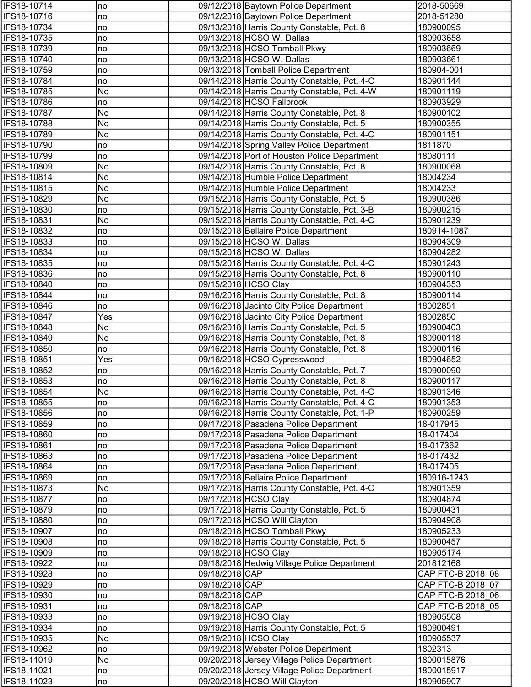| <b>IFS18-10714</b>         | no        |                | 09/12/2018 Baytown Police Department                                                     | 2018-50669             |
|----------------------------|-----------|----------------|------------------------------------------------------------------------------------------|------------------------|
| IFS18-10716                | no        |                | 09/12/2018 Baytown Police Department                                                     | 2018-51280             |
| IFS18-10734                | no        |                | 09/13/2018 Harris County Constable, Pct. 8                                               | 180900095              |
| IFS18-10735                | no        |                | 09/13/2018 HCSO W. Dallas                                                                | 180903658              |
| IFS18-10739                | no        |                | 09/13/2018 HCSO Tomball Pkwy                                                             | 180903669              |
| IFS18-10740                | no        |                | 09/13/2018 HCSO W. Dallas                                                                | 180903661              |
| IFS18-10759                | no        |                | 09/13/2018 Tomball Police Department                                                     | 180904-001             |
| IFS18-10784                | no        |                | 09/14/2018 Harris County Constable, Pct. 4-C                                             | 180901144              |
| IFS18-10785                | No        |                | 09/14/2018 Harris County Constable, Pct. 4-W                                             | 180901119              |
| IFS18-10786                | no        |                | 09/14/2018 HCSO Fallbrook                                                                | 180903929              |
| IFS18-10787                | No        |                | 09/14/2018 Harris County Constable, Pct. 8                                               | 180900102              |
| IFS18-10788                | No        |                | 09/14/2018 Harris County Constable, Pct. 5                                               | 180900355              |
| IFS18-10789                | No        |                | 09/14/2018 Harris County Constable, Pct. 4-C                                             | 180901151              |
| IFS18-10790                | no        |                | 09/14/2018 Spring Valley Police Department                                               | 1811870                |
| IFS18-10799                | no        |                | 09/14/2018 Port of Houston Police Department                                             | 18080111               |
| IFS18-10809                | No        |                | 09/14/2018 Harris County Constable, Pct. 8                                               | 180900068              |
| IFS18-10814                | No        |                | 09/14/2018 Humble Police Department                                                      | 18004234               |
| IFS18-10815                | No        |                | 09/14/2018 Humble Police Department                                                      | 18004233               |
| IFS18-10829                | No        |                | 09/15/2018 Harris County Constable, Pct. 5                                               | 180900386              |
| IFS18-10830                | no        |                | 09/15/2018 Harris County Constable, Pct. 3-B                                             | 180900215              |
| IFS18-10831                | No        |                | 09/15/2018 Harris County Constable, Pct. 4-C                                             | 180901239              |
| IFS18-10832                | no        |                | 09/15/2018 Bellaire Police Department                                                    | 180914-1087            |
| IFS18-10833                | no        |                | 09/15/2018 HCSO W. Dallas                                                                | 180904309              |
| IFS18-10834                | no        |                | 09/15/2018 HCSO W. Dallas                                                                | 180904282              |
| IFS18-10835                | no        |                | 09/15/2018 Harris County Constable, Pct. 4-C                                             | 180901243              |
| IFS18-10836                | no        |                | 09/15/2018 Harris County Constable, Pct. 8                                               | 180900110              |
| IFS18-10840                | Ino       |                | 09/15/2018 HCSO Clay                                                                     | 180904353              |
| IFS18-10844                | no        |                | 09/16/2018 Harris County Constable, Pct. 8                                               | 180900114              |
| IFS18-10846                | no        |                | 09/16/2018 Jacinto City Police Department                                                | 18002851               |
| IFS18-10847                | Yes       |                | 09/16/2018 Jacinto City Police Department                                                | 18002850               |
| IFS18-10848<br>IFS18-10849 | No<br>No  |                | 09/16/2018 Harris County Constable, Pct. 5<br>09/16/2018 Harris County Constable, Pct. 8 | 180900403<br>180900118 |
| IFS18-10850                |           |                | 09/16/2018 Harris County Constable, Pct. 8                                               |                        |
| IFS18-10851                | no<br>Yes |                | 09/16/2018 HCSO Cypresswood                                                              | 180900116<br>180904652 |
| IFS18-10852                | no        |                | 09/16/2018 Harris County Constable, Pct. 7                                               | 180900090              |
| IFS18-10853                | no        |                | 09/16/2018 Harris County Constable, Pct. 8                                               | 180900117              |
| <b>IFS18-10854</b>         | No        |                | 09/16/2018 Harris County Constable, Pct. 4-C                                             | 180901346              |
| IFS18-10855                | no        |                | 09/16/2018 Harris County Constable, Pct. 4-C                                             | 180901353              |
| IFS18-10856                | no        |                | 09/16/2018 Harris County Constable, Pct. 1-P                                             | 180900259              |
| IFS18-10859                | no        |                | 09/17/2018 Pasadena Police Department                                                    | 18-017945              |
| IFS18-10860                | no        |                | 09/17/2018 Pasadena Police Department                                                    | 18-017404              |
| IFS18-10861                | no        |                | 09/17/2018 Pasadena Police Department                                                    | 18-017362              |
| IFS18-10863                | no        |                | 09/17/2018 Pasadena Police Department                                                    | 18-017432              |
| IFS18-10864                | no        |                | 09/17/2018 Pasadena Police Department                                                    | 18-017405              |
| IFS18-10869                | no        |                | 09/17/2018 Bellaire Police Department                                                    | 180916-1243            |
| IFS18-10873                | No        |                | 09/17/2018 Harris County Constable, Pct. 4-C                                             | 180901359              |
| IFS18-10877                | no        |                | 09/17/2018 HCSO Clay                                                                     | 180904874              |
| IFS18-10879                | no        |                | 09/17/2018 Harris County Constable, Pct. 5                                               | 180900431              |
| IFS18-10880                | no        |                | 09/17/2018 HCSO Will Clayton                                                             | 180904908              |
| IFS18-10907                | no        |                | 09/18/2018 HCSO Tomball Pkwy                                                             | 180905233              |
| IFS18-10908                | no        |                | 09/18/2018 Harris County Constable, Pct. 5                                               | 180900457              |
| IFS18-10909                | no        |                | 09/18/2018 HCSO Clay                                                                     | 180905174              |
| IFS18-10922                | no        |                | 09/18/2018 Hedwig Village Police Department                                              | 201812168              |
| IFS18-10928                | no        | 09/18/2018 CAP |                                                                                          | CAP FTC-B 2018 08      |
| IFS18-10929                | no        | 09/18/2018 CAP |                                                                                          | CAP FTC-B 2018 07      |
| IFS18-10930                | no        | 09/18/2018 CAP |                                                                                          | CAP FTC-B 2018 06      |
| IFS18-10931                | no        | 09/18/2018 CAP |                                                                                          | CAP FTC-B 2018 05      |
| IFS18-10933                | no        |                | 09/19/2018 HCSO Clay                                                                     | 180905508              |
| IFS18-10934                | no        |                | 09/19/2018 Harris County Constable, Pct. 5                                               | 180900491              |
| IFS18-10935                | No        |                | 09/19/2018 HCSO Clay                                                                     | 180905537              |
| IFS18-10962                | no        |                | 09/19/2018 Webster Police Department                                                     | 1802313                |
| IFS18-11019                | No        |                | 09/20/2018 Jersey Village Police Department                                              | 1800015876             |
| IFS18-11021                | no        |                | 09/20/2018 Jersey Village Police Department                                              | 1800015917             |
| IFS18-11023                | no        |                | 09/20/2018 HCSO Will Clayton                                                             | 180905907              |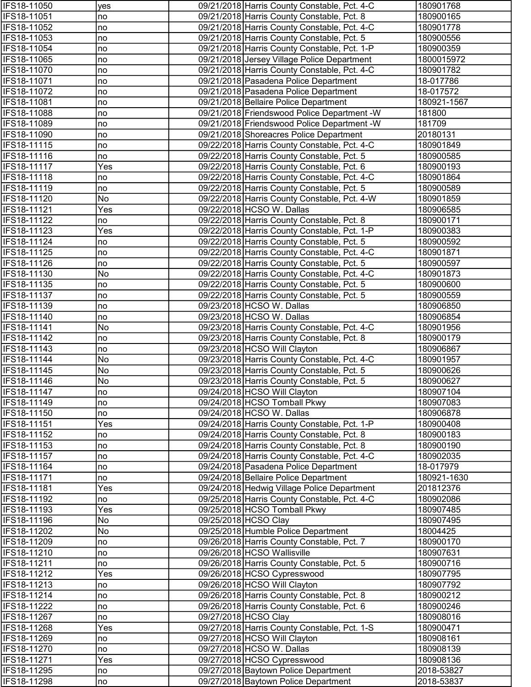| IFS18-11050                       | yes       | 09/21/2018 Harris County Constable, Pct. 4-C                                            | 180901768              |
|-----------------------------------|-----------|-----------------------------------------------------------------------------------------|------------------------|
| IFS18-11051                       | no        | 09/21/2018 Harris County Constable, Pct. 8                                              | 180900165              |
| IFS18-11052                       | no        | 09/21/2018 Harris County Constable, Pct. 4-C                                            | 180901778              |
| IFS18-11053                       | no        | 09/21/2018 Harris County Constable, Pct. 5                                              | 180900556              |
| IFS18-11054                       | no        | 09/21/2018 Harris County Constable, Pct. 1-P                                            | 180900359              |
| IFS18-11065                       | no        | 09/21/2018 Jersey Village Police Department                                             | 1800015972             |
| IFS18-11070                       | no        | 09/21/2018 Harris County Constable, Pct. 4-C                                            | 180901782              |
| IFS18-11071                       | no        | 09/21/2018 Pasadena Police Department                                                   | 18-017786              |
| IFS18-11072                       | no        | 09/21/2018 Pasadena Police Department                                                   | 18-017572              |
| IFS18-11081                       | no        | 09/21/2018 Bellaire Police Department                                                   | 180921-1567            |
| IFS18-11088                       | no        | 09/21/2018 Friendswood Police Department -W                                             | 181800                 |
| IFS18-11089                       | no        | 09/21/2018 Friendswood Police Department -W                                             | 181709                 |
| IFS18-11090<br>IFS18-11115        | no        | 09/21/2018 Shoreacres Police Department<br>09/22/2018 Harris County Constable, Pct. 4-C | 20180131<br>180901849  |
| IFS18-11116                       | no<br>no  | 09/22/2018 Harris County Constable, Pct. 5                                              | 180900585              |
| IFS18-11117                       | Yes       | 09/22/2018 Harris County Constable, Pct. 6                                              | 180900193              |
| IFS18-11118                       | no        | 09/22/2018 Harris County Constable, Pct. 4-C                                            | 180901864              |
| IFS18-11119                       | no        | 09/22/2018 Harris County Constable, Pct. 5                                              | 180900589              |
| IFS18-11120                       | No        | 09/22/2018 Harris County Constable, Pct. 4-W                                            | 180901859              |
| IFS18-11121                       | Yes       | 09/22/2018 HCSO W. Dallas                                                               | 180906585              |
| IFS18-11122                       | no        | 09/22/2018 Harris County Constable, Pct. 8                                              | 180900171              |
| IFS18-11123                       | Yes       | 09/22/2018 Harris County Constable, Pct. 1-P                                            | 180900383              |
| IFS18-11124                       | no        | 09/22/2018 Harris County Constable, Pct. 5                                              | 180900592              |
| IFS18-11125                       | no        | 09/22/2018 Harris County Constable, Pct. 4-C                                            | 180901871              |
| IFS18-11126                       | no        | 09/22/2018 Harris County Constable, Pct. 5                                              | 180900597              |
| IFS18-11130                       | No        | 09/22/2018 Harris County Constable, Pct. 4-C                                            | 180901873              |
| IFS18-11135                       | no        | 09/22/2018 Harris County Constable, Pct. 5                                              | 180900600              |
| IFS18-11137                       | no        | 09/22/2018 Harris County Constable, Pct. 5                                              | 180900559              |
| IFS18-11139                       | no        | 09/23/2018 HCSO W. Dallas                                                               | 180906850              |
| IFS18-11140                       | no        | 09/23/2018 HCSO W. Dallas                                                               | 180906854              |
| IFS18-11141                       | No        | 09/23/2018 Harris County Constable, Pct. 4-C                                            | 180901956              |
| IFS18-11142                       | no        | 09/23/2018 Harris County Constable, Pct. 8                                              | 180900179              |
| IFS18-11143                       | no        | 09/23/2018 HCSO Will Clayton                                                            | 180906867              |
| IFS18-11144                       | No        | 09/23/2018 Harris County Constable, Pct. 4-C                                            | 180901957              |
| IFS18-11145                       | No        | 09/23/2018 Harris County Constable, Pct. 5                                              | 180900626              |
| IFS18-11146<br><b>IFS18-11147</b> | No        | 09/23/2018 Harris County Constable, Pct. 5<br>09/24/2018 HCSO Will Clayton              | 180900627<br>180907104 |
| IFS18-11149                       | no<br>no  | 09/24/2018 HCSO Tomball Pkwy                                                            | 180907083              |
| IFS18-11150                       | no        | 09/24/2018 HCSO W. Dallas                                                               | 180906878              |
| IFS18-11151                       | Yes       | 09/24/2018 Harris County Constable, Pct. 1-P                                            | 180900408              |
| IFS18-11152                       | no        | 09/24/2018 Harris County Constable, Pct. 8                                              | 180900183              |
| IFS18-11153                       | no        | 09/24/2018 Harris County Constable, Pct. 8                                              | 180900190              |
| IFS18-11157                       | no        | 09/24/2018 Harris County Constable, Pct. 4-C                                            | 180902035              |
| IFS18-11164                       | no        | 09/24/2018 Pasadena Police Department                                                   | 18-017979              |
| IFS18-11171                       | no        | 09/24/2018 Bellaire Police Department                                                   | 180921-1630            |
| IFS18-11181                       | Yes       | 09/24/2018 Hedwig Village Police Department                                             | 201812376              |
| IFS18-11192                       | no        | 09/25/2018 Harris County Constable, Pct. 4-C                                            | 180902086              |
| IFS18-11193                       | Yes       | 09/25/2018 HCSO Tomball Pkwy                                                            | 180907485              |
| IFS18-11196                       | No        | 09/25/2018 HCSO Clay                                                                    | 180907495              |
| IFS18-11202                       | No        | 09/25/2018 Humble Police Department                                                     | 18004425               |
| IFS18-11209                       | no        | 09/26/2018 Harris County Constable, Pct. 7                                              | 180900170              |
| IFS18-11210                       | no        | 09/26/2018 HCSO Wallisville                                                             | 180907631              |
| IFS18-11211                       | no        | 09/26/2018 Harris County Constable, Pct. 5                                              | 180900716              |
| IFS18-11212                       | Yes       | 09/26/2018 HCSO Cypresswood                                                             | 180907795              |
| IFS18-11213                       | no        | 09/26/2018 HCSO Will Clayton                                                            | 180907792              |
| IFS18-11214                       | no        | 09/26/2018 Harris County Constable, Pct. 8                                              | 180900212              |
| IFS18-11222<br>IFS18-11267        | no        | 09/26/2018 Harris County Constable, Pct. 6                                              | 180900246<br>180908016 |
| IFS18-11268                       | no<br>Yes | 09/27/2018 HCSO Clay<br>09/27/2018 Harris County Constable, Pct. 1-S                    | 180900471              |
| IFS18-11269                       | no        | 09/27/2018 HCSO Will Clayton                                                            | 180908161              |
| IFS18-11270                       | no        | 09/27/2018 HCSO W. Dallas                                                               | 180908139              |
| IFS18-11271                       | Yes       | 09/27/2018 HCSO Cypresswood                                                             | 180908136              |
| IFS18-11295                       | no        | 09/27/2018 Baytown Police Department                                                    | 2018-53827             |
| IFS18-11298                       | no        | 09/27/2018 Baytown Police Department                                                    | 2018-53837             |
|                                   |           |                                                                                         |                        |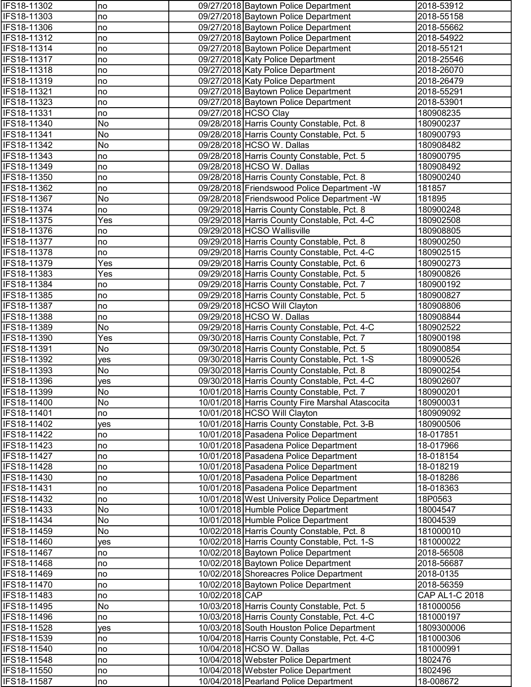| IFS18-11302                | no        |                | 09/27/2018 Baytown Police Department                                                        | 2018-53912             |
|----------------------------|-----------|----------------|---------------------------------------------------------------------------------------------|------------------------|
| IFS18-11303                | no        |                | 09/27/2018 Baytown Police Department                                                        | 2018-55158             |
| IFS18-11306                | no        |                | 09/27/2018 Baytown Police Department                                                        | 2018-55662             |
| IFS18-11312                | no        |                | 09/27/2018 Baytown Police Department                                                        | 2018-54922             |
| IFS18-11314                | no        |                | 09/27/2018 Baytown Police Department                                                        | 2018-55121             |
| IFS18-11317                | no        |                | 09/27/2018 Katy Police Department                                                           | 2018-25546             |
| <b>IFS18-11318</b>         | no        |                | 09/27/2018 Katy Police Department                                                           | 2018-26070             |
| IFS18-11319                | no        |                | 09/27/2018 Katy Police Department                                                           | 2018-26479             |
| IFS18-11321                | no        |                | 09/27/2018 Baytown Police Department                                                        | 2018-55291             |
| IFS18-11323                | no        |                | 09/27/2018 Baytown Police Department                                                        | 2018-53901             |
| IFS18-11331                | no        |                | 09/27/2018 HCSO Clay                                                                        | 180908235              |
| IFS18-11340                | No        |                | 09/28/2018 Harris County Constable, Pct. 8                                                  | 180900237              |
| IFS18-11341                | No        |                | 09/28/2018 Harris County Constable, Pct. 5                                                  | 180900793              |
| IFS18-11342                | No        |                | 09/28/2018 HCSO W. Dallas                                                                   | 180908482              |
| IFS18-11343                | no        |                | 09/28/2018 Harris County Constable, Pct. 5                                                  | 180900795              |
| IFS18-11349                | no        |                | 09/28/2018 HCSO W. Dallas                                                                   | 180908492              |
| IFS18-11350                | no        |                | 09/28/2018 Harris County Constable, Pct. 8                                                  | 180900240              |
| IFS18-11362<br>IFS18-11367 | no<br>No  |                | 09/28/2018 Friendswood Police Department -W<br>09/28/2018 Friendswood Police Department - W | 181857<br>181895       |
| IFS18-11374                | no        |                | 09/29/2018 Harris County Constable, Pct. 8                                                  | 180900248              |
| IFS18-11375                | Yes       |                | 09/29/2018 Harris County Constable, Pct. 4-C                                                | 180902508              |
| IFS18-11376                | no        |                | 09/29/2018 HCSO Wallisville                                                                 | 180908805              |
| IFS18-11377                | no        |                | 09/29/2018 Harris County Constable, Pct. 8                                                  | 180900250              |
| <b>IFS18-11378</b>         | no        |                | 09/29/2018 Harris County Constable, Pct. 4-C                                                | 180902515              |
| IFS18-11379                | Yes       |                | 09/29/2018 Harris County Constable, Pct. 6                                                  | 180900273              |
| IFS18-11383                | Yes       |                | 09/29/2018 Harris County Constable, Pct. 5                                                  | 180900826              |
| IFS18-11384                | no        |                | 09/29/2018 Harris County Constable, Pct. 7                                                  | 180900192              |
| IFS18-11385                | no        |                | 09/29/2018 Harris County Constable, Pct. 5                                                  | 180900827              |
| IFS18-11387                | no        |                | 09/29/2018 HCSO Will Clayton                                                                | 180908806              |
| IFS18-11388                | no        |                | 09/29/2018 HCSO W. Dallas                                                                   | 180908844              |
| IFS18-11389                | No        |                | 09/29/2018 Harris County Constable, Pct. 4-C                                                | 180902522              |
| IFS18-11390                | Yes       |                | 09/30/2018 Harris County Constable, Pct. 7                                                  | 180900198              |
| IFS18-11391                | No        |                | 09/30/2018 Harris County Constable, Pct. 5                                                  | 180900854              |
| IFS18-11392                | yes       |                | 09/30/2018 Harris County Constable, Pct. 1-S                                                | 180900526              |
| IFS18-11393                | No        |                | 09/30/2018 Harris County Constable, Pct. 8                                                  | 180900254              |
| IFS18-11396                | yes       |                | 09/30/2018 Harris County Constable, Pct. 4-C                                                | 180902607              |
| IFS18-11399                | No        |                | 10/01/2018 Harris County Constable, Pct. 7                                                  | 180900201              |
| IFS18-11400                | No        |                | 10/01/2018 Harris County Fire Marshal Atascocita                                            | 180900031              |
| IFS18-11401                | no        |                | 10/01/2018 HCSO Will Clayton                                                                | 180909092              |
| IFS18-11402                | yes       |                | 10/01/2018 Harris County Constable, Pct. 3-B                                                | 180900506              |
| IFS18-11422                | no        |                | 10/01/2018 Pasadena Police Department                                                       | 18-017851              |
| IFS18-11423                | no        |                | 10/01/2018 Pasadena Police Department                                                       | 18-017966              |
| IFS18-11427                | no        |                | 10/01/2018 Pasadena Police Department                                                       | 18-018154              |
| IFS18-11428                | no        |                | 10/01/2018 Pasadena Police Department                                                       | 18-018219              |
| IFS18-11430                | no        |                | 10/01/2018 Pasadena Police Department                                                       | 18-018286              |
| IFS18-11431                | no        |                | 10/01/2018 Pasadena Police Department                                                       | 18-018363              |
| IFS18-11432                | no        |                | 10/01/2018 West University Police Department                                                | 18P0563                |
| IFS18-11433                | No        |                | 10/01/2018 Humble Police Department                                                         | 18004547               |
| IFS18-11434                | No        |                | 10/01/2018 Humble Police Department                                                         | 18004539               |
| IFS18-11459<br>IFS18-11460 | No        |                | 10/02/2018 Harris County Constable, Pct. 8<br>10/02/2018 Harris County Constable, Pct. 1-S  | 181000010<br>181000022 |
| IFS18-11467                | yes<br>no |                | 10/02/2018 Baytown Police Department                                                        | 2018-56508             |
| IFS18-11468                | no        |                | 10/02/2018 Baytown Police Department                                                        | 2018-56687             |
| IFS18-11469                | no        |                | 10/02/2018 Shoreacres Police Department                                                     | 2018-0135              |
| IFS18-11470                | no        |                | 10/02/2018 Baytown Police Department                                                        | 2018-56359             |
| IFS18-11483                | no        | 10/02/2018 CAP |                                                                                             | CAP AL1-C 2018         |
| <b>IFS18-11495</b>         | No        |                | 10/03/2018 Harris County Constable, Pct. 5                                                  | 181000056              |
| IFS18-11496                | no        |                | 10/03/2018 Harris County Constable, Pct. 4-C                                                | 181000197              |
| IFS18-11528                | yes       |                | 10/03/2018 South Houston Police Department                                                  | 1809300006             |
| IFS18-11539                | no        |                | 10/04/2018 Harris County Constable, Pct. 4-C                                                | 181000306              |
| IFS18-11540                | no        |                | 10/04/2018 HCSO W. Dallas                                                                   | 181000991              |
| IFS18-11548                | no        |                | 10/04/2018 Webster Police Department                                                        | 1802476                |
| IFS18-11550                | no        |                | 10/04/2018 Webster Police Department                                                        | 1802496                |
| IFS18-11587                | no        |                | 10/04/2018 Pearland Police Department                                                       | 18-008672              |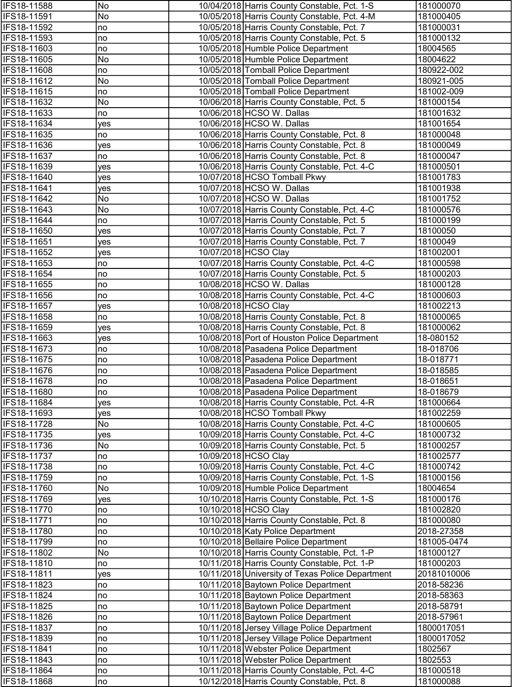| IFS18-11588                | No         | 10/04/2018 Harris County Constable, Pct. 1-S                         | 181000070              |
|----------------------------|------------|----------------------------------------------------------------------|------------------------|
| IFS18-11591                | No         | 10/05/2018 Harris County Constable, Pct. 4-M                         | 181000405              |
| IFS18-11592                | no         | 10/05/2018 Harris County Constable, Pct. 7                           | 181000031              |
| IFS18-11593                | no         | 10/05/2018 Harris County Constable, Pct. 5                           | 181000132              |
| IFS18-11603                | no         | 10/05/2018 Humble Police Department                                  | 18004565               |
| IFS18-11605                | No         | 10/05/2018 Humble Police Department                                  | 18004622               |
| IFS18-11608                | no         | 10/05/2018 Tomball Police Department                                 | 180922-002             |
| IFS18-11612                | No         | 10/05/2018 Tomball Police Department                                 | 180921-005             |
| IFS18-11615                | no         | 10/05/2018 Tomball Police Department                                 | 181002-009             |
| IFS18-11632                | No         | 10/06/2018 Harris County Constable, Pct. 5                           | 181000154              |
| IFS18-11633                | no         | 10/06/2018 HCSO W. Dallas                                            | 181001632              |
| IFS18-11634                | yes        | 10/06/2018 HCSO W. Dallas                                            | 181001654              |
| IFS18-11635                | no         | 10/06/2018 Harris County Constable, Pct. 8                           | 181000048              |
| IFS18-11636                | yes        | 10/06/2018 Harris County Constable, Pct. 8                           | 181000049              |
| IFS18-11637                | no         | 10/06/2018 Harris County Constable, Pct. 8                           | 181000047              |
| IFS18-11639                | ves        | 10/06/2018 Harris County Constable, Pct. 4-C                         | 181000501              |
| IFS18-11640                | yes        | 10/07/2018 HCSO Tomball Pkwy                                         | 181001783              |
| IFS18-11641                | yes        | 10/07/2018 HCSO W. Dallas                                            | 181001938              |
| IFS18-11642                | No         | 10/07/2018 HCSO W. Dallas                                            | 181001752              |
| IFS18-11643                | No         | 10/07/2018 Harris County Constable, Pct. 4-C                         | 181000576              |
| IFS18-11644                | no         | 10/07/2018 Harris County Constable, Pct. 5                           | 181000199              |
| IFS18-11650                | yes        | 10/07/2018 Harris County Constable, Pct. 7                           | 18100050               |
| IFS18-11651                | yes        | 10/07/2018 Harris County Constable, Pct. 7                           | 18100049               |
| IFS18-11652                | yes        | 10/07/2018 HCSO Clay                                                 | 181002001              |
| IFS18-11653                | no         | 10/07/2018 Harris County Constable, Pct. 4-C                         | 181000598              |
| IFS18-11654                | no         | 10/07/2018 Harris County Constable, Pct. 5                           | 181000203              |
| IFS18-11655                | no         | 10/08/2018 HCSO W. Dallas                                            | 181000128              |
| IFS18-11656                | no         | 10/08/2018 Harris County Constable, Pct. 4-C<br>10/08/2018 HCSO Clay | 181000603              |
| IFS18-11657<br>IFS18-11658 | yes        | 10/08/2018 Harris County Constable, Pct. 8                           | 181002213<br>181000065 |
| IFS18-11659                | no         | 10/08/2018 Harris County Constable, Pct. 8                           | 181000062              |
| IFS18-11663                | yes<br>yes | 10/08/2018 Port of Houston Police Department                         | 18-080152              |
| IFS18-11673                | no         | 10/08/2018 Pasadena Police Department                                | 18-018706              |
| IFS18-11675                | no         | 10/08/2018 Pasadena Police Department                                | 18-018771              |
| IFS18-11676                | no         | 10/08/2018 Pasadena Police Department                                | 18-018585              |
| IFS18-11678                | no         | 10/08/2018 Pasadena Police Department                                | 18-018651              |
| <b>IFS18-11680</b>         | no         | 10/08/2018 Pasadena Police Department                                | 18-018679              |
| IFS18-11684                | yes        | 10/08/2018 Harris County Constable, Pct. 4-R                         | 181000664              |
| IFS18-11693                | yes        | 10/08/2018 HCSO Tomball Pkwy                                         | 181002259              |
| IFS18-11728                | No         | 10/08/2018 Harris County Constable, Pct. 4-C                         | 181000605              |
| IFS18-11735                | yes        | 10/09/2018 Harris County Constable, Pct. 4-C                         | 181000732              |
| IFS18-11736                | No         | 10/09/2018 Harris County Constable, Pct. 5                           | 181000257              |
| IFS18-11737                | no         | 10/09/2018 HCSO Clay                                                 | 181002577              |
| IFS18-11738                | no         | 10/09/2018 Harris County Constable, Pct. 4-C                         | 181000742              |
| IFS18-11759                | no         | 10/09/2018 Harris County Constable, Pct. 1-S                         | 181000156              |
| IFS18-11760                | No         | 10/09/2018 Humble Police Department                                  | 18004654               |
| IFS18-11769                | yes        | 10/10/2018 Harris County Constable, Pct. 1-S                         | 181000176              |
| IFS18-11770                | no         | 10/10/2018 HCSO Clay                                                 | 181002820              |
| IFS18-11771                | no         | 10/10/2018 Harris County Constable, Pct. 8                           | 181000080              |
| IFS18-11780                | no         | 10/10/2018 Katy Police Department                                    | 2018-27358             |
| IFS18-11799                | no         | 10/10/2018 Bellaire Police Department                                | 181005-0474            |
| IFS18-11802                | No         | 10/10/2018 Harris County Constable, Pct. 1-P                         | 181000127              |
| IFS18-11810                | no         | 10/11/2018 Harris County Constable, Pct. 1-P                         | 181000203              |
| IFS18-11811                | yes        | 10/11/2018 University of Texas Police Department                     | 20181010006            |
| IFS18-11823                | no         | 10/11/2018 Baytown Police Department                                 | 2018-58236             |
| IFS18-11824                | no         | 10/11/2018 Baytown Police Department                                 | 2018-58363             |
| IFS18-11825                | no         | 10/11/2018 Baytown Police Department                                 | 2018-58791             |
| IFS18-11826                | no         | 10/11/2018 Baytown Police Department                                 | 2018-57961             |
| IFS18-11837                | no         | 10/11/2018 Jersey Village Police Department                          | 1800017051             |
| IFS18-11839                | no         | 10/11/2018 Jersey Village Police Department                          | 1800017052             |
| IFS18-11841                | no         | 10/11/2018 Webster Police Department                                 | 1802567                |
| IFS18-11843                | no         | 10/11/2018 Webster Police Department                                 | 1802553                |
| IFS18-11864                | no         | 10/11/2018 Harris County Constable, Pct. 4-C                         | 181000518              |
| IFS18-11868                | no         | 10/12/2018 Harris County Constable, Pct. 8                           | 181000088              |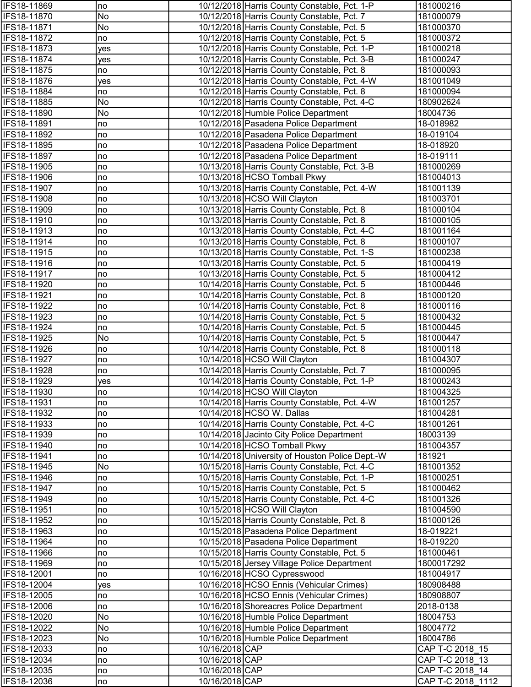| IFS18-11869        | no  |                | 10/12/2018 Harris County Constable, Pct. 1-P    | 181000216         |
|--------------------|-----|----------------|-------------------------------------------------|-------------------|
| IFS18-11870        | No  |                | 10/12/2018 Harris County Constable, Pct. 7      | 181000079         |
| IFS18-11871        | No  |                | 10/12/2018 Harris County Constable, Pct. 5      | 181000370         |
| IFS18-11872        | no  |                | 10/12/2018 Harris County Constable, Pct. 5      | 181000372         |
| IFS18-11873        | yes |                | 10/12/2018 Harris County Constable, Pct. 1-P    | 181000218         |
| IFS18-11874        | yes |                | 10/12/2018 Harris County Constable, Pct. 3-B    | 181000247         |
| IFS18-11875        | no  |                | 10/12/2018 Harris County Constable, Pct. 8      | 181000093         |
| IFS18-11876        | yes |                | 10/12/2018 Harris County Constable, Pct. 4-W    | 181001049         |
| IFS18-11884        | no  |                | 10/12/2018 Harris County Constable, Pct. 8      | 181000094         |
| IFS18-11885        | No  |                | 10/12/2018 Harris County Constable, Pct. 4-C    | 180902624         |
| IFS18-11890        | No  |                | 10/12/2018 Humble Police Department             | 18004736          |
| IFS18-11891        | no  |                | 10/12/2018 Pasadena Police Department           | 18-018982         |
| IFS18-11892        | no  |                | 10/12/2018 Pasadena Police Department           | 18-019104         |
| IFS18-11895        | no  |                | 10/12/2018 Pasadena Police Department           | 18-018920         |
| IFS18-11897        | no  |                | 10/12/2018 Pasadena Police Department           | 18-019111         |
| IFS18-11905        | no  |                | 10/13/2018 Harris County Constable, Pct. 3-B    | 181000269         |
| IFS18-11906        | no  |                | 10/13/2018 HCSO Tomball Pkwy                    | 181004013         |
| IFS18-11907        | no  |                | 10/13/2018 Harris County Constable, Pct. 4-W    | 181001139         |
| IFS18-11908        | no  |                | 10/13/2018 HCSO Will Clayton                    | 181003701         |
| IFS18-11909        | no  |                | 10/13/2018 Harris County Constable, Pct. 8      | 181000104         |
| IFS18-11910        | no  |                | 10/13/2018 Harris County Constable, Pct. 8      | 181000105         |
| IFS18-11913        | no  |                | 10/13/2018 Harris County Constable, Pct. 4-C    | 181001164         |
| IFS18-11914        | no  |                | 10/13/2018 Harris County Constable, Pct. 8      | 181000107         |
| IFS18-11915        | no  |                | 10/13/2018 Harris County Constable, Pct. 1-S    | 181000238         |
| IFS18-11916        | no  |                | 10/13/2018 Harris County Constable, Pct. 5      | 181000419         |
| IFS18-11917        | no  |                | 10/13/2018 Harris County Constable, Pct. 5      | 181000412         |
| IFS18-11920        | no  |                | 10/14/2018 Harris County Constable, Pct. 5      | 181000446         |
| IFS18-11921        | no  |                | 10/14/2018 Harris County Constable, Pct. 8      | 181000120         |
| IFS18-11922        | no  |                | 10/14/2018 Harris County Constable, Pct. 8      | 181000116         |
| IFS18-11923        | no  |                | 10/14/2018 Harris County Constable, Pct. 5      | 181000432         |
| IFS18-11924        | no  |                | 10/14/2018 Harris County Constable, Pct. 5      | 181000445         |
| IFS18-11925        | No  |                | 10/14/2018 Harris County Constable, Pct. 5      | 181000447         |
| IFS18-11926        | no  |                | 10/14/2018 Harris County Constable, Pct. 8      | 181000118         |
| IFS18-11927        | no  |                | 10/14/2018 HCSO Will Clayton                    | 181004307         |
| IFS18-11928        | no  |                | 10/14/2018 Harris County Constable, Pct. 7      | 181000095         |
| IFS18-11929        | yes |                | 10/14/2018 Harris County Constable, Pct. 1-P    | 181000243         |
| <b>IFS18-11930</b> | no  |                | 10/14/2018 HCSO Will Clayton                    | 181004325         |
| IFS18-11931        | no  |                | 10/14/2018 Harris County Constable, Pct. 4-W    | 181001257         |
| IFS18-11932        | no  |                | 10/14/2018 HCSO W. Dallas                       | 181004281         |
| IFS18-11933        | no  |                | 10/14/2018 Harris County Constable, Pct. 4-C    | 181001261         |
| IFS18-11939        | no  |                | 10/14/2018 Jacinto City Police Department       | 18003139          |
| IFS18-11940        | no  |                | 10/14/2018 HCSO Tomball Pkwy                    | 181004357         |
| IFS18-11941        | no  |                | 10/14/2018 University of Houston Police Dept.-W | 181921            |
| IFS18-11945        | No  |                | 10/15/2018 Harris County Constable, Pct. 4-C    | 181001352         |
| IFS18-11946        | Ino |                | 10/15/2018 Harris County Constable, Pct. 1-P    | 181000251         |
| IFS18-11947        | no  |                | 10/15/2018 Harris County Constable, Pct. 5      | 181000462         |
| IFS18-11949        | no  |                | 10/15/2018 Harris County Constable, Pct. 4-C    | 181001326         |
| IFS18-11951        | no  |                | 10/15/2018 HCSO Will Clayton                    | 181004590         |
| IFS18-11952        | no  |                | 10/15/2018 Harris County Constable, Pct. 8      | 181000126         |
| IFS18-11963        | no  |                | 10/15/2018 Pasadena Police Department           | 18-019221         |
| IFS18-11964        | no  |                | 10/15/2018 Pasadena Police Department           | 18-019220         |
| IFS18-11966        | no  |                | 10/15/2018 Harris County Constable, Pct. 5      | 181000461         |
| IFS18-11969        | no  |                | 10/15/2018 Jersey Village Police Department     | 1800017292        |
| IFS18-12001        | no  |                | 10/16/2018 HCSO Cypresswood                     | 181004917         |
| IFS18-12004        | yes |                | 10/16/2018 HCSO Ennis (Vehicular Crimes)        | 180908488         |
| IFS18-12005        | no  |                | 10/16/2018 HCSO Ennis (Vehicular Crimes)        | 180908807         |
| IFS18-12006        | no  |                | 10/16/2018 Shoreacres Police Department         | 2018-0138         |
| IFS18-12020        | No  |                | 10/16/2018 Humble Police Department             | 18004753          |
| IFS18-12022        | No  |                | 10/16/2018 Humble Police Department             | 18004772          |
| IFS18-12023        | No  |                | 10/16/2018 Humble Police Department             | 18004786          |
| IFS18-12033        | no  | 10/16/2018 CAP |                                                 | CAP T-C 2018 15   |
| IFS18-12034        | no  | 10/16/2018 CAP |                                                 | CAP T-C 2018 13   |
| IFS18-12035        | no  | 10/16/2018 CAP |                                                 | CAP T-C 2018_14   |
| IFS18-12036        | no  | 10/16/2018 CAP |                                                 | CAP T-C 2018 1112 |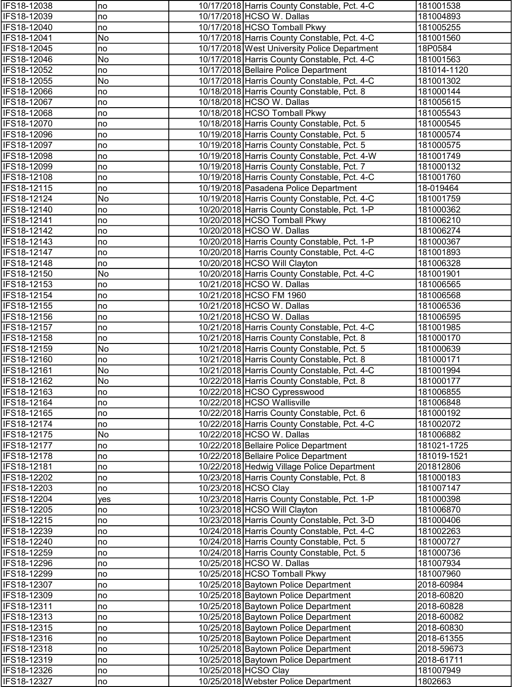| IFS18-12038                | no       | 10/17/2018 Harris County Constable, Pct. 4-C                                 | 181001538              |
|----------------------------|----------|------------------------------------------------------------------------------|------------------------|
| IFS18-12039                | no       | 10/17/2018 HCSO W. Dallas                                                    | 181004893              |
| IFS18-12040                | no       | 10/17/2018 HCSO Tomball Pkwy                                                 | 181005255              |
| IFS18-12041                | No       | 10/17/2018 Harris County Constable, Pct. 4-C                                 | 181001560              |
| IFS18-12045                | no       | 10/17/2018 West University Police Department                                 | 18P0584                |
| IFS18-12046                | No       | 10/17/2018 Harris County Constable, Pct. 4-C                                 | 181001563              |
| IFS18-12052                | no       | 10/17/2018 Bellaire Police Department                                        | 181014-1120            |
| IFS18-12055                | No       | 10/17/2018 Harris County Constable, Pct. 4-C                                 | 181001302              |
| IFS18-12066                | no       | 10/18/2018 Harris County Constable, Pct. 8                                   | 181000144              |
| IFS18-12067                | no       | 10/18/2018 HCSO W. Dallas                                                    | 181005615              |
| IFS18-12068                | no       | 10/18/2018 HCSO Tomball Pkwy                                                 | 181005543              |
| IFS18-12070                | no       | 10/18/2018 Harris County Constable, Pct. 5                                   | 181000545              |
| IFS18-12096                | no       | 10/19/2018 Harris County Constable, Pct. 5                                   | 181000574              |
| IFS18-12097                | no       | 10/19/2018 Harris County Constable, Pct. 5                                   | 181000575              |
| IFS18-12098                | no       | 10/19/2018 Harris County Constable, Pct. 4-W                                 | 181001749              |
| IFS18-12099                | no       | 10/19/2018 Harris County Constable, Pct. 7                                   | 181000132              |
| IFS18-12108                | no       | 10/19/2018 Harris County Constable, Pct. 4-C                                 | 181001760              |
| IFS18-12115                | no       | 10/19/2018 Pasadena Police Department                                        | 18-019464              |
| IFS18-12124                | No       | 10/19/2018 Harris County Constable, Pct. 4-C                                 | 181001759              |
| IFS18-12140                | no       | 10/20/2018 Harris County Constable, Pct. 1-P                                 | 181000362              |
| IFS18-12141                | no       | 10/20/2018 HCSO Tomball Pkwy                                                 | 181006210              |
| IFS18-12142                | no       | 10/20/2018 HCSO W. Dallas                                                    | 181006274              |
| IFS18-12143                | no       | 10/20/2018 Harris County Constable, Pct. 1-P                                 | 181000367              |
| IFS18-12147<br>IFS18-12148 | no<br>no | 10/20/2018 Harris County Constable, Pct. 4-C<br>10/20/2018 HCSO Will Clayton | 181001893<br>181006328 |
| IFS18-12150                | No       | 10/20/2018 Harris County Constable, Pct. 4-C                                 | 181001901              |
| IFS18-12153                |          | 10/21/2018 HCSO W. Dallas                                                    | 181006565              |
| IFS18-12154                | no<br>no | 10/21/2018 HCSO FM 1960                                                      | 181006568              |
| IFS18-12155                | no       | 10/21/2018 HCSO W. Dallas                                                    | 181006536              |
| IFS18-12156                | no       | 10/21/2018 HCSO W. Dallas                                                    | 181006595              |
| IFS18-12157                | no       | 10/21/2018 Harris County Constable, Pct. 4-C                                 | 181001985              |
| IFS18-12158                | no       | 10/21/2018 Harris County Constable, Pct. 8                                   | 181000170              |
| IFS18-12159                | No       | 10/21/2018 Harris County Constable, Pct. 5                                   | 181000639              |
| IFS18-12160                | no       | 10/21/2018 Harris County Constable, Pct. 8                                   | 181000171              |
| IFS18-12161                | No       | 10/21/2018 Harris County Constable, Pct. 4-C                                 | 181001994              |
| IFS18-12162                | No       | 10/22/2018 Harris County Constable, Pct. 8                                   | 181000177              |
| <b>IFS18-12163</b>         | no       | 10/22/2018 HCSO Cypresswood                                                  | 181006855              |
| IFS18-12164                | no       | 10/22/2018 HCSO Wallisville                                                  | 181006848              |
| IFS18-12165                | no       | 10/22/2018 Harris County Constable, Pct. 6                                   | 181000192              |
| IFS18-12174                | no       | 10/22/2018 Harris County Constable, Pct. 4-C                                 | 181002072              |
| IFS18-12175                | No       | 10/22/2018 HCSO W. Dallas                                                    | 181006882              |
| IFS18-12177                | no       | 10/22/2018 Bellaire Police Department                                        | 181021-1725            |
| IFS18-12178                | no       | 10/22/2018 Bellaire Police Department                                        | 181019-1521            |
| IFS18-12181                | no       | 10/22/2018 Hedwig Village Police Department                                  | 201812806              |
| IFS18-12202                | no       | 10/23/2018 Harris County Constable, Pct. 8                                   | 181000183              |
| IFS18-12203                | no       | 10/23/2018 HCSO Clay                                                         | 181007147              |
| IFS18-12204                | yes      | 10/23/2018 Harris County Constable, Pct. 1-P                                 | 181000398              |
| IFS18-12205                | no       | 10/23/2018 HCSO Will Clayton                                                 | 181006870              |
| IFS18-12215                | no       | 10/23/2018 Harris County Constable, Pct. 3-D                                 | 181000406              |
| IFS18-12239                | no       | 10/24/2018 Harris County Constable, Pct. 4-C                                 | 181002263              |
| IFS18-12240                | no       | 10/24/2018 Harris County Constable, Pct. 5                                   | 181000727              |
| IFS18-12259                | no       | 10/24/2018 Harris County Constable, Pct. 5                                   | 181000736              |
| IFS18-12296                | no       | 10/25/2018 HCSO W. Dallas                                                    | 181007934              |
| IFS18-12299                | no       | 10/25/2018 HCSO Tomball Pkwy                                                 | 181007960              |
| IFS18-12307                | no       | 10/25/2018 Baytown Police Department                                         | 2018-60984             |
| IFS18-12309                | no       | 10/25/2018 Baytown Police Department                                         | 2018-60820             |
| IFS18-12311                | no       | 10/25/2018 Baytown Police Department                                         | 2018-60828             |
| IFS18-12313                | no       | 10/25/2018 Baytown Police Department                                         | 2018-60082             |
| IFS18-12315                | no       | 10/25/2018 Baytown Police Department                                         | 2018-60830             |
| IFS18-12316                | no       | 10/25/2018 Baytown Police Department                                         | 2018-61355             |
| IFS18-12318                | no       | 10/25/2018 Baytown Police Department                                         | 2018-59673             |
| IFS18-12319                | no       | 10/25/2018 Baytown Police Department                                         | 2018-61711             |
| IFS18-12326                | no       | 10/25/2018 HCSO Clay                                                         | 181007949              |
| IFS18-12327                | no       | 10/25/2018 Webster Police Department                                         | 1802663                |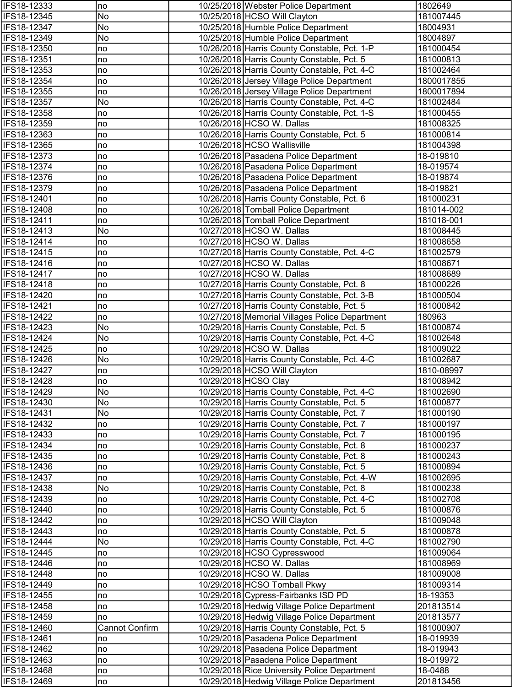| IFS18-12333        | no                    | 10/25/2018 Webster Police Department           | 1802649    |
|--------------------|-----------------------|------------------------------------------------|------------|
| IFS18-12345        | No                    | 10/25/2018 HCSO Will Clayton                   | 181007445  |
| IFS18-12347        | No                    | 10/25/2018 Humble Police Department            | 18004931   |
| IFS18-12349        | No                    | 10/25/2018 Humble Police Department            | 18004897   |
| IFS18-12350        | no                    | 10/26/2018 Harris County Constable, Pct. 1-P   | 181000454  |
| IFS18-12351        | no                    | 10/26/2018 Harris County Constable, Pct. 5     | 181000813  |
| IFS18-12353        | no                    | 10/26/2018 Harris County Constable, Pct. 4-C   | 181002464  |
| IFS18-12354        | no                    | 10/26/2018 Jersey Village Police Department    | 1800017855 |
| IFS18-12355        | no                    | 10/26/2018 Jersey Village Police Department    | 1800017894 |
| IFS18-12357        | No                    | 10/26/2018 Harris County Constable, Pct. 4-C   | 181002484  |
| IFS18-12358        | no                    | 10/26/2018 Harris County Constable, Pct. 1-S   | 181000455  |
| IFS18-12359        | no                    | 10/26/2018 HCSO W. Dallas                      | 181008325  |
| IFS18-12363        | no                    | 10/26/2018 Harris County Constable, Pct. 5     | 181000814  |
| IFS18-12365        | no                    | 10/26/2018 HCSO Wallisville                    | 181004398  |
| IFS18-12373        | no                    | 10/26/2018 Pasadena Police Department          | 18-019810  |
| IFS18-12374        | no                    | 10/26/2018 Pasadena Police Department          | 18-019574  |
| IFS18-12376        | no                    | 10/26/2018 Pasadena Police Department          | 18-019874  |
| IFS18-12379        | no                    | 10/26/2018 Pasadena Police Department          | 18-019821  |
| <b>IFS18-12401</b> | no                    | 10/26/2018 Harris County Constable, Pct. 6     | 181000231  |
| IFS18-12408        | no                    | 10/26/2018 Tomball Police Department           | 181014-002 |
| IFS18-12411        | no                    | 10/26/2018 Tomball Police Department           | 181018-001 |
| IFS18-12413        | No                    | 10/27/2018 HCSO W. Dallas                      | 181008445  |
| IFS18-12414        | no                    | 10/27/2018 HCSO W. Dallas                      | 181008658  |
| IFS18-12415        | no                    | 10/27/2018 Harris County Constable, Pct. 4-C   | 181002579  |
| IFS18-12416        | no                    | 10/27/2018 HCSO W. Dallas                      | 181008671  |
| IFS18-12417        | no                    | 10/27/2018 HCSO W. Dallas                      | 181008689  |
| IFS18-12418        | Ino                   | 10/27/2018 Harris County Constable, Pct. 8     | 181000226  |
| IFS18-12420        | Ino                   | 10/27/2018 Harris County Constable, Pct. 3-B   | 181000504  |
| IFS18-12421        | no                    | 10/27/2018 Harris County Constable, Pct. 5     | 181000842  |
| IFS18-12422        | no                    | 10/27/2018 Memorial Villages Police Department | 180963     |
| IFS18-12423        | No                    | 10/29/2018 Harris County Constable, Pct. 5     | 181000874  |
| IFS18-12424        | No                    | 10/29/2018 Harris County Constable, Pct. 4-C   | 181002648  |
| IFS18-12425        | no                    | 10/29/2018 HCSO W. Dallas                      | 181009022  |
| IFS18-12426        | No                    | 10/29/2018 Harris County Constable, Pct. 4-C   | 181002687  |
| IFS18-12427        | no                    | 10/29/2018 HCSO Will Clayton                   | 1810-08997 |
| IFS18-12428        | no                    | 10/29/2018 HCSO Clay                           | 181008942  |
| IFS18-12429        | INo                   | 10/29/2018 Harris County Constable, Pct. 4-C   | 181002690  |
| IFS18-12430        | No                    | 10/29/2018 Harris County Constable, Pct. 5     | 181000877  |
| IFS18-12431        | No                    | 10/29/2018 Harris County Constable, Pct. 7     | 181000190  |
| IFS18-12432        | no                    | 10/29/2018 Harris County Constable, Pct. 7     | 181000197  |
| IFS18-12433        | no                    | 10/29/2018 Harris County Constable, Pct. 7     | 181000195  |
| IFS18-12434        | no                    | 10/29/2018 Harris County Constable, Pct. 8     | 181000237  |
| IFS18-12435        | no                    | 10/29/2018 Harris County Constable, Pct. 8     | 181000243  |
| IFS18-12436        | no                    | 10/29/2018 Harris County Constable, Pct. 5     | 181000894  |
| IFS18-12437        | no                    | 10/29/2018 Harris County Constable, Pct. 4-W   | 181002695  |
| IFS18-12438        | No                    | 10/29/2018 Harris County Constable, Pct. 8     | 181000238  |
| IFS18-12439        | no                    | 10/29/2018 Harris County Constable, Pct. 4-C   | 181002708  |
| IFS18-12440        | no                    | 10/29/2018 Harris County Constable, Pct. 5     | 181000876  |
| IFS18-12442        | no                    | 10/29/2018 HCSO Will Clayton                   | 181009048  |
| IFS18-12443        | no                    | 10/29/2018 Harris County Constable, Pct. 5     | 181000878  |
| IFS18-12444        | No                    | 10/29/2018 Harris County Constable, Pct. 4-C   | 181002790  |
| IFS18-12445        | no                    | 10/29/2018 HCSO Cypresswood                    | 181009064  |
| IFS18-12446        | no                    | 10/29/2018 HCSO W. Dallas                      | 181008969  |
| IFS18-12448        | no                    | 10/29/2018 HCSO W. Dallas                      | 181009008  |
| IFS18-12449        | no                    | 10/29/2018 HCSO Tomball Pkwy                   | 181009314  |
| IFS18-12455        | no                    | 10/29/2018 Cypress-Fairbanks ISD PD            | 18-19353   |
| IFS18-12458        | no                    | 10/29/2018 Hedwig Village Police Department    | 201813514  |
| IFS18-12459        | no                    | 10/29/2018 Hedwig Village Police Department    | 201813577  |
| IFS18-12460        | <b>Cannot Confirm</b> | 10/29/2018 Harris County Constable, Pct. 5     | 181000907  |
| IFS18-12461        | no                    | 10/29/2018 Pasadena Police Department          | 18-019939  |
| IFS18-12462        | no                    | 10/29/2018 Pasadena Police Department          | 18-019943  |
| IFS18-12463        | no                    | 10/29/2018 Pasadena Police Department          | 18-019972  |
| IFS18-12468        | no                    | 10/29/2018 Rice University Police Department   | 18-0488    |
| IFS18-12469        | no                    | 10/29/2018 Hedwig Village Police Department    | 201813456  |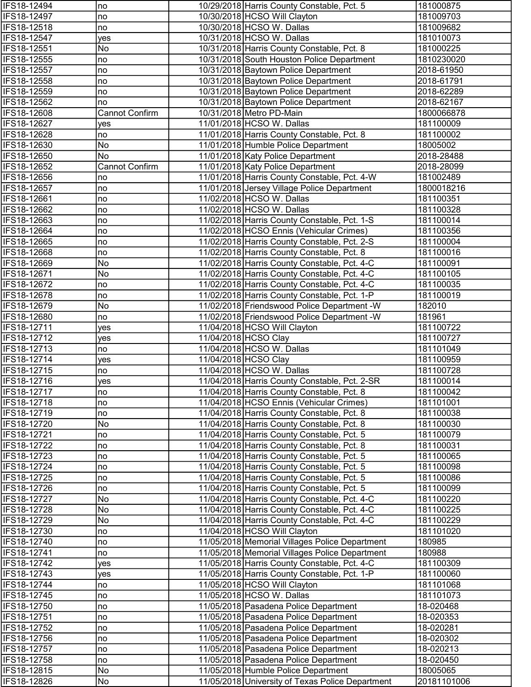| IFS18-12494                | no                    | 10/29/2018 Harris County Constable, Pct. 5        | 181000875              |
|----------------------------|-----------------------|---------------------------------------------------|------------------------|
| IFS18-12497                | no                    | 10/30/2018 HCSO Will Clayton                      | 181009703              |
| IFS18-12518                | no                    | 10/30/2018 HCSO W. Dallas                         | 181009682              |
| IFS18-12547                | yes                   | 10/31/2018 HCSO W. Dallas                         | 181010073              |
| IFS18-12551                | No                    | 10/31/2018 Harris County Constable, Pct. 8        | 181000225              |
| IFS18-12555                | no                    | 10/31/2018 South Houston Police Department        | 1810230020             |
| IFS18-12557                | no                    | 10/31/2018 Baytown Police Department              | 2018-61950             |
| IFS18-12558                | no                    | 10/31/2018 Baytown Police Department              | 2018-61791             |
| IFS18-12559                | no                    | 10/31/2018 Baytown Police Department              | 2018-62289             |
| IFS18-12562                | no                    | 10/31/2018 Baytown Police Department              | 2018-62167             |
| IFS18-12608                | <b>Cannot Confirm</b> | 10/31/2018 Metro PD-Main                          | 1800066878             |
| IFS18-12627                | yes                   | 11/01/2018 HCSO W. Dallas                         | 181100009              |
| IFS18-12628                | no                    | 11/01/2018 Harris County Constable, Pct. 8        | 181100002              |
| IFS18-12630                | No                    | 11/01/2018 Humble Police Department               | 18005002               |
| IFS18-12650                | No                    | 11/01/2018 Katy Police Department                 | 2018-28488             |
| IFS18-12652                | <b>Cannot Confirm</b> | 11/01/2018 Katy Police Department                 | 2018-28099             |
| IFS18-12656                | no                    | 11/01/2018 Harris County Constable, Pct. 4-W      | 181002489              |
| IFS18-12657                | no                    | 11/01/2018 Jersey Village Police Department       | 1800018216             |
| IFS18-12661                | no                    | 11/02/2018 HCSO W. Dallas                         | 181100351              |
| IFS18-12662                | no                    | 11/02/2018 HCSO W. Dallas                         | 181100328              |
| IFS18-12663                | no                    | 11/02/2018 Harris County Constable, Pct. 1-S      | 181100014              |
| IFS18-12664                | no                    | 11/02/2018 HCSO Ennis (Vehicular Crimes)          | 181100356              |
| IFS18-12665                | no                    | 11/02/2018 Harris County Constable, Pct. 2-S      | 181100004              |
| IFS18-12668                | no                    | 11/02/2018 Harris County Constable, Pct. 8        | 181100016              |
| IFS18-12669                | No                    | 11/02/2018 Harris County Constable, Pct. 4-C      | 181100091              |
| IFS18-12671                | No                    | 11/02/2018 Harris County Constable, Pct. 4-C      | 181100105              |
| IFS18-12672                | no                    | 11/02/2018 Harris County Constable, Pct. 4-C      | 181100035              |
| IFS18-12678                | no                    | 11/02/2018 Harris County Constable, Pct. 1-P      | 181100019              |
| IFS18-12679                | No                    | 11/02/2018 Friendswood Police Department - W      | 182010                 |
| IFS18-12680                | no                    | 11/02/2018 Friendswood Police Department -W       | 181961                 |
| IFS18-12711<br>IFS18-12712 | yes                   | 11/04/2018 HCSO Will Clayton                      | 181100722              |
| IFS18-12713                | yes                   | 11/04/2018 HCSO Clay<br>11/04/2018 HCSO W. Dallas | 181100727              |
| IFS18-12714                | no                    | 11/04/2018 HCSO Clay                              | 181101049<br>181100959 |
| IFS18-12715                | yes<br>no             | 11/04/2018 HCSO W. Dallas                         | 181100728              |
| IFS18-12716                | yes                   | 11/04/2018 Harris County Constable, Pct. 2-SR     | 181100014              |
| IFS18-12717                | no                    | 11/04/2018 Harris County Constable, Pct. 8        | 181100042              |
| IFS18-12718                | no                    | 11/04/2018 HCSO Ennis (Vehicular Crimes)          | 181101001              |
| IFS18-12719                | no                    | 11/04/2018 Harris County Constable, Pct. 8        | 181100038              |
| IFS18-12720                | No                    | 11/04/2018 Harris County Constable, Pct. 8        | 181100030              |
| IFS18-12721                | no                    | 11/04/2018 Harris County Constable, Pct. 5        | 181100079              |
| IFS18-12722                | no                    | 11/04/2018 Harris County Constable, Pct. 8        | 181100031              |
| IFS18-12723                | no                    | 11/04/2018 Harris County Constable, Pct. 5        | 181100065              |
| IFS18-12724                | no                    | 11/04/2018 Harris County Constable, Pct. 5        | 181100098              |
| IFS18-12725                | no                    | 11/04/2018 Harris County Constable, Pct. 5        | 181100086              |
| IFS18-12726                | no                    | 11/04/2018 Harris County Constable, Pct. 5        | 181100099              |
| IFS18-12727                | No                    | 11/04/2018 Harris County Constable, Pct. 4-C      | 181100220              |
| IFS18-12728                | No                    | 11/04/2018 Harris County Constable, Pct. 4-C      | 181100225              |
| IFS18-12729                | No                    | 11/04/2018 Harris County Constable, Pct. 4-C      | 181100229              |
| IFS18-12730                | no                    | 11/04/2018 HCSO Will Clayton                      | 181101020              |
| IFS18-12740                | no                    | 11/05/2018 Memorial Villages Police Department    | 180985                 |
| IFS18-12741                | no                    | 11/05/2018 Memorial Villages Police Department    | 180988                 |
| IFS18-12742                | yes                   | 11/05/2018 Harris County Constable, Pct. 4-C      | 181100309              |
| IFS18-12743                | yes                   | 11/05/2018 Harris County Constable, Pct. 1-P      | 181100060              |
| IFS18-12744                | no                    | 11/05/2018 HCSO Will Clayton                      | 181101068              |
| IFS18-12745                | no                    | 11/05/2018 HCSO W. Dallas                         | 181101073              |
| IFS18-12750                | no                    | 11/05/2018 Pasadena Police Department             | 18-020468              |
| IFS18-12751                | no                    | 11/05/2018 Pasadena Police Department             | 18-020353              |
| IFS18-12752                | no                    | 11/05/2018 Pasadena Police Department             | 18-020281              |
| IFS18-12756                | no                    | 11/05/2018 Pasadena Police Department             | 18-020302              |
| IFS18-12757                | no                    | 11/05/2018 Pasadena Police Department             | 18-020213              |
| IFS18-12758                | no                    | 11/05/2018 Pasadena Police Department             | 18-020450              |
| IFS18-12815                | No                    | 11/05/2018 Humble Police Department               | 18005065               |
| IFS18-12826                | No                    | 11/05/2018 University of Texas Police Department  | 20181101006            |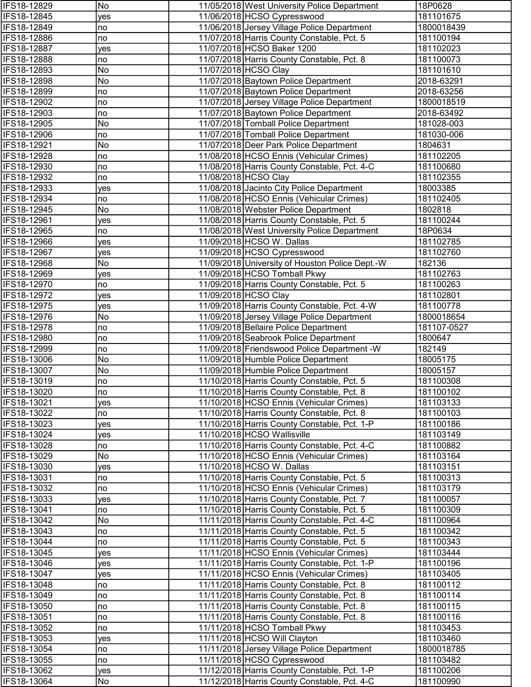| IFS18-12829                | No        | 11/05/2018 West University Police Department                                           | 18P0628                |
|----------------------------|-----------|----------------------------------------------------------------------------------------|------------------------|
| IFS18-12845                | yes       | 11/06/2018 HCSO Cypresswood                                                            | 181101675              |
| IFS18-12849                | no        | 11/06/2018 Jersey Village Police Department                                            | 1800018439             |
| IFS18-12886                | no        | 11/07/2018 Harris County Constable, Pct. 5                                             | 181100194              |
| IFS18-12887                | yes       | 11/07/2018 HCSO Baker 1200                                                             | 181102023              |
| IFS18-12888                | no        | 11/07/2018 Harris County Constable, Pct. 8                                             | 181100073              |
| IFS18-12893                | No        | 11/07/2018 HCSO Clay                                                                   | 181101610              |
| IFS18-12898                | No        | 11/07/2018 Baytown Police Department                                                   | 2018-63291             |
| IFS18-12899                | no        | 11/07/2018 Baytown Police Department                                                   | 2018-63256             |
| IFS18-12902                | no        | 11/07/2018 Jersey Village Police Department                                            | 1800018519             |
| IFS18-12903                | no        | 11/07/2018 Baytown Police Department                                                   | 2018-63492             |
| IFS18-12905                | No        | 11/07/2018 Tomball Police Department                                                   | 181028-003             |
| IFS18-12906                | no        | 11/07/2018 Tomball Police Department                                                   | 181030-006             |
| IFS18-12921                | No        | 11/07/2018 Deer Park Police Department                                                 | 1804631                |
| IFS18-12928                | no        | 11/08/2018 HCSO Ennis (Vehicular Crimes)                                               | 181102205              |
| IFS18-12930                | no        | 11/08/2018 Harris County Constable, Pct. 4-C                                           | 181100680              |
| IFS18-12932                | no        | 11/08/2018 HCSO Clay                                                                   | 181102355              |
| IFS18-12933                | yes       | 11/08/2018 Jacinto City Police Department                                              | 18003385               |
| IFS18-12934                | no        | 11/08/2018 HCSO Ennis (Vehicular Crimes)                                               | 181102405              |
| IFS18-12945                | No        | 11/08/2018 Webster Police Department                                                   | 1802818                |
| IFS18-12961                | yes       | 11/08/2018 Harris County Constable, Pct. 5                                             | 181100244              |
| IFS18-12965                | no        | 11/08/2018 West University Police Department                                           | 18P0634                |
| IFS18-12966                | yes       | 11/09/2018 HCSO W. Dallas                                                              | 181102785              |
| IFS18-12967                | yes       | 11/09/2018 HCSO Cypresswood                                                            | 181102760              |
| <b>IFS18-12968</b>         | No        | 11/09/2018 University of Houston Police Dept.-W                                        | 182136                 |
| IFS18-12969                | yes       | 11/09/2018 HCSO Tomball Pkwy                                                           | 181102763              |
| IFS18-12970                | no        | 11/09/2018 Harris County Constable, Pct. 5                                             | 181100263              |
| IFS18-12972                | yes       | 11/09/2018 HCSO Clay                                                                   | 181102801              |
| IFS18-12975                | yes       | 11/09/2018 Harris County Constable, Pct. 4-W                                           | 181100778              |
| IFS18-12976                | No        | 11/09/2018 Jersey Village Police Department                                            | 1800018654             |
| IFS18-12978                | no        | 11/09/2018 Bellaire Police Department                                                  | 181107-0527            |
| IFS18-12980                | no        | 11/09/2018 Seabrook Police Department                                                  | 1800647                |
| IFS18-12999                | no        | 11/09/2018 Friendswood Police Department -W                                            | 182149                 |
| IFS18-13006                | No        | 11/09/2018 Humble Police Department                                                    | 18005175               |
| IFS18-13007                | No        | 11/09/2018 Humble Police Department                                                    | 18005157               |
| IFS18-13019                | no        | 11/10/2018 Harris County Constable, Pct. 5                                             | 181100308              |
| IFS18-13020                | no        | 11/10/2018 Harris County Constable, Pct. 8                                             | 181100102              |
| IFS18-13021                | yes       | 11/10/2018 HCSO Ennis (Vehicular Crimes)                                               | 181103133              |
| IFS18-13022                | no        | 11/10/2018 Harris County Constable, Pct. 8                                             | 181100103              |
| IFS18-13023                | yes       | 11/10/2018 Harris County Constable, Pct. 1-P                                           | 181100186              |
| IFS18-13024                | yes       | 11/10/2018 HCSO Wallisville                                                            | 181103149              |
| IFS18-13028                | no        | 11/10/2018 Harris County Constable, Pct. 4-C                                           | 181100882              |
| IFS18-13029                | No        | 11/10/2018 HCSO Ennis (Vehicular Crimes)                                               | 181103164              |
| IFS18-13030                | yes       | 11/10/2018 HCSO W. Dallas                                                              | 181103151              |
| IFS18-13031<br>IFS18-13032 | no        | 11/10/2018 Harris County Constable, Pct. 5<br>11/10/2018 HCSO Ennis (Vehicular Crimes) | 181100313<br>181103179 |
| IFS18-13033                | no<br>yes | 11/10/2018 Harris County Constable, Pct. 7                                             | 181100057              |
| IFS18-13041                | no        | 11/10/2018 Harris County Constable, Pct. 5                                             | 181100309              |
| IFS18-13042                | No        | 11/11/2018 Harris County Constable, Pct. 4-C                                           | 181100964              |
| IFS18-13043                | no        | 11/11/2018 Harris County Constable, Pct. 5                                             | 181100342              |
| IFS18-13044                | no        | 11/11/2018 Harris County Constable, Pct. 5                                             | 181100343              |
| IFS18-13045                | yes       | 11/11/2018 HCSO Ennis (Vehicular Crimes)                                               | 181103444              |
| IFS18-13046                | yes       | 11/11/2018 Harris County Constable, Pct. 1-P                                           | 181100196              |
| IFS18-13047                | yes       | 11/11/2018 HCSO Ennis (Vehicular Crimes)                                               | 181103405              |
| IFS18-13048                | no        | 11/11/2018 Harris County Constable, Pct. 8                                             | 181100112              |
| IFS18-13049                | no        | 11/11/2018 Harris County Constable, Pct. 8                                             | 181100114              |
| IFS18-13050                | no        | 11/11/2018 Harris County Constable, Pct. 8                                             | 181100115              |
| IFS18-13051                | no        | 11/11/2018 Harris County Constable, Pct. 8                                             | 181100116              |
| IFS18-13052                | no        | 11/11/2018 HCSO Tomball Pkwy                                                           | 181103453              |
| IFS18-13053                | yes       | 11/11/2018 HCSO Will Clayton                                                           | 181103460              |
| IFS18-13054                | no        | 11/11/2018 Jersey Village Police Department                                            | 1800018785             |
| IFS18-13055                | no        | 11/11/2018 HCSO Cypresswood                                                            | 181103482              |
| IFS18-13062                | yes       | 11/12/2018 Harris County Constable, Pct. 1-P                                           | 181100206              |
| IFS18-13064                | No        | 11/12/2018 Harris County Constable, Pct. 4-C                                           | 181100990              |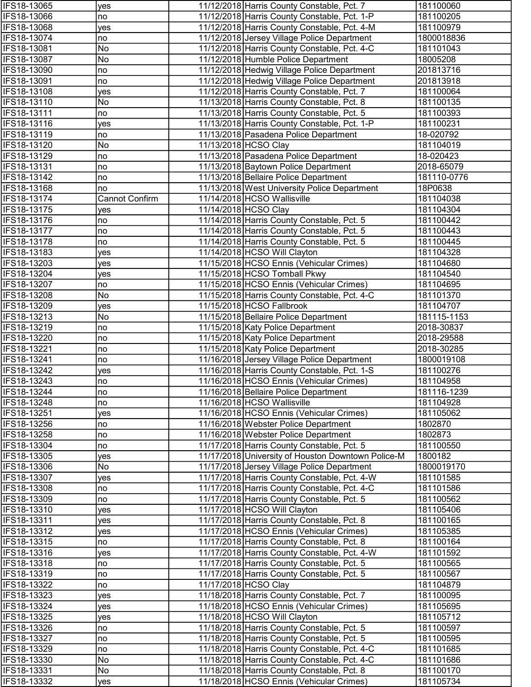| IFS18-13065        | yes            | 11/12/2018 Harris County Constable, Pct. 7         | 181100060   |
|--------------------|----------------|----------------------------------------------------|-------------|
| IFS18-13066        | no             | 11/12/2018 Harris County Constable, Pct. 1-P       | 181100205   |
| IFS18-13068        | yes            | 11/12/2018 Harris County Constable, Pct. 4-M       | 181100979   |
| IFS18-13074        | no             | 11/12/2018 Jersey Village Police Department        | 1800018836  |
| IFS18-13081        | No             | 11/12/2018 Harris County Constable, Pct. 4-C       | 181101043   |
| IFS18-13087        | No             | 11/12/2018 Humble Police Department                | 18005208    |
| IFS18-13090        | no             | 11/12/2018 Hedwig Village Police Department        | 201813716   |
| <b>IFS18-13091</b> | no             | 11/12/2018 Hedwig Village Police Department        | 201813918   |
| IFS18-13108        | yes            | 11/12/2018 Harris County Constable, Pct. 7         | 181100064   |
| IFS18-13110        | No             | 11/13/2018 Harris County Constable, Pct. 8         | 181100135   |
| IFS18-13111        | no             | 11/13/2018 Harris County Constable, Pct. 5         | 181100393   |
| IFS18-13116        | yes            | 11/13/2018 Harris County Constable, Pct. 1-P       | 181100231   |
| IFS18-13119        | no             | 11/13/2018 Pasadena Police Department              | 18-020792   |
| IFS18-13120        | No             | 11/13/2018 HCSO Clay                               | 181104019   |
| IFS18-13129        | no             | 11/13/2018 Pasadena Police Department              | 18-020423   |
| IFS18-13131        | no             | 11/13/2018 Baytown Police Department               | 2018-65079  |
| IFS18-13142        | no             | 11/13/2018 Bellaire Police Department              | 181110-0776 |
| IFS18-13168        | no             | 11/13/2018 West University Police Department       | 18P0638     |
| IFS18-13174        | Cannot Confirm | 11/14/2018 HCSO Wallisville                        | 181104038   |
| IFS18-13175        | yes            | 11/14/2018 HCSO Clay                               | 181104304   |
| IFS18-13176        | no             | 11/14/2018 Harris County Constable, Pct. 5         | 181100442   |
| IFS18-13177        | no             | 11/14/2018 Harris County Constable, Pct. 5         | 181100443   |
| IFS18-13178        | no             | 11/14/2018 Harris County Constable, Pct. 5         | 181100445   |
| IFS18-13183        | yes            | 11/14/2018 HCSO Will Clayton                       | 181104328   |
| IFS18-13203        | yes            | 11/15/2018 HCSO Ennis (Vehicular Crimes)           | 181104680   |
| IFS18-13204        | yes            | 11/15/2018 HCSO Tomball Pkwy                       | 181104540   |
| IFS18-13207        | no             | 11/15/2018 HCSO Ennis (Vehicular Crimes)           | 181104695   |
| IFS18-13208        | No             | 11/15/2018 Harris County Constable, Pct. 4-C       | 181101370   |
| IFS18-13209        | yes            | 11/15/2018 HCSO Fallbrook                          | 181104707   |
| IFS18-13213        | No             | 11/15/2018 Bellaire Police Department              | 181115-1153 |
| IFS18-13219        | no             | 11/15/2018 Katy Police Department                  | 2018-30837  |
| IFS18-13220        | no             | 11/15/2018 Katy Police Department                  | 2018-29588  |
| IFS18-13221        | no             | 11/15/2018 Katy Police Department                  | 2018-30285  |
| IFS18-13241        | no             | 11/16/2018 Jersey Village Police Department        | 1800019108  |
| IFS18-13242        | yes            | 11/16/2018 Harris County Constable, Pct. 1-S       | 181100276   |
| IFS18-13243        | no             | 11/16/2018 HCSO Ennis (Vehicular Crimes)           | 181104958   |
| <b>IFS18-13244</b> | no             | 11/16/2018 Bellaire Police Department              | 181116-1239 |
| IFS18-13248        | no             | 11/16/2018 HCSO Wallisville                        | 181104928   |
| IFS18-13251        | yes            | 11/16/2018 HCSO Ennis (Vehicular Crimes)           | 181105062   |
| IFS18-13256        | no             | 11/16/2018 Webster Police Department               | 1802870     |
| IFS18-13258        | no             | 11/16/2018 Webster Police Department               | 1802873     |
| IFS18-13304        | no             | 11/17/2018 Harris County Constable, Pct. 5         | 181100550   |
| IFS18-13305        | yes            | 11/17/2018 University of Houston Downtown Police-M | 1800182     |
| IFS18-13306        | No             | 11/17/2018 Jersey Village Police Department        | 1800019170  |
| IFS18-13307        | yes            | 11/17/2018 Harris County Constable, Pct. 4-W       | 181101585   |
| IFS18-13308        | no             | 11/17/2018 Harris County Constable, Pct. 4-C       | 181101586   |
| IFS18-13309        | no             | 11/17/2018 Harris County Constable, Pct. 5         | 181100562   |
| IFS18-13310        | yes            | 11/17/2018 HCSO Will Clayton                       | 181105406   |
| IFS18-13311        | ves            | 11/17/2018 Harris County Constable, Pct. 8         | 181100165   |
| IFS18-13312        | yes            | 11/17/2018 HCSO Ennis (Vehicular Crimes)           | 181105385   |
| IFS18-13315        | no             | 11/17/2018 Harris County Constable, Pct. 8         | 181100164   |
| IFS18-13316        | yes            | 11/17/2018 Harris County Constable, Pct. 4-W       | 181101592   |
| IFS18-13318        | no             | 11/17/2018 Harris County Constable, Pct. 5         | 181100565   |
| IFS18-13319        | no             | 11/17/2018 Harris County Constable, Pct. 5         | 181100567   |
| IFS18-13322        | no             | 11/17/2018 HCSO Clay                               | 181104879   |
| IFS18-13323        | yes            | 11/18/2018 Harris County Constable, Pct. 7         | 181100095   |
| IFS18-13324        | yes            | 11/18/2018 HCSO Ennis (Vehicular Crimes)           | 181105695   |
| IFS18-13325        | yes            | 11/18/2018 HCSO Will Clayton                       | 181105712   |
| IFS18-13326        | no             | 11/18/2018 Harris County Constable, Pct. 5         | 181100597   |
| IFS18-13327        | no             | 11/18/2018 Harris County Constable, Pct. 5         | 181100595   |
| IFS18-13329        | no             | 11/18/2018 Harris County Constable, Pct. 4-C       | 181101685   |
| IFS18-13330        | No             | 11/18/2018 Harris County Constable, Pct. 4-C       | 181101686   |
| IFS18-13331        | No             | 11/18/2018 Harris County Constable, Pct. 8         | 181100170   |
| IFS18-13332        | yes            | 11/18/2018 HCSO Ennis (Vehicular Crimes)           | 181105734   |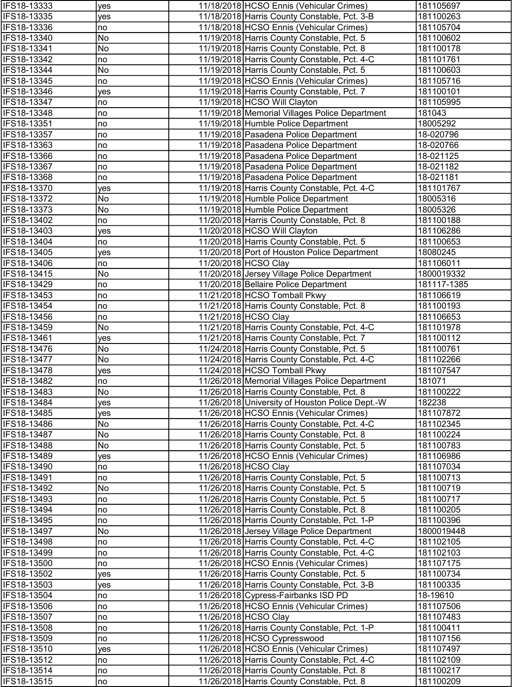| IFS18-13333                | yes      | 11/18/2018 HCSO Ennis (Vehicular Crimes)                                            | 181105697             |
|----------------------------|----------|-------------------------------------------------------------------------------------|-----------------------|
| IFS18-13335                | yes      | 11/18/2018 Harris County Constable, Pct. 3-B                                        | 181100263             |
| IFS18-13336                | no       | 11/18/2018 HCSO Ennis (Vehicular Crimes)                                            | 181105704             |
| IFS18-13340                | No       | 11/19/2018 Harris County Constable, Pct. 5                                          | 181100602             |
| IFS18-13341                | No       | 11/19/2018 Harris County Constable, Pct. 8                                          | 181100178             |
| IFS18-13342                | no       | 11/19/2018 Harris County Constable, Pct. 4-C                                        | 181101761             |
| IFS18-13344                | No       | 11/19/2018 Harris County Constable, Pct. 5                                          | 181100603             |
| IFS18-13345                | no       | 11/19/2018 HCSO Ennis (Vehicular Crimes)                                            | 181105716             |
| IFS18-13346                | yes      | 11/19/2018 Harris County Constable, Pct. 7                                          | 181100101             |
| IFS18-13347                | no       | 11/19/2018 HCSO Will Clayton                                                        | 181105995             |
| IFS18-13348                | no       | 11/19/2018 Memorial Villages Police Department                                      | 181043                |
| IFS18-13351                | no       | 11/19/2018 Humble Police Department                                                 | 18005292              |
| IFS18-13357                | no       | 11/19/2018 Pasadena Police Department                                               | 18-020796             |
| IFS18-13363                | no       | 11/19/2018 Pasadena Police Department                                               | 18-020766             |
| IFS18-13366                | no       | 11/19/2018 Pasadena Police Department                                               | 18-021125             |
| IFS18-13367                | no       | 11/19/2018 Pasadena Police Department                                               | 18-021182             |
| IFS18-13368                | no       | 11/19/2018 Pasadena Police Department                                               | 18-021181             |
| IFS18-13370                | yes      | 11/19/2018 Harris County Constable, Pct. 4-C                                        | 181101767             |
| IFS18-13372                | No       | 11/19/2018 Humble Police Department                                                 | 18005316              |
| IFS18-13373                | No       | 11/19/2018 Humble Police Department                                                 | 18005326              |
| IFS18-13402                | no       | 11/20/2018 Harris County Constable, Pct. 8                                          | 181100188             |
| IFS18-13403                | yes      | 11/20/2018 HCSO Will Clayton                                                        | 181106286             |
| IFS18-13404                | no       | 11/20/2018 Harris County Constable, Pct. 5                                          | 181100653             |
| IFS18-13405                | yes      | 11/20/2018 Port of Houston Police Department                                        | 18080245              |
| IFS18-13406                | no       | 11/20/2018 HCSO Clay                                                                | 181106011             |
| IFS18-13415                | No       | 11/20/2018 Jersey Village Police Department                                         | 1800019332            |
| IFS18-13429                | no       | 11/20/2018 Bellaire Police Department                                               | 181117-1385           |
| IFS18-13453                | no       | 11/21/2018 HCSO Tomball Pkwy                                                        | 181106619             |
| IFS18-13454                | no       | 11/21/2018 Harris County Constable, Pct. 8                                          | 181100193             |
| IFS18-13456                | no       | 11/21/2018 HCSO Clay                                                                | 181106653             |
| IFS18-13459                | No       | 11/21/2018 Harris County Constable, Pct. 4-C                                        | 181101978             |
| IFS18-13461                | yes      | 11/21/2018 Harris County Constable, Pct. 7                                          | 181100112             |
| IFS18-13476                | No       | 11/24/2018 Harris County Constable, Pct. 5                                          | 181100761             |
| IFS18-13477                | No       | 11/24/2018 Harris County Constable, Pct. 4-C                                        | 181102266             |
| IFS18-13478                | yes      | 11/24/2018 HCSO Tomball Pkwy                                                        | 181107547             |
| IFS18-13482                | no       | 11/26/2018 Memorial Villages Police Department                                      | 181071                |
| <b>IFS18-13483</b>         | No.      | 11/26/2018 Harris County Constable, Pct. 8                                          | 181100222             |
| IFS18-13484                | yes      | 11/26/2018 University of Houston Police Dept.-W                                     | 182238                |
| IFS18-13485                | yes      | 11/26/2018 HCSO Ennis (Vehicular Crimes)                                            | 181107872             |
| IFS18-13486                | No       | 11/26/2018 Harris County Constable, Pct. 4-C                                        | 181102345             |
| IFS18-13487                | No       | 11/26/2018 Harris County Constable, Pct. 8                                          | 181100224             |
| IFS18-13488                | No       | 11/26/2018 Harris County Constable, Pct. 5                                          | 181100783             |
| IFS18-13489                | yes      | 11/26/2018 HCSO Ennis (Vehicular Crimes)                                            | 181106986             |
| IFS18-13490                | no       | 11/26/2018 HCSO Clay                                                                | 181107034             |
| IFS18-13491                | no       | 11/26/2018 Harris County Constable, Pct. 5                                          | 181100713             |
| IFS18-13492                | No       | 11/26/2018 Harris County Constable, Pct. 5                                          | 181100719             |
| IFS18-13493                | no       | 11/26/2018 Harris County Constable, Pct. 5                                          | 181100717             |
| IFS18-13494                | no       | 11/26/2018 Harris County Constable, Pct. 8                                          | 181100205             |
| IFS18-13495                | no       | 11/26/2018 Harris County Constable, Pct. 1-P                                        | 181100396             |
| IFS18-13497                | No       | 11/26/2018 Jersey Village Police Department                                         | 1800019448            |
| IFS18-13498                | no       | 11/26/2018 Harris County Constable, Pct. 4-C                                        | 181102105             |
| IFS18-13499<br>IFS18-13500 | no       | 11/26/2018 Harris County Constable, Pct. 4-C                                        | 181102103             |
|                            | no       | 11/26/2018 HCSO Ennis (Vehicular Crimes)                                            | 181107175             |
| IFS18-13502                | yes      | 11/26/2018 Harris County Constable, Pct. 5                                          | 181100734             |
| IFS18-13503<br>IFS18-13504 | yes      | 11/26/2018 Harris County Constable, Pct. 3-B<br>11/26/2018 Cypress-Fairbanks ISD PD | 181100335<br>18-19610 |
| IFS18-13506                | no<br>no | 11/26/2018 HCSO Ennis (Vehicular Crimes)                                            | 181107506             |
| IFS18-13507                | no       | 11/26/2018 HCSO Clay                                                                | 181107483             |
| IFS18-13508                | no       | 11/26/2018 Harris County Constable, Pct. 1-P                                        | 181100411             |
| IFS18-13509                | no       | 11/26/2018 HCSO Cypresswood                                                         | 181107156             |
| IFS18-13510                | yes      | 11/26/2018 HCSO Ennis (Vehicular Crimes)                                            | 181107497             |
| IFS18-13512                | no       | 11/26/2018 Harris County Constable, Pct. 4-C                                        | 181102109             |
| IFS18-13514                | no       | 11/26/2018 Harris County Constable, Pct. 8                                          | 181100217             |
| IFS18-13515                | no       | 11/26/2018 Harris County Constable, Pct. 8                                          | 181100209             |
|                            |          |                                                                                     |                       |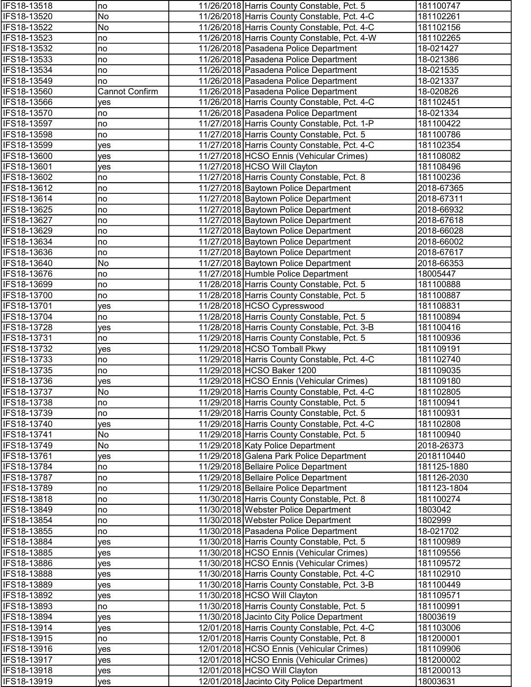| IFS18-13518                | no                    | 11/26/2018 Harris County Constable, Pct. 5                                               | 181100747              |
|----------------------------|-----------------------|------------------------------------------------------------------------------------------|------------------------|
| IFS18-13520                | No                    | 11/26/2018 Harris County Constable, Pct. 4-C                                             | 181102261              |
| IFS18-13522                | No                    | 11/26/2018 Harris County Constable, Pct. 4-C                                             | 181102156              |
| IFS18-13523                | no                    | 11/26/2018 Harris County Constable, Pct. 4-W                                             | 181102265              |
| IFS18-13532                | no                    | 11/26/2018 Pasadena Police Department                                                    | 18-021427              |
| IFS18-13533                | no                    | 11/26/2018 Pasadena Police Department                                                    | 18-021386              |
| IFS18-13534                | no                    | 11/26/2018 Pasadena Police Department                                                    | 18-021535              |
| IFS18-13549                | no                    | 11/26/2018 Pasadena Police Department                                                    | 18-021337              |
| IFS18-13560                | <b>Cannot Confirm</b> | 11/26/2018 Pasadena Police Department                                                    | 18-020826              |
| IFS18-13566                | yes                   | 11/26/2018 Harris County Constable, Pct. 4-C                                             | 181102451              |
| IFS18-13570                | no                    | 11/26/2018 Pasadena Police Department                                                    | 18-021334              |
| IFS18-13597                | no                    | 11/27/2018 Harris County Constable, Pct. 1-P                                             | 181100422              |
| IFS18-13598                | no                    | 11/27/2018 Harris County Constable, Pct. 5                                               | 181100786              |
| IFS18-13599                | yes                   | 11/27/2018 Harris County Constable, Pct. 4-C                                             | 181102354              |
| IFS18-13600                | yes                   | 11/27/2018 HCSO Ennis (Vehicular Crimes)                                                 | 181108082              |
| IFS18-13601                | yes                   | 11/27/2018 HCSO Will Clayton                                                             | 181108496              |
| IFS18-13602                | no                    | 11/27/2018 Harris County Constable, Pct. 8                                               | 181100236              |
| IFS18-13612                | no                    | 11/27/2018 Baytown Police Department                                                     | 2018-67365             |
| IFS18-13614                | no                    | 11/27/2018 Baytown Police Department                                                     | 2018-67311             |
| IFS18-13625                | no                    | 11/27/2018 Baytown Police Department                                                     | 2018-66932             |
| IFS18-13627                | no                    | 11/27/2018 Baytown Police Department                                                     | 2018-67618             |
| IFS18-13629                | no                    | 11/27/2018 Baytown Police Department                                                     | 2018-66028             |
| IFS18-13634                | no                    | 11/27/2018 Baytown Police Department                                                     | 2018-66002             |
| IFS18-13636                | no                    | 11/27/2018 Baytown Police Department                                                     | 2018-67617             |
| IFS18-13640                | No                    | 11/27/2018 Baytown Police Department                                                     | 2018-66353             |
| IFS18-13676                | no                    | 11/27/2018 Humble Police Department                                                      | 18005447               |
| IFS18-13699<br>IFS18-13700 | no                    | 11/28/2018 Harris County Constable, Pct. 5<br>11/28/2018 Harris County Constable, Pct. 5 | 181100888              |
| IFS18-13701                | no                    | 11/28/2018 HCSO Cypresswood                                                              | 181100887<br>181108831 |
| IFS18-13704                | yes<br>no             | 11/28/2018 Harris County Constable, Pct. 5                                               | 181100894              |
| IFS18-13728                |                       | 11/28/2018 Harris County Constable, Pct. 3-B                                             | 181100416              |
| IFS18-13731                | yes<br>no             | 11/29/2018 Harris County Constable, Pct. 5                                               | 181100936              |
| IFS18-13732                | yes                   | 11/29/2018 HCSO Tomball Pkwy                                                             | 181109191              |
| IFS18-13733                | no                    | 11/29/2018 Harris County Constable, Pct. 4-C                                             | 181102740              |
| IFS18-13735                | no                    | 11/29/2018 HCSO Baker 1200                                                               | 181109035              |
| IFS18-13736                | yes                   | 11/29/2018 HCSO Ennis (Vehicular Crimes)                                                 | 181109180              |
| <b>IFS18-13737</b>         | No                    | 11/29/2018 Harris County Constable, Pct. 4-C                                             | 181102805              |
| IFS18-13738                | no                    | 11/29/2018 Harris County Constable, Pct. 5                                               | 181100941              |
| IFS18-13739                | no                    | 11/29/2018 Harris County Constable, Pct. 5                                               | 181100931              |
| IFS18-13740                | yes                   | 11/29/2018 Harris County Constable, Pct. 4-C                                             | 181102808              |
| IFS18-13741                | No                    | 11/29/2018 Harris County Constable, Pct. 5                                               | 181100940              |
| IFS18-13749                | No                    | 11/29/2018 Katy Police Department                                                        | 2018-26373             |
| IFS18-13761                | yes                   | 11/29/2018 Galena Park Police Department                                                 | 2018110440             |
| IFS18-13784                | no                    | 11/29/2018 Bellaire Police Department                                                    | 181125-1880            |
| IFS18-13787                | no                    | 11/29/2018 Bellaire Police Department                                                    | 181126-2030            |
| IFS18-13789                | no                    | 11/29/2018 Bellaire Police Department                                                    | 181123-1804            |
| IFS18-13818                | no                    | 11/30/2018 Harris County Constable, Pct. 8                                               | 181100274              |
| IFS18-13849                | no                    | 11/30/2018 Webster Police Department                                                     | 1803042                |
| IFS18-13854                | no                    | 11/30/2018 Webster Police Department                                                     | 1802999                |
| IFS18-13855                | no                    | 11/30/2018 Pasadena Police Department                                                    | 18-021702              |
| IFS18-13884                | yes                   | 11/30/2018 Harris County Constable, Pct. 5                                               | 181100989              |
| IFS18-13885                | yes                   | 11/30/2018 HCSO Ennis (Vehicular Crimes)                                                 | 181109556              |
| IFS18-13886                | yes                   | 11/30/2018 HCSO Ennis (Vehicular Crimes)                                                 | 181109572              |
| IFS18-13888                | yes                   | 11/30/2018 Harris County Constable, Pct. 4-C                                             | 181102910              |
| IFS18-13889                | yes                   | 11/30/2018 Harris County Constable, Pct. 3-B                                             | 181100449              |
| IFS18-13892                | yes                   | 11/30/2018 HCSO Will Clayton                                                             | 181109571              |
| IFS18-13893                | no                    | 11/30/2018 Harris County Constable, Pct. 5                                               | 181100991              |
| IFS18-13894                | yes                   | 11/30/2018 Jacinto City Police Department                                                | 18003619               |
| IFS18-13914                | yes                   | 12/01/2018 Harris County Constable, Pct. 4-C                                             | 181103006              |
| IFS18-13915                | no                    | 12/01/2018 Harris County Constable, Pct. 8                                               | 181200001              |
| IFS18-13916                | yes                   | 12/01/2018 HCSO Ennis (Vehicular Crimes)                                                 | 181109906              |
| IFS18-13917                | yes                   | 12/01/2018 HCSO Ennis (Vehicular Crimes)                                                 | 181200002              |
| IFS18-13918                | yes                   | 12/01/2018 HCSO Will Clayton                                                             | 181200013              |
| IFS18-13919                | yes                   | 12/01/2018 Jacinto City Police Department                                                | 18003631               |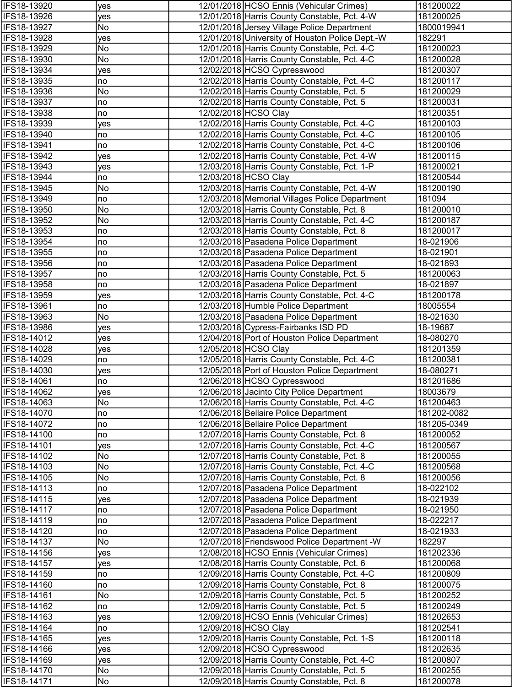| IFS18-13920                | yes       | 12/01/2018 HCSO Ennis (Vehicular Crimes)                                                   | 181200022              |
|----------------------------|-----------|--------------------------------------------------------------------------------------------|------------------------|
| IFS18-13926                | yes       | 12/01/2018 Harris County Constable, Pct. 4-W                                               | 181200025              |
| IFS18-13927                | No        | 12/01/2018 Jersey Village Police Department                                                | 1800019941             |
| IFS18-13928                | yes       | 12/01/2018 University of Houston Police Dept.-W                                            | 182291                 |
| IFS18-13929                | No        | 12/01/2018 Harris County Constable, Pct. 4-C                                               | 181200023              |
| IFS18-13930                | No        | 12/01/2018 Harris County Constable, Pct. 4-C                                               | 181200028              |
| IFS18-13934                | yes       | 12/02/2018 HCSO Cypresswood                                                                | 181200307              |
| IFS18-13935                | no        | 12/02/2018 Harris County Constable, Pct. 4-C                                               | 181200117              |
| IFS18-13936                | No        | 12/02/2018 Harris County Constable, Pct. 5                                                 | 181200029              |
| IFS18-13937                | no        | 12/02/2018 Harris County Constable, Pct. 5                                                 | 181200031              |
| IFS18-13938                | no        | 12/02/2018 HCSO Clay                                                                       | 181200351              |
| IFS18-13939                | yes       | 12/02/2018 Harris County Constable, Pct. 4-C                                               | 181200103              |
| IFS18-13940                | no        | 12/02/2018 Harris County Constable, Pct. 4-C                                               | 181200105              |
| IFS18-13941                | no        | 12/02/2018 Harris County Constable, Pct. 4-C                                               | 181200106              |
| IFS18-13942                | yes       | 12/02/2018 Harris County Constable, Pct. 4-W                                               | 181200115              |
| IFS18-13943                | yes       | 12/03/2018 Harris County Constable, Pct. 1-P                                               | 181200021              |
| IFS18-13944                | no        | 12/03/2018 HCSO Clay                                                                       | 181200544              |
| IFS18-13945                | No        | 12/03/2018 Harris County Constable, Pct. 4-W                                               | 181200190              |
| IFS18-13949                | no        | 12/03/2018 Memorial Villages Police Department                                             | 181094                 |
| IFS18-13950                | No        | 12/03/2018 Harris County Constable, Pct. 8                                                 | 181200010              |
| IFS18-13952                | No        | 12/03/2018 Harris County Constable, Pct. 4-C                                               | 181200187              |
| IFS18-13953                | no        | 12/03/2018 Harris County Constable, Pct. 8                                                 | 181200017              |
| IFS18-13954                | no        | 12/03/2018 Pasadena Police Department                                                      | 18-021906              |
| IFS18-13955                | no        | 12/03/2018 Pasadena Police Department                                                      | 18-021901              |
| IFS18-13956                | no        | 12/03/2018 Pasadena Police Department                                                      | 18-021893              |
| IFS18-13957                | no        | 12/03/2018 Harris County Constable, Pct. 5                                                 | 181200063              |
| IFS18-13958                | no        | 12/03/2018 Pasadena Police Department                                                      | 18-021897              |
| IFS18-13959                | yes       | 12/03/2018 Harris County Constable, Pct. 4-C                                               | 181200178              |
| IFS18-13961                | no        | 12/03/2018 Humble Police Department                                                        | 18005554               |
| IFS18-13963                | No        | 12/03/2018 Pasadena Police Department                                                      | 18-021630              |
| IFS18-13986                | yes       | 12/03/2018 Cypress-Fairbanks ISD PD                                                        | 18-19687               |
| IFS18-14012                | yes       | 12/04/2018 Port of Houston Police Department                                               | 18-080270              |
| IFS18-14028                | yes       | 12/05/2018 HCSO Clay                                                                       | 181201359              |
| IFS18-14029                | no        | 12/05/2018 Harris County Constable, Pct. 4-C                                               | 181200381              |
| IFS18-14030                | yes       | 12/05/2018 Port of Houston Police Department                                               | 18-080271              |
| IFS18-14061                | no        | 12/06/2018 HCSO Cypresswood                                                                | 181201686              |
| <b>IFS18-14062</b>         | yes       | 12/06/2018 Jacinto City Police Department                                                  | 18003679               |
| IFS18-14063                | No        | 12/06/2018 Harris County Constable, Pct. 4-C                                               | 181200463              |
| IFS18-14070                | no        | 12/06/2018 Bellaire Police Department                                                      | 181202-0082            |
| IFS18-14072                | no        | 12/06/2018 Bellaire Police Department                                                      | 181205-0349            |
| IFS18-14100                | no        | 12/07/2018 Harris County Constable, Pct. 8                                                 | 181200052              |
| IFS18-14101                | yes       | 12/07/2018 Harris County Constable, Pct. 4-C                                               | 181200567              |
| IFS18-14102                | No        | 12/07/2018 Harris County Constable, Pct. 8                                                 | 181200055              |
| IFS18-14103                | No        | 12/07/2018 Harris County Constable, Pct. 4-C                                               | 181200568              |
| IFS18-14105                | No        | 12/07/2018 Harris County Constable, Pct. 8                                                 | 181200056              |
| IFS18-14113                | no        | 12/07/2018 Pasadena Police Department                                                      | 18-022102              |
| IFS18-14115                | yes       | 12/07/2018 Pasadena Police Department                                                      | 18-021939              |
| IFS18-14117                | no        | 12/07/2018 Pasadena Police Department                                                      | 18-021950              |
| IFS18-14119                | no        | 12/07/2018 Pasadena Police Department                                                      | 18-022217              |
| IFS18-14120                | no        | 12/07/2018 Pasadena Police Department                                                      | 18-021933              |
| IFS18-14137                | No        | 12/07/2018 Friendswood Police Department - W                                               | 182297                 |
| IFS18-14156                | yes       | 12/08/2018 HCSO Ennis (Vehicular Crimes)                                                   | 181202336              |
| IFS18-14157                | yes       | 12/08/2018 Harris County Constable, Pct. 6                                                 | 181200068              |
| IFS18-14159                | no        | 12/09/2018 Harris County Constable, Pct. 4-C                                               | 181200809              |
| IFS18-14160                | no        | 12/09/2018 Harris County Constable, Pct. 8                                                 | 181200075              |
| IFS18-14161                | No        | 12/09/2018 Harris County Constable, Pct. 5                                                 | 181200252              |
| IFS18-14162                | no        | 12/09/2018 Harris County Constable, Pct. 5                                                 | 181200249              |
| IFS18-14163                | yes       | 12/09/2018 HCSO Ennis (Vehicular Crimes)                                                   | 181202653              |
| IFS18-14164                | no        | 12/09/2018 HCSO Clay                                                                       | 181202541              |
| IFS18-14165<br>IFS18-14166 | yes       | 12/09/2018 Harris County Constable, Pct. 1-S<br>12/09/2018 HCSO Cypresswood                | 181200118<br>181202635 |
|                            | yes       |                                                                                            |                        |
| IFS18-14169<br>IFS18-14170 | yes<br>No | 12/09/2018 Harris County Constable, Pct. 4-C<br>12/09/2018 Harris County Constable, Pct. 5 | 181200807<br>181200255 |
| IFS18-14171                | No        | 12/09/2018 Harris County Constable, Pct. 8                                                 | 181200078              |
|                            |           |                                                                                            |                        |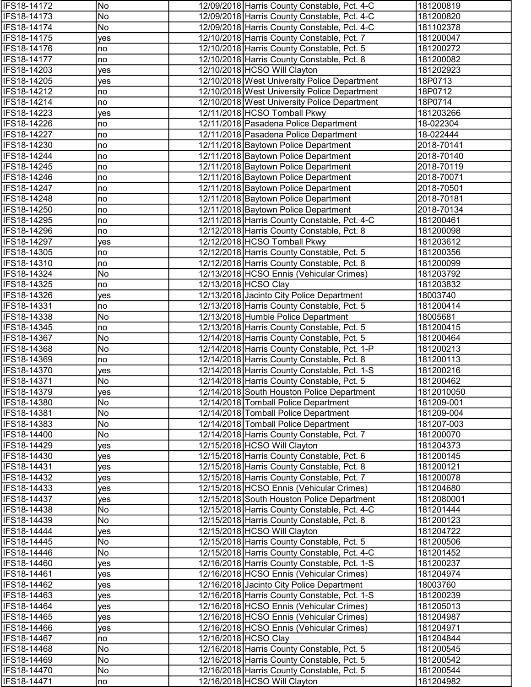| IFS18-14172                | No       | 12/09/2018 Harris County Constable, Pct. 4-C                                      | 181200819             |
|----------------------------|----------|-----------------------------------------------------------------------------------|-----------------------|
| IFS18-14173                | No       | 12/09/2018 Harris County Constable, Pct. 4-C                                      | 181200820             |
| IFS18-14174                | No       | 12/09/2018 Harris County Constable, Pct. 4-C                                      | 181102378             |
| IFS18-14175                | yes      | 12/10/2018 Harris County Constable, Pct. 7                                        | 181200047             |
| IFS18-14176                | no       | 12/10/2018 Harris County Constable, Pct. 5                                        | 181200272             |
| IFS18-14177                | no       | 12/10/2018 Harris County Constable, Pct. 8                                        | 181200082             |
| IFS18-14203                | yes      | 12/10/2018 HCSO Will Clayton                                                      | 181202923             |
| IFS18-14205                | yes      | 12/10/2018 West University Police Department                                      | 18P0713               |
| IFS18-14212                | no       | 12/10/2018 West University Police Department                                      | 18P0712               |
| IFS18-14214                | no       | 12/10/2018 West University Police Department                                      | 18P0714               |
| IFS18-14223                | yes      | 12/11/2018 HCSO Tomball Pkwy                                                      | 181203266             |
| IFS18-14226                | no       | 12/11/2018 Pasadena Police Department                                             | 18-022304             |
| IFS18-14227                | no       | 12/11/2018 Pasadena Police Department                                             | 18-022444             |
| IFS18-14230                | no       | 12/11/2018 Baytown Police Department                                              | 2018-70141            |
| IFS18-14244                | no       | 12/11/2018 Baytown Police Department                                              | 2018-70140            |
| IFS18-14245                | no       | 12/11/2018 Baytown Police Department                                              | 2018-70119            |
| IFS18-14246                | no       | 12/11/2018 Baytown Police Department                                              | 2018-70071            |
| IFS18-14247                | no       | 12/11/2018 Baytown Police Department                                              | 2018-70501            |
| IFS18-14248                | no       | 12/11/2018 Baytown Police Department                                              | 2018-70181            |
| IFS18-14250                | no       | 12/11/2018 Baytown Police Department                                              | 2018-70134            |
| IFS18-14295                | no       | 12/11/2018 Harris County Constable, Pct. 4-C                                      | 181200461             |
| IFS18-14296                | no       | 12/12/2018 Harris County Constable, Pct. 8                                        | 181200098             |
| IFS18-14297                | yes      | 12/12/2018 HCSO Tomball Pkwy                                                      | 181203612             |
| IFS18-14305                | no       | 12/12/2018 Harris County Constable, Pct. 5                                        | 181200356             |
| IFS18-14310                | no       | 12/12/2018 Harris County Constable, Pct. 8                                        | 181200099             |
| IFS18-14324                | No       | 12/13/2018 HCSO Ennis (Vehicular Crimes)                                          | 181203792             |
| IFS18-14325                | no       | 12/13/2018 HCSO Clay                                                              | 181203832             |
| IFS18-14326                | yes      | 12/13/2018 Jacinto City Police Department                                         | 18003740              |
| IFS18-14331<br>IFS18-14338 | no<br>No | 12/13/2018 Harris County Constable, Pct. 5                                        | 181200414<br>18005681 |
| IFS18-14345                |          | 12/13/2018 Humble Police Department<br>12/13/2018 Harris County Constable, Pct. 5 | 181200415             |
| IFS18-14367                | no<br>No | 12/14/2018 Harris County Constable, Pct. 5                                        | 181200464             |
| IFS18-14368                | No       | 12/14/2018 Harris County Constable, Pct. 1-P                                      | 181200213             |
| IFS18-14369                | no       | 12/14/2018 Harris County Constable, Pct. 8                                        | 181200113             |
| IFS18-14370                | yes      | 12/14/2018 Harris County Constable, Pct. 1-S                                      | 181200216             |
| IFS18-14371                | No       | 12/14/2018 Harris County Constable, Pct. 5                                        | 181200462             |
| <b>IFS18-14379</b>         | yes      | 12/14/2018 South Houston Police Department                                        | 1812010050            |
| IFS18-14380                | No       | 12/14/2018 Tomball Police Department                                              | 181209-001            |
| IFS18-14381                | No       | 12/14/2018 Tomball Police Department                                              | 181209-004            |
| IFS18-14383                | No       | 12/14/2018 Tomball Police Department                                              | 181207-003            |
| IFS18-14400                | No       | 12/14/2018 Harris County Constable, Pct. 7                                        | 181200070             |
| IFS18-14429                | yes      | 12/15/2018 HCSO Will Clayton                                                      | 181204373             |
| IFS18-14430                | yes      | 12/15/2018 Harris County Constable, Pct. 6                                        | 181200145             |
| IFS18-14431                | yes      | 12/15/2018 Harris County Constable, Pct. 8                                        | 181200121             |
| IFS18-14432                | yes      | 12/15/2018 Harris County Constable, Pct. 7                                        | 181200078             |
| IFS18-14433                | yes      | 12/15/2018 HCSO Ennis (Vehicular Crimes)                                          | 181204680             |
| IFS18-14437                | yes      | 12/15/2018 South Houston Police Department                                        | 1812080001            |
| IFS18-14438                | No       | 12/15/2018 Harris County Constable, Pct. 4-C                                      | 181201444             |
| IFS18-14439                | No       | 12/15/2018 Harris County Constable, Pct. 8                                        | 181200123             |
| IFS18-14444                | yes      | 12/15/2018 HCSO Will Clayton                                                      | 181204722             |
| IFS18-14445                | No       | 12/15/2018 Harris County Constable, Pct. 5                                        | 181200506             |
| IFS18-14446                | No       | 12/15/2018 Harris County Constable, Pct. 4-C                                      | 181201452             |
| IFS18-14460                | yes      | 12/16/2018 Harris County Constable, Pct. 1-S                                      | 181200237             |
| IFS18-14461                | yes      | 12/16/2018 HCSO Ennis (Vehicular Crimes)                                          | 181204974             |
| IFS18-14462                | yes      | 12/16/2018 Jacinto City Police Department                                         | 18003760              |
| IFS18-14463                | yes      | 12/16/2018 Harris County Constable, Pct. 1-S                                      | 181200239             |
| IFS18-14464                | yes      | 12/16/2018 HCSO Ennis (Vehicular Crimes)                                          | 181205013             |
| IFS18-14465                | yes      | 12/16/2018 HCSO Ennis (Vehicular Crimes)                                          | 181204987             |
| IFS18-14466                | yes      | 12/16/2018 HCSO Ennis (Vehicular Crimes)                                          | 181204971             |
| IFS18-14467                | no       | 12/16/2018 HCSO Clay                                                              | 181204844             |
| IFS18-14468                | No       | 12/16/2018 Harris County Constable, Pct. 5                                        | 181200545             |
| IFS18-14469                | No       | 12/16/2018 Harris County Constable, Pct. 5                                        | 181200542             |
| IFS18-14470                | No       | 12/16/2018 Harris County Constable, Pct. 5                                        | 181200544             |
| IFS18-14471                | no       | 12/16/2018 HCSO Will Clayton                                                      | 181204982             |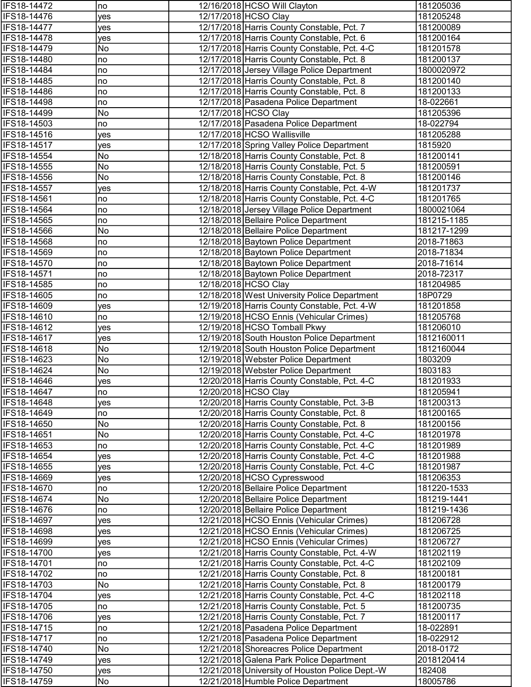| IFS18-14472        | no         | 12/16/2018 HCSO Will Clayton                    | 181205036   |
|--------------------|------------|-------------------------------------------------|-------------|
| IFS18-14476        | yes        | 12/17/2018 HCSO Clay                            | 181205248   |
| IFS18-14477        | yes        | 12/17/2018 Harris County Constable, Pct. 7      | 181200089   |
| IFS18-14478        | yes        | 12/17/2018 Harris County Constable, Pct. 6      | 181200164   |
| IFS18-14479        | No         | 12/17/2018 Harris County Constable, Pct. 4-C    | 181201578   |
| IFS18-14480        | no         | 12/17/2018 Harris County Constable, Pct. 8      | 181200137   |
| IFS18-14484        | no         | 12/17/2018 Jersey Village Police Department     | 1800020972  |
| IFS18-14485        | no         | 12/17/2018 Harris County Constable, Pct. 8      | 181200140   |
| IFS18-14486        | no         | 12/17/2018 Harris County Constable, Pct. 8      | 181200133   |
| IFS18-14498        | no         | 12/17/2018 Pasadena Police Department           | 18-022661   |
| IFS18-14499        | No         | 12/17/2018 HCSO Clay                            | 181205396   |
| IFS18-14503        | no         | 12/17/2018 Pasadena Police Department           | 18-022794   |
| IFS18-14516        | yes        | 12/17/2018 HCSO Wallisville                     | 181205288   |
| IFS18-14517        | yes        | 12/17/2018 Spring Valley Police Department      | 1815920     |
| IFS18-14554        | No         | 12/18/2018 Harris County Constable, Pct. 8      | 181200141   |
| IFS18-14555        | No         | 12/18/2018 Harris County Constable, Pct. 5      | 181200591   |
| IFS18-14556        | No         | 12/18/2018 Harris County Constable, Pct. 8      | 181200146   |
| IFS18-14557        | yes        | 12/18/2018 Harris County Constable, Pct. 4-W    | 181201737   |
| IFS18-14561        | no         | 12/18/2018 Harris County Constable, Pct. 4-C    | 181201765   |
| IFS18-14564        | no         | 12/18/2018 Jersey Village Police Department     | 1800021064  |
| IFS18-14565        | no         | 12/18/2018 Bellaire Police Department           | 181215-1185 |
| IFS18-14566        | No         | 12/18/2018 Bellaire Police Department           | 181217-1299 |
| IFS18-14568        | no         | 12/18/2018 Baytown Police Department            | 2018-71863  |
| IFS18-14569        | no         | 12/18/2018 Baytown Police Department            | 2018-71834  |
| IFS18-14570        | no         | 12/18/2018 Baytown Police Department            | 2018-71614  |
| IFS18-14571        | no         | 12/18/2018 Baytown Police Department            | 2018-72317  |
| IFS18-14585        | no         | 12/18/2018 HCSO Clay                            | 181204985   |
| IFS18-14605        | no         | 12/18/2018 West University Police Department    | 18P0729     |
| IFS18-14609        | yes        | 12/19/2018 Harris County Constable, Pct. 4-W    | 181201858   |
| IFS18-14610        | no         | 12/19/2018 HCSO Ennis (Vehicular Crimes)        | 181205768   |
| IFS18-14612        | yes        | 12/19/2018 HCSO Tomball Pkwy                    | 181206010   |
| IFS18-14617        | <b>ves</b> | 12/19/2018 South Houston Police Department      | 1812160011  |
| IFS18-14618        | No         | 12/19/2018 South Houston Police Department      | 1812160044  |
| IFS18-14623        | No         | 12/19/2018 Webster Police Department            | 1803209     |
| IFS18-14624        | No         | 12/19/2018 Webster Police Department            | 1803183     |
| IFS18-14646        | yes        | 12/20/2018 Harris County Constable, Pct. 4-C    | 181201933   |
| <b>IFS18-14647</b> | no         | 12/20/2018 HCSO Clay                            | 181205941   |
| IFS18-14648        | yes        | 12/20/2018 Harris County Constable, Pct. 3-B    | 181200313   |
| IFS18-14649        | no         | 12/20/2018 Harris County Constable, Pct. 8      | 181200165   |
| IFS18-14650        | No         | 12/20/2018 Harris County Constable, Pct. 8      | 181200156   |
| IFS18-14651        | No         | 12/20/2018 Harris County Constable, Pct. 4-C    | 181201978   |
| IFS18-14653        | no         | 12/20/2018 Harris County Constable, Pct. 4-C    | 181201989   |
| IFS18-14654        | yes        | 12/20/2018 Harris County Constable, Pct. 4-C    | 181201988   |
| IFS18-14655        | yes        | 12/20/2018 Harris County Constable, Pct. 4-C    | 181201987   |
| IFS18-14669        | yes        | 12/20/2018 HCSO Cypresswood                     | 181206353   |
| IFS18-14670        | no         | 12/20/2018 Bellaire Police Department           | 181220-1533 |
| IFS18-14674        | No         | 12/20/2018 Bellaire Police Department           | 181219-1441 |
| IFS18-14676        | no         | 12/20/2018 Bellaire Police Department           | 181219-1436 |
| IFS18-14697        | yes        | 12/21/2018 HCSO Ennis (Vehicular Crimes)        | 181206728   |
| IFS18-14698        | yes        | 12/21/2018 HCSO Ennis (Vehicular Crimes)        | 181206725   |
| IFS18-14699        | yes        | 12/21/2018 HCSO Ennis (Vehicular Crimes)        | 181206727   |
| IFS18-14700        | yes        | 12/21/2018 Harris County Constable, Pct. 4-W    | 181202119   |
| IFS18-14701        | no         | 12/21/2018 Harris County Constable, Pct. 4-C    | 181202109   |
| IFS18-14702        | no         | 12/21/2018 Harris County Constable, Pct. 8      | 181200181   |
| IFS18-14703        | No         | 12/21/2018 Harris County Constable, Pct. 8      | 181200179   |
| IFS18-14704        | yes        | 12/21/2018 Harris County Constable, Pct. 4-C    | 181202118   |
| IFS18-14705        | no         | 12/21/2018 Harris County Constable, Pct. 5      | 181200735   |
| IFS18-14706        | yes        | 12/21/2018 Harris County Constable, Pct. 7      | 181200117   |
| IFS18-14715        | no         | 12/21/2018 Pasadena Police Department           | 18-022891   |
| IFS18-14717        | no         | 12/21/2018 Pasadena Police Department           | 18-022912   |
| IFS18-14740        | No         | 12/21/2018 Shoreacres Police Department         | 2018-0172   |
| IFS18-14749        | yes        | 12/21/2018 Galena Park Police Department        | 2018120414  |
| IFS18-14750        | yes        | 12/21/2018 University of Houston Police Dept.-W | 182408      |
| IFS18-14759        | No         | 12/21/2018 Humble Police Department             | 18005786    |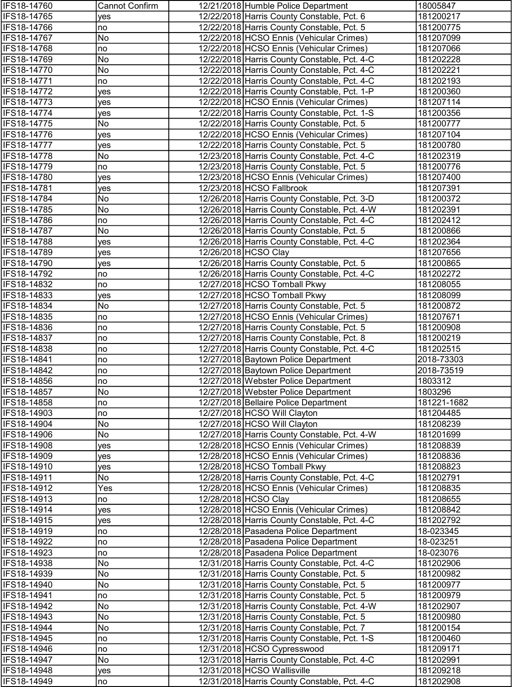| IFS18-14760                | <b>Cannot Confirm</b> | 12/21/2018 Humble Police Department                                                        | 18005847               |
|----------------------------|-----------------------|--------------------------------------------------------------------------------------------|------------------------|
| IFS18-14765                | yes                   | 12/22/2018 Harris County Constable, Pct. 6                                                 | 181200217              |
| IFS18-14766                | no                    | 12/22/2018 Harris County Constable, Pct. 5                                                 | 181200775              |
| IFS18-14767                | No                    | 12/22/2018 HCSO Ennis (Vehicular Crimes)                                                   | 181207099              |
| IFS18-14768                | no                    | 12/22/2018 HCSO Ennis (Vehicular Crimes)                                                   | 181207066              |
| IFS18-14769                | No                    | 12/22/2018 Harris County Constable, Pct. 4-C                                               | 181202228              |
| IFS18-14770                | No                    | 12/22/2018 Harris County Constable, Pct. 4-C                                               | 181202221              |
| IFS18-14771                | no                    | 12/22/2018 Harris County Constable, Pct. 4-C                                               | 181202193              |
| IFS18-14772                | yes                   | 12/22/2018 Harris County Constable, Pct. 1-P                                               | 181200360              |
| IFS18-14773                | yes                   | 12/22/2018 HCSO Ennis (Vehicular Crimes)                                                   | 181207114              |
| IFS18-14774                | yes                   | 12/22/2018 Harris County Constable, Pct. 1-S                                               | 181200356              |
| IFS18-14775                | No                    | 12/22/2018 Harris County Constable, Pct. 5                                                 | 181200777              |
| IFS18-14776                | yes                   | 12/22/2018 HCSO Ennis (Vehicular Crimes)                                                   | 181207104<br>181200780 |
| IFS18-14777<br>IFS18-14778 | ves<br>No             | 12/22/2018 Harris County Constable, Pct. 5<br>12/23/2018 Harris County Constable, Pct. 4-C | 181202319              |
| IFS18-14779                | no                    | 12/23/2018 Harris County Constable, Pct. 5                                                 | 181200776              |
| IFS18-14780                | yes                   | 12/23/2018 HCSO Ennis (Vehicular Crimes)                                                   | 181207400              |
| IFS18-14781                | yes                   | 12/23/2018 HCSO Fallbrook                                                                  | 181207391              |
| IFS18-14784                | No                    | 12/26/2018 Harris County Constable, Pct. 3-D                                               | 181200372              |
| IFS18-14785                | No                    | 12/26/2018 Harris County Constable, Pct. 4-W                                               | 181202391              |
| IFS18-14786                | no                    | 12/26/2018 Harris County Constable, Pct. 4-C                                               | 181202412              |
| IFS18-14787                | No                    | 12/26/2018 Harris County Constable, Pct. 5                                                 | 181200866              |
| IFS18-14788                | yes                   | 12/26/2018 Harris County Constable, Pct. 4-C                                               | 181202364              |
| IFS18-14789                | yes                   | 12/26/2018 HCSO Clay                                                                       | 181207656              |
| IFS18-14790                | yes                   | 12/26/2018 Harris County Constable, Pct. 5                                                 | 181200865              |
| IFS18-14792                | no                    | 12/26/2018 Harris County Constable, Pct. 4-C                                               | 181202272              |
| IFS18-14832                | no                    | 12/27/2018 HCSO Tomball Pkwy                                                               | 181208055              |
| IFS18-14833                | yes                   | 12/27/2018 HCSO Tomball Pkwy                                                               | 181208099              |
| IFS18-14834                | No                    | 12/27/2018 Harris County Constable, Pct. 5                                                 | 181200872              |
| IFS18-14835                | no                    | 12/27/2018 HCSO Ennis (Vehicular Crimes)                                                   | 181207671              |
| IFS18-14836                | no                    | 12/27/2018 Harris County Constable, Pct. 5                                                 | 181200908              |
| IFS18-14837                | no                    | 12/27/2018 Harris County Constable, Pct. 8                                                 | 181200219              |
| IFS18-14838                | no                    | 12/27/2018 Harris County Constable, Pct. 4-C                                               | 181202515              |
| IFS18-14841                | no                    | 12/27/2018 Baytown Police Department                                                       | 2018-73303             |
| IFS18-14842                | no                    | 12/27/2018 Baytown Police Department                                                       | 2018-73519             |
| IFS18-14856                | no                    | 12/27/2018 Webster Police Department                                                       | 1803312                |
| IFS18-14857                | No                    | 12/27/2018 Webster Police Department                                                       | 1803296                |
| IFS18-14858                | no                    | 12/27/2018 Bellaire Police Department                                                      | 181221-1682            |
| IFS18-14903<br>IFS18-14904 | no<br>No              | 12/27/2018 HCSO Will Clayton<br>12/27/2018 HCSO Will Clayton                               | 181204485<br>181208239 |
| IFS18-14906                | No                    | 12/27/2018 Harris County Constable, Pct. 4-W                                               | 181201699              |
| IFS18-14908                | yes                   | 12/28/2018 HCSO Ennis (Vehicular Crimes)                                                   | 181208839              |
| IFS18-14909                | yes                   | 12/28/2018 HCSO Ennis (Vehicular Crimes)                                                   | 181208836              |
| IFS18-14910                | yes                   | 12/28/2018 HCSO Tomball Pkwy                                                               | 181208823              |
| IFS18-14911                | No                    | 12/28/2018 Harris County Constable, Pct. 4-C                                               | 181202791              |
| IFS18-14912                | Yes                   | 12/28/2018 HCSO Ennis (Vehicular Crimes)                                                   | 181208835              |
| IFS18-14913                | no                    | 12/28/2018 HCSO Clay                                                                       | 181208655              |
| IFS18-14914                | <b>ves</b>            | 12/28/2018 HCSO Ennis (Vehicular Crimes)                                                   | 181208842              |
| IFS18-14915                | yes                   | 12/28/2018 Harris County Constable, Pct. 4-C                                               | 181202792              |
| IFS18-14919                | no                    | 12/28/2018 Pasadena Police Department                                                      | 18-023345              |
| IFS18-14922                | no                    | 12/28/2018 Pasadena Police Department                                                      | 18-023251              |
| IFS18-14923                | no                    | 12/28/2018 Pasadena Police Department                                                      | 18-023076              |
| IFS18-14938                | No                    | 12/31/2018 Harris County Constable, Pct. 4-C                                               | 181202906              |
| IFS18-14939                | No                    | 12/31/2018 Harris County Constable, Pct. 5                                                 | 181200982              |
| IFS18-14940                | No                    | 12/31/2018 Harris County Constable, Pct. 5                                                 | 181200977              |
| IFS18-14941                | no                    | 12/31/2018 Harris County Constable, Pct. 5                                                 | 181200979              |
| IFS18-14942                | No                    | 12/31/2018 Harris County Constable, Pct. 4-W                                               | 181202907              |
| IFS18-14943                | No                    | 12/31/2018 Harris County Constable, Pct. 5                                                 | 181200980              |
| IFS18-14944<br>IFS18-14945 | No                    | 12/31/2018 Harris County Constable, Pct. 7                                                 | 181200154<br>181200460 |
| IFS18-14946                | no<br>no              | 12/31/2018 Harris County Constable, Pct. 1-S<br>12/31/2018 HCSO Cypresswood                | 181209171              |
| IFS18-14947                | No                    | 12/31/2018 Harris County Constable, Pct. 4-C                                               | 181202991              |
| IFS18-14948                | yes                   | 12/31/2018 HCSO Wallisville                                                                | 181209218              |
| IFS18-14949                | no                    | 12/31/2018 Harris County Constable, Pct. 4-C                                               | 181202908              |
|                            |                       |                                                                                            |                        |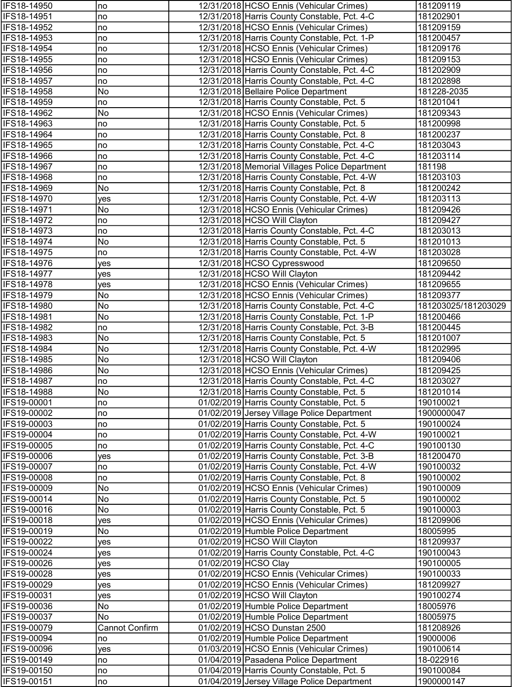| IFS18-14950                | no                    | 12/31/2018 HCSO Ennis (Vehicular Crimes)                                               | 181209119              |
|----------------------------|-----------------------|----------------------------------------------------------------------------------------|------------------------|
| IFS18-14951                | no                    | 12/31/2018 Harris County Constable, Pct. 4-C                                           | 181202901              |
| IFS18-14952                | no                    | 12/31/2018 HCSO Ennis (Vehicular Crimes)                                               | 181209159              |
| IFS18-14953                | no                    | 12/31/2018 Harris County Constable, Pct. 1-P                                           | 181200457              |
| IFS18-14954                | no                    | 12/31/2018 HCSO Ennis (Vehicular Crimes)                                               | 181209176              |
| IFS18-14955                | no                    | 12/31/2018 HCSO Ennis (Vehicular Crimes)                                               | 181209153              |
| IFS18-14956                | no                    | 12/31/2018 Harris County Constable, Pct. 4-C                                           | 181202909              |
| IFS18-14957                | no                    | 12/31/2018 Harris County Constable, Pct. 4-C                                           | 181202898              |
| IFS18-14958                | No                    | 12/31/2018 Bellaire Police Department                                                  | 181228-2035            |
| IFS18-14959                | no                    | 12/31/2018 Harris County Constable, Pct. 5                                             | 181201041              |
| IFS18-14962                | No                    | 12/31/2018 HCSO Ennis (Vehicular Crimes)                                               | 181209343              |
| IFS18-14963                | no                    | 12/31/2018 Harris County Constable, Pct. 5                                             | 181200998              |
| IFS18-14964                | no                    | 12/31/2018 Harris County Constable, Pct. 8                                             | 181200237              |
| IFS18-14965                | no                    | 12/31/2018 Harris County Constable, Pct. 4-C                                           | 181203043              |
| IFS18-14966                | no                    | 12/31/2018 Harris County Constable, Pct. 4-C                                           | 181203114              |
| IFS18-14967                | no                    | 12/31/2018 Memorial Villages Police Department                                         | 181198                 |
| IFS18-14968                | no                    | 12/31/2018 Harris County Constable, Pct. 4-W                                           | 181203103              |
| IFS18-14969                | No                    | 12/31/2018 Harris County Constable, Pct. 8                                             | 181200242              |
| IFS18-14970                | yes                   | 12/31/2018 Harris County Constable, Pct. 4-W                                           | 181203113              |
| IFS18-14971                | No                    | 12/31/2018 HCSO Ennis (Vehicular Crimes)                                               | 181209426              |
| IFS18-14972                | no                    | 12/31/2018 HCSO Will Clayton                                                           | 181209427              |
| IFS18-14973                | no                    | 12/31/2018 Harris County Constable, Pct. 4-C                                           | 181203013              |
| IFS18-14974                | No                    | 12/31/2018 Harris County Constable, Pct. 5                                             | 181201013              |
| IFS18-14975                | no                    | 12/31/2018 Harris County Constable, Pct. 4-W                                           | 181203028              |
| IFS18-14976                | yes                   | 12/31/2018 HCSO Cypresswood                                                            | 181209650              |
| IFS18-14977                | yes                   | 12/31/2018 HCSO Will Clayton                                                           | 181209442              |
| IFS18-14978                | yes                   | 12/31/2018 HCSO Ennis (Vehicular Crimes)                                               | 181209655              |
| IFS18-14979                | No                    | 12/31/2018 HCSO Ennis (Vehicular Crimes)                                               | 181209377              |
| IFS18-14980                | No                    | 12/31/2018 Harris County Constable, Pct. 4-C                                           | 181203025/181203029    |
| IFS18-14981                | No                    | 12/31/2018 Harris County Constable, Pct. 1-P                                           | 181200466              |
| IFS18-14982                | no                    | 12/31/2018 Harris County Constable, Pct. 3-B                                           | 181200445              |
| IFS18-14983                | No                    | 12/31/2018 Harris County Constable, Pct. 5                                             | 181201007              |
| IFS18-14984                | No                    | 12/31/2018 Harris County Constable, Pct. 4-W                                           | 181202995              |
| IFS18-14985                | No                    | 12/31/2018 HCSO Will Clayton                                                           | 181209406              |
| IFS18-14986                | No                    | 12/31/2018 HCSO Ennis (Vehicular Crimes)                                               | 181209425              |
| IFS18-14987                | no                    | 12/31/2018 Harris County Constable, Pct. 4-C                                           | 181203027              |
| <b>IFS18-14988</b>         | No.                   | 12/31/2018 Harris County Constable, Pct. 5                                             | 181201014              |
| IFS19-00001                | no                    | 01/02/2019 Harris County Constable, Pct. 5                                             | 190100021              |
| IFS19-00002                | no                    | 01/02/2019 Jersey Village Police Department                                            | 1900000047             |
| IFS19-00003                | no                    | 01/02/2019 Harris County Constable, Pct. 5                                             | 190100024              |
| IFS19-00004                | no                    | 01/02/2019 Harris County Constable, Pct. 4-W                                           | 190100021              |
| IFS19-00005                | no                    | 01/02/2019 Harris County Constable, Pct. 4-C                                           | 190100130              |
| IFS19-00006                | yes                   | 01/02/2019 Harris County Constable, Pct. 3-B                                           | 181200470              |
| IFS19-00007                | no                    | 01/02/2019 Harris County Constable, Pct. 4-W                                           | 190100032              |
| IFS19-00008<br>IFS19-00009 | no<br>No              | 01/02/2019 Harris County Constable, Pct. 8<br>01/02/2019 HCSO Ennis (Vehicular Crimes) | 190100002<br>190100009 |
| IFS19-00014                | No                    | 01/02/2019 Harris County Constable, Pct. 5                                             | 190100002              |
| IFS19-00016                | No                    | 01/02/2019 Harris County Constable, Pct. 5                                             | 190100003              |
| IFS19-00018                |                       | 01/02/2019 HCSO Ennis (Vehicular Crimes)                                               | 181209906              |
| IFS19-00019                | yes<br>No             | 01/02/2019 Humble Police Department                                                    | 18005995               |
| IFS19-00022                | yes                   | 01/02/2019 HCSO Will Clayton                                                           | 181209937              |
| IFS19-00024                |                       | 01/02/2019 Harris County Constable, Pct. 4-C                                           | 190100043              |
| IFS19-00026                | yes                   | 01/02/2019 HCSO Clay                                                                   | 190100005              |
| IFS19-00028                | yes                   | 01/02/2019 HCSO Ennis (Vehicular Crimes)                                               | 190100033              |
| IFS19-00029                | yes<br>yes            | 01/02/2019 HCSO Ennis (Vehicular Crimes)                                               | 181209927              |
| IFS19-00031                | yes                   | 01/02/2019 HCSO Will Clayton                                                           | 190100274              |
| IFS19-00036                | No                    | 01/02/2019 Humble Police Department                                                    | 18005976               |
| IFS19-00037                | No                    | 01/02/2019 Humble Police Department                                                    | 18005975               |
| IFS19-00079                | <b>Cannot Confirm</b> | 01/02/2019 HCSO Dunstan 2500                                                           | 181208926              |
| IFS19-00094                | no                    | 01/02/2019 Humble Police Department                                                    | 19000006               |
| IFS19-00096                | yes                   | 01/03/2019 HCSO Ennis (Vehicular Crimes)                                               | 190100614              |
| IFS19-00149                | no                    | 01/04/2019 Pasadena Police Department                                                  | 18-022916              |
| IFS19-00150                | no                    | 01/04/2019 Harris County Constable, Pct. 5                                             | 190100084              |
| IFS19-00151                | no                    | 01/04/2019 Jersey Village Police Department                                            | 1900000147             |
|                            |                       |                                                                                        |                        |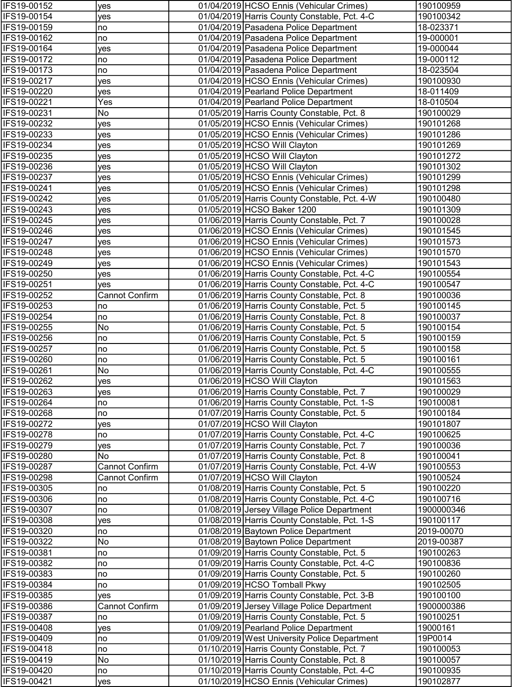| IFS19-00152 | yes                   | 01/04/2019 HCSO Ennis (Vehicular Crimes)     | 190100959  |
|-------------|-----------------------|----------------------------------------------|------------|
| IFS19-00154 | yes                   | 01/04/2019 Harris County Constable, Pct. 4-C | 190100342  |
| IFS19-00159 | no                    | 01/04/2019 Pasadena Police Department        | 18-023371  |
| IFS19-00162 | no                    | 01/04/2019 Pasadena Police Department        | 19-000001  |
| IFS19-00164 | yes                   | 01/04/2019 Pasadena Police Department        | 19-000044  |
| IFS19-00172 | no                    | 01/04/2019 Pasadena Police Department        | 19-000112  |
| IFS19-00173 | no                    | 01/04/2019 Pasadena Police Department        | 18-023504  |
| IFS19-00217 | yes                   | 01/04/2019 HCSO Ennis (Vehicular Crimes)     | 190100930  |
| IFS19-00220 | yes                   | 01/04/2019 Pearland Police Department        | 18-011409  |
| IFS19-00221 | Yes                   | 01/04/2019 Pearland Police Department        | 18-010504  |
| IFS19-00231 | No                    | 01/05/2019 Harris County Constable, Pct. 8   | 190100029  |
| IFS19-00232 | yes                   | 01/05/2019 HCSO Ennis (Vehicular Crimes)     | 190101268  |
| IFS19-00233 | yes                   | 01/05/2019 HCSO Ennis (Vehicular Crimes)     | 190101286  |
| IFS19-00234 | yes                   | 01/05/2019 HCSO Will Clayton                 | 190101269  |
| IFS19-00235 | yes                   | 01/05/2019 HCSO Will Clayton                 | 190101272  |
| IFS19-00236 | yes                   | 01/05/2019 HCSO Will Clayton                 | 190101302  |
| IFS19-00237 | yes                   | 01/05/2019 HCSO Ennis (Vehicular Crimes)     | 190101299  |
| IFS19-00241 | yes                   | 01/05/2019 HCSO Ennis (Vehicular Crimes)     | 190101298  |
| IFS19-00242 | yes                   | 01/05/2019 Harris County Constable, Pct. 4-W | 190100480  |
| IFS19-00243 | yes                   | 01/05/2019 HCSO Baker 1200                   | 190101309  |
| IFS19-00245 | yes                   | 01/06/2019 Harris County Constable, Pct. 7   | 190100028  |
| IFS19-00246 | yes                   | 01/06/2019 HCSO Ennis (Vehicular Crimes)     | 190101545  |
| IFS19-00247 | yes                   | 01/06/2019 HCSO Ennis (Vehicular Crimes)     | 190101573  |
| IFS19-00248 | ves                   | 01/06/2019 HCSO Ennis (Vehicular Crimes)     | 190101570  |
| IFS19-00249 | yes                   | 01/06/2019 HCSO Ennis (Vehicular Crimes)     | 190101543  |
| IFS19-00250 | yes                   | 01/06/2019 Harris County Constable, Pct. 4-C | 190100554  |
| IFS19-00251 | yes                   | 01/06/2019 Harris County Constable, Pct. 4-C | 190100547  |
| IFS19-00252 | <b>Cannot Confirm</b> | 01/06/2019 Harris County Constable, Pct. 8   | 190100036  |
| IFS19-00253 | no                    | 01/06/2019 Harris County Constable, Pct. 5   | 190100145  |
| IFS19-00254 | no                    | 01/06/2019 Harris County Constable, Pct. 8   | 190100037  |
| IFS19-00255 | No                    | 01/06/2019 Harris County Constable, Pct. 5   | 190100154  |
| IFS19-00256 | no                    | 01/06/2019 Harris County Constable, Pct. 5   | 190100159  |
| IFS19-00257 | no                    | 01/06/2019 Harris County Constable, Pct. 5   | 190100158  |
| IFS19-00260 | no                    | 01/06/2019 Harris County Constable, Pct. 5   | 190100161  |
| IFS19-00261 | No                    | 01/06/2019 Harris County Constable, Pct. 4-C | 190100555  |
| IFS19-00262 | yes                   | 01/06/2019 HCSO Will Clayton                 | 190101563  |
| IFS19-00263 | yes                   | 01/06/2019 Harris County Constable, Pct. 7   | 190100029  |
| IFS19-00264 | no                    | 01/06/2019 Harris County Constable, Pct. 1-S | 190100081  |
| IFS19-00268 | no                    | 01/07/2019 Harris County Constable, Pct. 5   | 190100184  |
| IFS19-00272 | yes                   | 01/07/2019 HCSO Will Clayton                 | 190101807  |
| IFS19-00278 | no                    | 01/07/2019 Harris County Constable, Pct. 4-C | 190100625  |
| IFS19-00279 | yes                   | 01/07/2019 Harris County Constable, Pct. 7   | 190100036  |
| IFS19-00280 | No                    | 01/07/2019 Harris County Constable, Pct. 8   | 190100041  |
| IFS19-00287 | <b>Cannot Confirm</b> | 01/07/2019 Harris County Constable, Pct. 4-W | 190100553  |
| IFS19-00298 | <b>Cannot Confirm</b> | 01/07/2019 HCSO Will Clayton                 | 190100524  |
| IFS19-00305 | no                    | 01/08/2019 Harris County Constable, Pct. 5   | 190100220  |
| IFS19-00306 | no                    | 01/08/2019 Harris County Constable, Pct. 4-C | 190100716  |
| IFS19-00307 | no                    | 01/08/2019 Jersey Village Police Department  | 1900000346 |
| IFS19-00308 | ves                   | 01/08/2019 Harris County Constable, Pct. 1-S | 190100117  |
| IFS19-00320 | no                    | 01/08/2019 Baytown Police Department         | 2019-00070 |
| IFS19-00322 | No                    | 01/08/2019 Baytown Police Department         | 2019-00387 |
| IFS19-00381 | no                    | 01/09/2019 Harris County Constable, Pct. 5   | 190100263  |
| IFS19-00382 | no                    | 01/09/2019 Harris County Constable, Pct. 4-C | 190100836  |
| IFS19-00383 | no                    | 01/09/2019 Harris County Constable, Pct. 5   | 190100260  |
| IFS19-00384 | no                    | 01/09/2019 HCSO Tomball Pkwy                 | 190102505  |
| IFS19-00385 | yes                   | 01/09/2019 Harris County Constable, Pct. 3-B | 190100100  |
| IFS19-00386 | <b>Cannot Confirm</b> | 01/09/2019 Jersey Village Police Department  | 1900000386 |
| IFS19-00387 | no                    | 01/09/2019 Harris County Constable, Pct. 5   | 190100251  |
| IFS19-00408 | yes                   | 01/09/2019 Pearland Police Department        | 19000161   |
| IFS19-00409 | no                    | 01/09/2019 West University Police Department | 19P0014    |
| IFS19-00418 | no                    | 01/10/2019 Harris County Constable, Pct. 7   | 190100053  |
| IFS19-00419 | No                    | 01/10/2019 Harris County Constable, Pct. 8   | 190100057  |
| IFS19-00420 | no                    | 01/10/2019 Harris County Constable, Pct. 4-C | 190100935  |
| IFS19-00421 | yes                   | 01/10/2019 HCSO Ennis (Vehicular Crimes)     | 190102877  |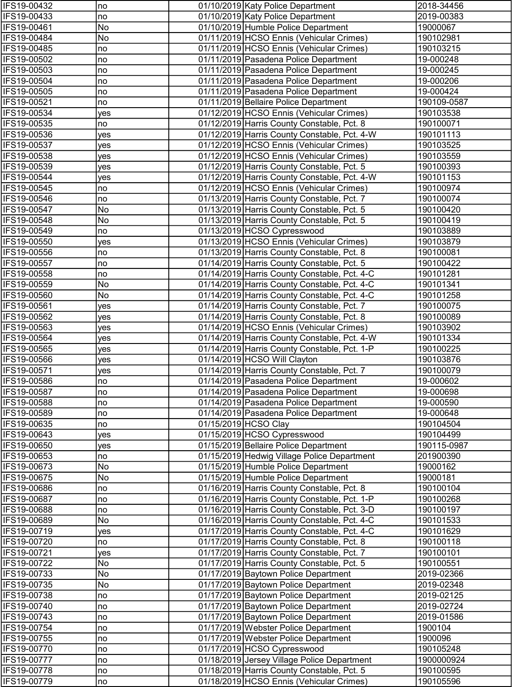| IFS19-00432                | no         | 01/10/2019 Katy Police Department                                                    | 2018-34456               |
|----------------------------|------------|--------------------------------------------------------------------------------------|--------------------------|
| IFS19-00433                | no         | 01/10/2019 Katy Police Department                                                    | 2019-00383               |
| IFS19-00461                | No         | 01/10/2019 Humble Police Department                                                  | 19000067                 |
| IFS19-00484                | No         | 01/11/2019 HCSO Ennis (Vehicular Crimes)                                             | 190102981                |
| IFS19-00485                | no         | 01/11/2019 HCSO Ennis (Vehicular Crimes)                                             | 190103215                |
| IFS19-00502                | no         | 01/11/2019 Pasadena Police Department                                                | 19-000248                |
| IFS19-00503                | no         | 01/11/2019 Pasadena Police Department                                                | 19-000245                |
| IFS19-00504                | no         | 01/11/2019 Pasadena Police Department                                                | 19-000206                |
| IFS19-00505                | no         | 01/11/2019 Pasadena Police Department                                                | 19-000424                |
| IFS19-00521                | no         | 01/11/2019 Bellaire Police Department                                                | 190109-0587              |
| IFS19-00534                | yes        | 01/12/2019 HCSO Ennis (Vehicular Crimes)                                             | 190103538                |
| IFS19-00535                | no         | 01/12/2019 Harris County Constable, Pct. 8                                           | 190100071                |
| IFS19-00536                | yes        | 01/12/2019 Harris County Constable, Pct. 4-W                                         | 190101113                |
| IFS19-00537                | yes        | 01/12/2019 HCSO Ennis (Vehicular Crimes)                                             | 190103525                |
| IFS19-00538                | <b>ves</b> | 01/12/2019 HCSO Ennis (Vehicular Crimes)                                             | 190103559                |
| IFS19-00539                | ves        | 01/12/2019 Harris County Constable, Pct. 5                                           | 190100393                |
| IFS19-00544                | yes        | 01/12/2019 Harris County Constable, Pct. 4-W                                         | 190101153                |
| IFS19-00545                | no         | 01/12/2019 HCSO Ennis (Vehicular Crimes)                                             | 190100974                |
| IFS19-00546                | no         | 01/13/2019 Harris County Constable, Pct. 7                                           | 190100074                |
| IFS19-00547                | No         | 01/13/2019 Harris County Constable, Pct. 5                                           | 190100420                |
| IFS19-00548                | No         | 01/13/2019 Harris County Constable, Pct. 5                                           | 190100419                |
| IFS19-00549                | no         | 01/13/2019 HCSO Cypresswood                                                          | 190103889                |
| IFS19-00550                | yes        | 01/13/2019 HCSO Ennis (Vehicular Crimes)                                             | 190103879                |
| IFS19-00556                | no         | 01/13/2019 Harris County Constable, Pct. 8                                           | 190100081                |
| IFS19-00557                | no         | 01/14/2019 Harris County Constable, Pct. 5                                           | 190100422                |
| IFS19-00558                | no         | 01/14/2019 Harris County Constable, Pct. 4-C                                         | 190101281                |
| IFS19-00559                | No         | 01/14/2019 Harris County Constable, Pct. 4-C                                         | 190101341                |
| IFS19-00560                | No         | 01/14/2019 Harris County Constable, Pct. 4-C                                         | 190101258                |
| IFS19-00561                | yes        | 01/14/2019 Harris County Constable, Pct. 7                                           | 190100075                |
| IFS19-00562                | yes        | 01/14/2019 Harris County Constable, Pct. 8                                           | 190100089                |
| IFS19-00563                | yes        | 01/14/2019 HCSO Ennis (Vehicular Crimes)                                             | 190103902                |
| IFS19-00564                | yes        | 01/14/2019 Harris County Constable, Pct. 4-W                                         | 190101334                |
| IFS19-00565                | yes        | 01/14/2019 Harris County Constable, Pct. 1-P                                         | 190100225                |
| IFS19-00566                | yes        | 01/14/2019 HCSO Will Clayton                                                         | 190103876                |
| IFS19-00571                | yes        | 01/14/2019 Harris County Constable, Pct. 7                                           | 190100079                |
| IFS19-00586                | no         | 01/14/2019 Pasadena Police Department                                                | 19-000602                |
| <b>IFS19-00587</b>         | no         | 01/14/2019 Pasadena Police Department                                                | 19-000698                |
| IFS19-00588                | no         | 01/14/2019 Pasadena Police Department                                                | 19-000590                |
| IFS19-00589                | no         | 01/14/2019 Pasadena Police Department                                                | 19-000648                |
| IFS19-00635                | no         | 01/15/2019 HCSO Clay                                                                 | 190104504                |
| IFS19-00643<br>IFS19-00650 | yes        | 01/15/2019 HCSO Cypresswood                                                          | 190104499<br>190115-0987 |
| IFS19-00653                | yes<br>no  | 01/15/2019 Bellaire Police Department<br>01/15/2019 Hedwig Village Police Department | 201900390                |
| IFS19-00673                | No         | 01/15/2019 Humble Police Department                                                  | 19000162                 |
| IFS19-00675                | No         | 01/15/2019 Humble Police Department                                                  | 19000181                 |
| IFS19-00686                | no         | 01/16/2019 Harris County Constable, Pct. 8                                           | 190100104                |
| IFS19-00687                | no         | 01/16/2019 Harris County Constable, Pct. 1-P                                         | 190100268                |
| IFS19-00688                | no         | 01/16/2019 Harris County Constable, Pct. 3-D                                         | 190100197                |
| IFS19-00689                | No         | 01/16/2019 Harris County Constable, Pct. 4-C                                         | 190101533                |
| IFS19-00719                | yes        | 01/17/2019 Harris County Constable, Pct. 4-C                                         | 190101629                |
| IFS19-00720                | no         | 01/17/2019 Harris County Constable, Pct. 8                                           | 190100118                |
| IFS19-00721                | yes        | 01/17/2019 Harris County Constable, Pct. 7                                           | 190100101                |
| IFS19-00722                | No         | 01/17/2019 Harris County Constable, Pct. 5                                           | 190100551                |
| IFS19-00733                | No         | 01/17/2019 Baytown Police Department                                                 | 2019-02366               |
| IFS19-00735                | No         | 01/17/2019 Baytown Police Department                                                 | 2019-02348               |
| IFS19-00738                | no         | 01/17/2019 Baytown Police Department                                                 | 2019-02125               |
| IFS19-00740                | no         | 01/17/2019 Baytown Police Department                                                 | 2019-02724               |
| IFS19-00743                | no         | 01/17/2019 Baytown Police Department                                                 | 2019-01586               |
| IFS19-00754                | no         | 01/17/2019 Webster Police Department                                                 | 1900104                  |
| IFS19-00755                | no         | 01/17/2019 Webster Police Department                                                 | 1900096                  |
| IFS19-00770                | no         | 01/17/2019 HCSO Cypresswood                                                          | 190105248                |
| IFS19-00777                | no         | 01/18/2019 Jersey Village Police Department                                          | 1900000924               |
| IFS19-00778                | no         | 01/18/2019 Harris County Constable, Pct. 5                                           | 190100595                |
| IFS19-00779                | no         | 01/18/2019 HCSO Ennis (Vehicular Crimes)                                             | 190105596                |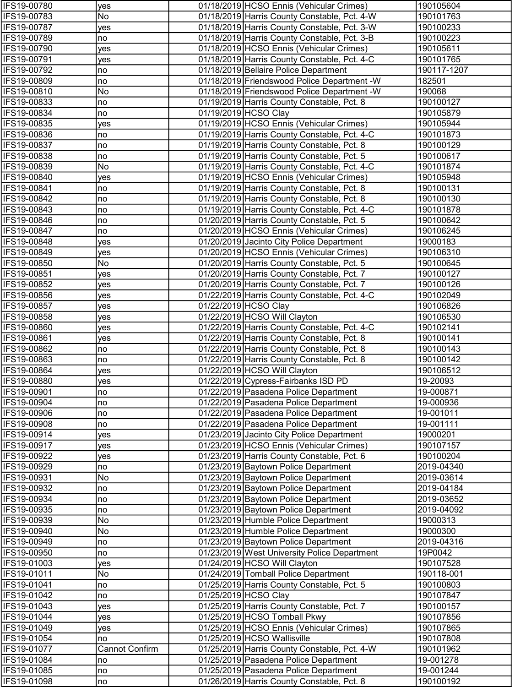| IFS19-00780                | yes                   | 01/18/2019 HCSO Ennis (Vehicular Crimes)                                           | 190105604                |
|----------------------------|-----------------------|------------------------------------------------------------------------------------|--------------------------|
| IFS19-00783                | No                    | 01/18/2019 Harris County Constable, Pct. 4-W                                       | 190101763                |
| IFS19-00787                | yes                   | 01/18/2019 Harris County Constable, Pct. 3-W                                       | 190100233                |
| IFS19-00789                | no                    | 01/18/2019 Harris County Constable, Pct. 3-B                                       | 190100223                |
| IFS19-00790                | yes                   | 01/18/2019 HCSO Ennis (Vehicular Crimes)                                           | 190105611                |
| IFS19-00791                | yes                   | 01/18/2019 Harris County Constable, Pct. 4-C                                       | 190101765                |
| IFS19-00792                | no                    | 01/18/2019 Bellaire Police Department                                              | 190117-1207              |
| IFS19-00809                | no                    | 01/18/2019 Friendswood Police Department - W                                       | 182501                   |
| IFS19-00810                | No                    | 01/18/2019 Friendswood Police Department - W                                       | 190068                   |
| IFS19-00833                | no                    | 01/19/2019 Harris County Constable, Pct. 8                                         | 190100127                |
| IFS19-00834                | no                    | 01/19/2019 HCSO Clay                                                               | 190105879                |
| IFS19-00835                | yes                   | 01/19/2019 HCSO Ennis (Vehicular Crimes)                                           | 190105944                |
| IFS19-00836                | no                    | 01/19/2019 Harris County Constable, Pct. 4-C                                       | 190101873                |
| IFS19-00837                | no                    | 01/19/2019 Harris County Constable, Pct. 8                                         | 190100129                |
| IFS19-00838                | no                    | 01/19/2019 Harris County Constable, Pct. 5                                         | 190100617                |
| IFS19-00839                | No                    | 01/19/2019 Harris County Constable, Pct. 4-C                                       | 190101874                |
| IFS19-00840                | yes                   | 01/19/2019 HCSO Ennis (Vehicular Crimes)                                           | 190105948                |
| IFS19-00841                | no                    | 01/19/2019 Harris County Constable, Pct. 8                                         | 190100131                |
| IFS19-00842                | no                    | 01/19/2019 Harris County Constable, Pct. 8                                         | 190100130                |
| IFS19-00843                | no                    | 01/19/2019 Harris County Constable, Pct. 4-C                                       | 190101878                |
| IFS19-00846                | no                    | 01/20/2019 Harris County Constable, Pct. 5                                         | 190100642                |
| IFS19-00847                | no                    | 01/20/2019 HCSO Ennis (Vehicular Crimes)                                           | 190106245                |
| IFS19-00848                | yes                   | 01/20/2019 Jacinto City Police Department                                          | 19000183                 |
| IFS19-00849                | yes                   | 01/20/2019 HCSO Ennis (Vehicular Crimes)                                           | 190106310                |
| IFS19-00850                | No                    | 01/20/2019 Harris County Constable, Pct. 5                                         | 190100645                |
| IFS19-00851                | yes                   | 01/20/2019 Harris County Constable, Pct. 7                                         | 190100127                |
| IFS19-00852                | yes                   | 01/20/2019 Harris County Constable, Pct. 7                                         | 190100126                |
| IFS19-00856                | yes                   | 01/22/2019 Harris County Constable, Pct. 4-C                                       | 190102049                |
| IFS19-00857                | yes                   | 01/22/2019 HCSO Clay                                                               | 190106826                |
| IFS19-00858                | yes                   | 01/22/2019 HCSO Will Clayton                                                       | 190106530                |
| IFS19-00860                | yes                   | 01/22/2019 Harris County Constable, Pct. 4-C                                       | 190102141                |
| IFS19-00861                | <b>ves</b>            | 01/22/2019 Harris County Constable, Pct. 8                                         | 190100141                |
| IFS19-00862                | no                    | 01/22/2019 Harris County Constable, Pct. 8                                         | 190100143                |
| IFS19-00863                | no                    | 01/22/2019 Harris County Constable, Pct. 8                                         | 190100142                |
| IFS19-00864                | yes                   | 01/22/2019 HCSO Will Clayton                                                       | 190106512                |
| IFS19-00880                | yes                   | 01/22/2019 Cypress-Fairbanks ISD PD                                                | 19-20093                 |
| <b>IFS19-00901</b>         | no                    | 01/22/2019 Pasadena Police Department                                              | 19-000871                |
| IFS19-00904                | no                    | 01/22/2019 Pasadena Police Department                                              | 19-000936                |
| IFS19-00906                | no                    | 01/22/2019 Pasadena Police Department                                              | 19-001011                |
| IFS19-00908                | no                    | 01/22/2019 Pasadena Police Department                                              | 19-001111                |
| IFS19-00914                | yes                   | 01/23/2019 Jacinto City Police Department                                          | 19000201                 |
| IFS19-00917                | yes                   | 01/23/2019 HCSO Ennis (Vehicular Crimes)                                           | 190107157                |
| IFS19-00922                | yes                   | 01/23/2019 Harris County Constable, Pct. 6<br>01/23/2019 Baytown Police Department | 190100204                |
| IFS19-00929<br>IFS19-00931 | no                    |                                                                                    | 2019-04340<br>2019-03614 |
| IFS19-00932                | No                    | 01/23/2019 Baytown Police Department<br>01/23/2019 Baytown Police Department       | 2019-04184               |
| IFS19-00934                | no<br>no              | 01/23/2019 Baytown Police Department                                               | 2019-03652               |
| IFS19-00935                | no                    | 01/23/2019 Baytown Police Department                                               | 2019-04092               |
| IFS19-00939                | No                    | 01/23/2019 Humble Police Department                                                | 19000313                 |
| IFS19-00940                | No                    | 01/23/2019 Humble Police Department                                                | 19000300                 |
| IFS19-00949                | no                    | 01/23/2019 Baytown Police Department                                               | 2019-04316               |
| IFS19-00950                | no                    | 01/23/2019 West University Police Department                                       | 19P0042                  |
| IFS19-01003                | yes                   | 01/24/2019 HCSO Will Clayton                                                       | 190107528                |
| IFS19-01011                | No                    | 01/24/2019 Tomball Police Department                                               | 190118-001               |
| IFS19-01041                | no                    | 01/25/2019 Harris County Constable, Pct. 5                                         | 190100803                |
| IFS19-01042                | no                    | 01/25/2019 HCSO Clay                                                               | 190107847                |
| IFS19-01043                | yes                   | 01/25/2019 Harris County Constable, Pct. 7                                         | 190100157                |
| IFS19-01044                | yes                   | 01/25/2019 HCSO Tomball Pkwy                                                       | 190107856                |
| IFS19-01049                | yes                   | 01/25/2019 HCSO Ennis (Vehicular Crimes)                                           | 190107865                |
| IFS19-01054                | no                    | 01/25/2019 HCSO Wallisville                                                        | 190107808                |
| IFS19-01077                | <b>Cannot Confirm</b> | 01/25/2019 Harris County Constable, Pct. 4-W                                       | 190101962                |
| IFS19-01084                | no                    | 01/25/2019 Pasadena Police Department                                              | 19-001278                |
| IFS19-01085                | no                    | 01/25/2019 Pasadena Police Department                                              | 19-001244                |
| IFS19-01098                | no                    | 01/26/2019 Harris County Constable, Pct. 8                                         | 190100192                |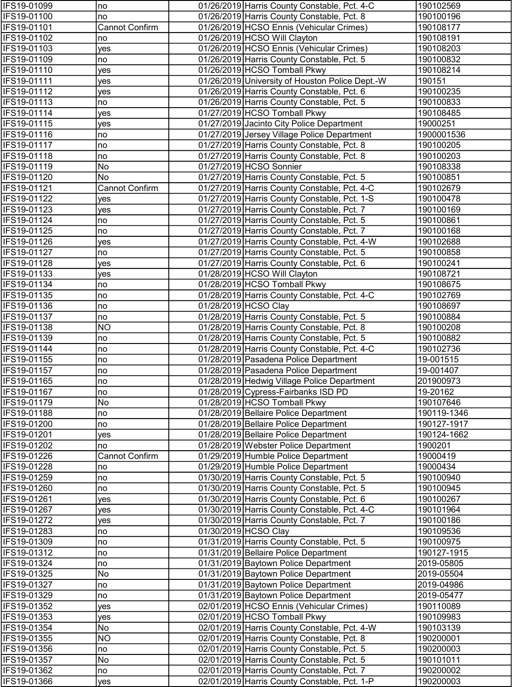| IFS19-01099                | Ino                   | 01/26/2019 Harris County Constable, Pct. 4-C                                             | 190102569              |
|----------------------------|-----------------------|------------------------------------------------------------------------------------------|------------------------|
| IFS19-01100                | no                    | 01/26/2019 Harris County Constable, Pct. 8                                               | 190100196              |
| IFS19-01101                | Cannot Confirm        | 01/26/2019 HCSO Ennis (Vehicular Crimes)                                                 | 190108177              |
| IFS19-01102                | no                    | 01/26/2019 HCSO Will Clayton                                                             | 190108191              |
| IFS19-01103                | yes                   | 01/26/2019 HCSO Ennis (Vehicular Crimes)                                                 | 190108203              |
| IFS19-01109                | no                    | 01/26/2019 Harris County Constable, Pct. 5                                               | 190100832              |
| IFS19-01110                | yes                   | 01/26/2019 HCSO Tomball Pkwy                                                             | 190108214              |
| IFS19-01111                | yes                   | 01/26/2019 University of Houston Police Dept.-W                                          | 190151                 |
| IFS19-01112                | yes                   | 01/26/2019 Harris County Constable, Pct. 6                                               | 190100235              |
| IFS19-01113                | no                    | 01/26/2019 Harris County Constable, Pct. 5                                               | 190100833              |
| IFS19-01114                | yes                   | 01/27/2019 HCSO Tomball Pkwy                                                             | 190108485              |
| IFS19-01115                | yes                   | 01/27/2019 Jacinto City Police Department                                                | 19000251               |
| IFS19-01116                | no                    | 01/27/2019 Jersey Village Police Department                                              | 1900001536             |
| IFS19-01117                | no                    | 01/27/2019 Harris County Constable, Pct. 8                                               | 190100205              |
| IFS19-01118                | no                    | 01/27/2019 Harris County Constable, Pct. 8                                               | 190100203              |
| IFS19-01119                | No                    | 01/27/2019 HCSO Sonnier                                                                  | 190108338              |
| IFS19-01120                | No                    | 01/27/2019 Harris County Constable, Pct. 5                                               | 190100851              |
| IFS19-01121                | Cannot Confirm        | 01/27/2019 Harris County Constable, Pct. 4-C                                             | 190102679              |
| IFS19-01122                | yes                   | 01/27/2019 Harris County Constable, Pct. 1-S                                             | 190100478              |
| IFS19-01123                | yes                   | 01/27/2019 Harris County Constable, Pct. 7                                               | 190100169              |
| IFS19-01124                | no                    | 01/27/2019 Harris County Constable, Pct. 5                                               | 190100861              |
| IFS19-01125                | no                    | 01/27/2019 Harris County Constable, Pct. 7                                               | 190100168              |
| IFS19-01126                | yes                   | 01/27/2019 Harris County Constable, Pct. 4-W                                             | 190102688              |
| IFS19-01127                | no                    | 01/27/2019 Harris County Constable, Pct. 5                                               | 190100858              |
| IFS19-01128                | yes                   | 01/27/2019 Harris County Constable, Pct. 6                                               | 190100241              |
| IFS19-01133                | yes                   | 01/28/2019 HCSO Will Clayton                                                             | 190108721              |
| IFS19-01134                | no                    | 01/28/2019 HCSO Tomball Pkwy                                                             | 190108675              |
| IFS19-01135                | no                    | 01/28/2019 Harris County Constable, Pct. 4-C                                             | 190102769              |
| IFS19-01136                | no                    | 01/28/2019 HCSO Clay                                                                     | 190108697              |
| IFS19-01137<br>IFS19-01138 | no<br>N <sub>O</sub>  | 01/28/2019 Harris County Constable, Pct. 5<br>01/28/2019 Harris County Constable, Pct. 8 | 190100884<br>190100208 |
| IFS19-01139                | no                    | 01/28/2019 Harris County Constable, Pct. 5                                               | 190100882              |
| IFS19-01144                | no                    | 01/28/2019 Harris County Constable, Pct. 4-C                                             | 190102736              |
| IFS19-01155                | no                    | 01/28/2019 Pasadena Police Department                                                    | 19-001515              |
| IFS19-01157                | no                    | 01/28/2019 Pasadena Police Department                                                    | 19-001407              |
| IFS19-01165                | no                    | 01/28/2019 Hedwig Village Police Department                                              | 201900973              |
| <b>IFS19-01167</b>         | no                    | 01/28/2019 Cypress-Fairbanks ISD PD                                                      | 19-20162               |
| IFS19-01179                | No                    | 01/28/2019 HCSO Tomball Pkwy                                                             | 190107646              |
| IFS19-01188                | no                    | 01/28/2019 Bellaire Police Department                                                    | 190119-1346            |
| IFS19-01200                | no                    | 01/28/2019 Bellaire Police Department                                                    | 190127-1917            |
| IFS19-01201                | yes                   | 01/28/2019 Bellaire Police Department                                                    | 190124-1662            |
| IFS19-01202                | no                    | 01/28/2019 Webster Police Department                                                     | 1900201                |
| IFS19-01226                | <b>Cannot Confirm</b> | 01/29/2019 Humble Police Department                                                      | 19000419               |
| IFS19-01228                | no                    | 01/29/2019 Humble Police Department                                                      | 19000434               |
| IFS19-01259                | no                    | 01/30/2019 Harris County Constable, Pct. 5                                               | 190100940              |
| IFS19-01260                | no                    | 01/30/2019 Harris County Constable, Pct. 5                                               | 190100945              |
| IFS19-01261                | yes                   | 01/30/2019 Harris County Constable, Pct. 6                                               | 190100267              |
| IFS19-01267                | yes                   | 01/30/2019 Harris County Constable, Pct. 4-C                                             | 190101964              |
| IFS19-01272                | <b>ves</b>            | 01/30/2019 Harris County Constable, Pct. 7                                               | 190100186              |
| IFS19-01283                | no                    | 01/30/2019 HCSO Clay                                                                     | 190109536              |
| IFS19-01309                | no                    | 01/31/2019 Harris County Constable, Pct. 5                                               | 190100975              |
| IFS19-01312                | no                    | 01/31/2019 Bellaire Police Department                                                    | 190127-1915            |
| IFS19-01324                | no                    | 01/31/2019 Baytown Police Department                                                     | 2019-05805             |
| IFS19-01325                | No                    | 01/31/2019 Baytown Police Department                                                     | 2019-05504             |
| IFS19-01327                | no                    | 01/31/2019 Baytown Police Department                                                     | 2019-04986             |
| IFS19-01329                | no                    | 01/31/2019 Baytown Police Department                                                     | 2019-05477             |
| IFS19-01352                | yes                   | 02/01/2019 HCSO Ennis (Vehicular Crimes)                                                 | 190110089              |
| IFS19-01353                | yes                   | 02/01/2019 HCSO Tomball Pkwy                                                             | 190109983              |
| IFS19-01354                | No                    | 02/01/2019 Harris County Constable, Pct. 4-W                                             | 190103139              |
| IFS19-01355                | NO                    | 02/01/2019 Harris County Constable, Pct. 8                                               | 190200001              |
| IFS19-01356                | no                    | 02/01/2019 Harris County Constable, Pct. 5                                               | 190200003              |
| IFS19-01357                | No                    | 02/01/2019 Harris County Constable, Pct. 5                                               | 190101011              |
| IFS19-01362                | no                    | 02/01/2019 Harris County Constable, Pct. 7                                               | 190200002              |
| IFS19-01366                | yes                   | 02/01/2019 Harris County Constable, Pct. 1-P                                             | 190200003              |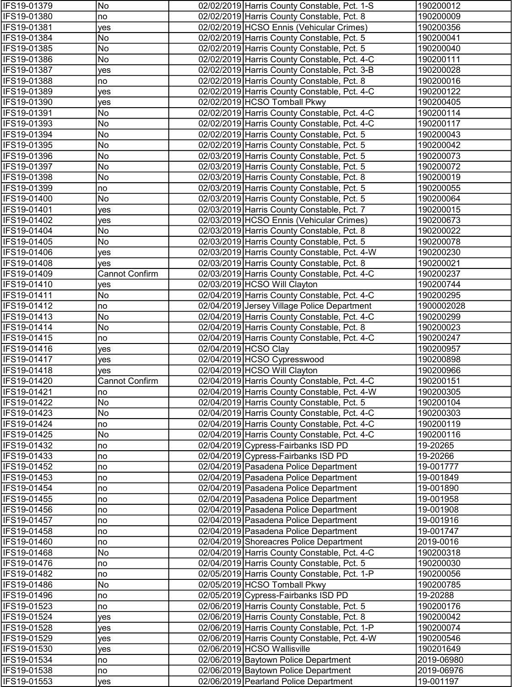| IFS19-01379                | No                    | 02/02/2019 Harris County Constable, Pct. 1-S                                           | 190200012              |
|----------------------------|-----------------------|----------------------------------------------------------------------------------------|------------------------|
| IFS19-01380                | no                    | 02/02/2019 Harris County Constable, Pct. 8                                             | 190200009              |
| IFS19-01381                | yes                   | 02/02/2019 HCSO Ennis (Vehicular Crimes)                                               | 190200356              |
| IFS19-01384                | No                    | 02/02/2019 Harris County Constable, Pct. 5                                             | 190200041              |
| IFS19-01385                | No                    | 02/02/2019 Harris County Constable, Pct. 5                                             | 190200040              |
| IFS19-01386                | No                    | 02/02/2019 Harris County Constable, Pct. 4-C                                           | 190200111              |
| IFS19-01387                | yes                   | 02/02/2019 Harris County Constable, Pct. 3-B                                           | 190200028              |
| IFS19-01388                | no                    | 02/02/2019 Harris County Constable, Pct. 8                                             | 190200016              |
| IFS19-01389                | yes                   | 02/02/2019 Harris County Constable, Pct. 4-C                                           | 190200122              |
| IFS19-01390                | yes                   | 02/02/2019 HCSO Tomball Pkwy                                                           | 190200405              |
| IFS19-01391                | No                    | 02/02/2019 Harris County Constable, Pct. 4-C                                           | 190200114              |
| IFS19-01393                | No                    | 02/02/2019 Harris County Constable, Pct. 4-C                                           | 190200117              |
| IFS19-01394                | No                    | 02/02/2019 Harris County Constable, Pct. 5                                             | 190200043              |
| IFS19-01395                | No                    | 02/02/2019 Harris County Constable, Pct. 5                                             | 190200042              |
| IFS19-01396                | No                    | 02/03/2019 Harris County Constable, Pct. 5                                             | 190200073              |
| IFS19-01397                | No                    | 02/03/2019 Harris County Constable, Pct. 5                                             | 190200072              |
| IFS19-01398                | No                    | 02/03/2019 Harris County Constable, Pct. 8                                             | 190200019              |
| IFS19-01399                | no                    | 02/03/2019 Harris County Constable, Pct. 5                                             | 190200055              |
| IFS19-01400<br>IFS19-01401 | No                    | 02/03/2019 Harris County Constable, Pct. 5                                             | 190200064              |
| IFS19-01402                | yes                   | 02/03/2019 Harris County Constable, Pct. 7<br>02/03/2019 HCSO Ennis (Vehicular Crimes) | 190200015<br>190200673 |
| IFS19-01404                | yes<br>No             | 02/03/2019 Harris County Constable, Pct. 8                                             | 190200022              |
| IFS19-01405                | No                    | 02/03/2019 Harris County Constable, Pct. 5                                             | 190200078              |
| IFS19-01406                | <b>ves</b>            | 02/03/2019 Harris County Constable, Pct. 4-W                                           | 190200230              |
| IFS19-01408                | <b>ves</b>            | 02/03/2019 Harris County Constable, Pct. 8                                             | 190200021              |
| IFS19-01409                | <b>Cannot Confirm</b> | 02/03/2019 Harris County Constable, Pct. 4-C                                           | 190200237              |
| IFS19-01410                | yes                   | 02/03/2019 HCSO Will Clayton                                                           | 190200744              |
| IFS19-01411                | No                    | 02/04/2019 Harris County Constable, Pct. 4-C                                           | 190200295              |
| IFS19-01412                | no                    | 02/04/2019 Jersey Village Police Department                                            | 1900002028             |
| IFS19-01413                | No                    | 02/04/2019 Harris County Constable, Pct. 4-C                                           | 190200299              |
| IFS19-01414                | No                    | 02/04/2019 Harris County Constable, Pct. 8                                             | 190200023              |
| IFS19-01415                | no                    | 02/04/2019 Harris County Constable, Pct. 4-C                                           | 190200247              |
| IFS19-01416                | yes                   | 02/04/2019 HCSO Clay                                                                   | 190200957              |
| IFS19-01417                | yes                   | 02/04/2019 HCSO Cypresswood                                                            | 190200898              |
| IFS19-01418                | yes                   | 02/04/2019 HCSO Will Clayton                                                           | 190200966              |
| IFS19-01420                | Cannot Confirm        | 02/04/2019 Harris County Constable, Pct. 4-C                                           | 190200151              |
| IFS19-01421                | no                    | 02/04/2019 Harris County Constable, Pct. 4-W                                           | 190200305              |
| IFS19-01422                | No                    | 02/04/2019 Harris County Constable, Pct. 5                                             | 190200104              |
| IFS19-01423                | No                    | 02/04/2019 Harris County Constable, Pct. 4-C                                           | 190200303              |
| IFS19-01424                | no                    | 02/04/2019 Harris County Constable, Pct. 4-C                                           | 190200119              |
| IFS19-01425                | No                    | 02/04/2019 Harris County Constable, Pct. 4-C                                           | 190200116              |
| IFS19-01432                | no                    | 02/04/2019 Cypress-Fairbanks ISD PD                                                    | 19-20265               |
| IFS19-01433                | no                    | 02/04/2019 Cypress-Fairbanks ISD PD                                                    | 19-20266               |
| IFS19-01452                | no                    | 02/04/2019 Pasadena Police Department                                                  | 19-001777              |
| IFS19-01453                | no                    | 02/04/2019 Pasadena Police Department                                                  | 19-001849              |
| IFS19-01454                | no                    | 02/04/2019 Pasadena Police Department                                                  | 19-001890              |
| IFS19-01455                | no                    | 02/04/2019 Pasadena Police Department                                                  | 19-001958              |
| IFS19-01456                | no                    | 02/04/2019 Pasadena Police Department                                                  | 19-001908              |
| IFS19-01457                | no                    | 02/04/2019 Pasadena Police Department                                                  | 19-001916              |
| IFS19-01458<br>IFS19-01460 | no                    | 02/04/2019 Pasadena Police Department<br>02/04/2019 Shoreacres Police Department       | 19-001747<br>2019-0016 |
| IFS19-01468                | no<br>No              | 02/04/2019 Harris County Constable, Pct. 4-C                                           | 190200318              |
| IFS19-01476                | no                    | 02/04/2019 Harris County Constable, Pct. 5                                             | 190200030              |
| IFS19-01482                | no                    | 02/05/2019 Harris County Constable, Pct. 1-P                                           | 190200056              |
| IFS19-01486                | No                    | 02/05/2019 HCSO Tomball Pkwy                                                           | 190200785              |
| IFS19-01496                | no                    | 02/05/2019 Cypress-Fairbanks ISD PD                                                    | 19-20288               |
| IFS19-01523                | no                    | 02/06/2019 Harris County Constable, Pct. 5                                             | 190200176              |
| IFS19-01524                | yes                   | 02/06/2019 Harris County Constable, Pct. 8                                             | 190200042              |
| IFS19-01528                | yes                   | 02/06/2019 Harris County Constable, Pct. 1-P                                           | 190200074              |
| IFS19-01529                | yes                   | 02/06/2019 Harris County Constable, Pct. 4-W                                           | 190200546              |
| IFS19-01530                | yes                   | 02/06/2019 HCSO Wallisville                                                            | 190201649              |
| IFS19-01534                | no                    | 02/06/2019 Baytown Police Department                                                   | 2019-06980             |
| IFS19-01538                | no                    | 02/06/2019 Baytown Police Department                                                   | 2019-06976             |
| IFS19-01553                | yes                   | 02/06/2019 Pearland Police Department                                                  | 19-001197              |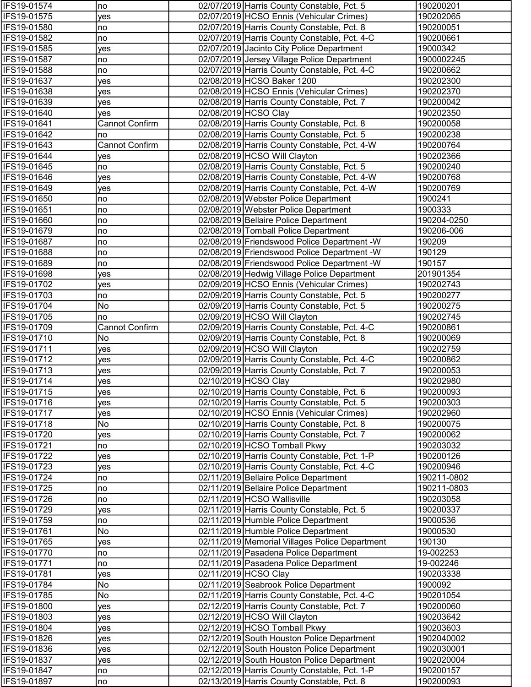| IFS19-01574                | no                    | 02/07/2019 Harris County Constable, Pct. 5                                                 | 190200201                |
|----------------------------|-----------------------|--------------------------------------------------------------------------------------------|--------------------------|
| IFS19-01575                | yes                   | 02/07/2019 HCSO Ennis (Vehicular Crimes)                                                   | 190202065                |
| IFS19-01580                | no                    | 02/07/2019 Harris County Constable, Pct. 8                                                 | 190200051                |
| IFS19-01582                | no                    | 02/07/2019 Harris County Constable, Pct. 4-C                                               | 190200661                |
| IFS19-01585                | yes                   | 02/07/2019 Jacinto City Police Department                                                  | 19000342                 |
| IFS19-01587                | no                    | 02/07/2019 Jersey Village Police Department                                                | 1900002245               |
| IFS19-01588                | no                    | 02/07/2019 Harris County Constable, Pct. 4-C                                               | 190200662                |
| IFS19-01637                | yes                   | 02/08/2019 HCSO Baker 1200                                                                 | 190202300                |
| IFS19-01638                | yes                   | 02/08/2019 HCSO Ennis (Vehicular Crimes)                                                   | 190202370                |
| IFS19-01639                | yes                   | 02/08/2019 Harris County Constable, Pct. 7                                                 | 190200042                |
| IFS19-01640                | yes                   | 02/08/2019 HCSO Clay                                                                       | 190202350                |
| IFS19-01641                | <b>Cannot Confirm</b> | 02/08/2019 Harris County Constable, Pct. 8                                                 | 190200058                |
| IFS19-01642                | no                    | 02/08/2019 Harris County Constable, Pct. 5                                                 | 190200238                |
| IFS19-01643                | <b>Cannot Confirm</b> | 02/08/2019 Harris County Constable, Pct. 4-W                                               | 190200764                |
| IFS19-01644                | yes                   | 02/08/2019 HCSO Will Clayton                                                               | 190202366<br>190200240   |
| IFS19-01645<br>IFS19-01646 | no                    | 02/08/2019 Harris County Constable, Pct. 5<br>02/08/2019 Harris County Constable, Pct. 4-W |                          |
| IFS19-01649                | yes                   | 02/08/2019 Harris County Constable, Pct. 4-W                                               | 190200768<br>190200769   |
| IFS19-01650                | yes<br>no             | 02/08/2019 Webster Police Department                                                       | 1900241                  |
| <b>IFS19-01651</b>         | no                    | 02/08/2019 Webster Police Department                                                       | 1900333                  |
| IFS19-01660                | no                    | 02/08/2019 Bellaire Police Department                                                      | 190204-0250              |
| IFS19-01679                | no                    | 02/08/2019 Tomball Police Department                                                       | 190206-006               |
| IFS19-01687                | no                    | 02/08/2019 Friendswood Police Department -W                                                | 190209                   |
| IFS19-01688                | no                    | 02/08/2019 Friendswood Police Department -W                                                | 190129                   |
| IFS19-01689                | no                    | 02/08/2019 Friendswood Police Department -W                                                | 190157                   |
| IFS19-01698                | yes                   | 02/08/2019 Hedwig Village Police Department                                                | 201901354                |
| IFS19-01702                | yes                   | 02/09/2019 HCSO Ennis (Vehicular Crimes)                                                   | 190202743                |
| IFS19-01703                | no                    | 02/09/2019 Harris County Constable, Pct. 5                                                 | 190200277                |
| IFS19-01704                | No                    | 02/09/2019 Harris County Constable, Pct. 5                                                 | 190200275                |
| IFS19-01705                | no                    | 02/09/2019 HCSO Will Clayton                                                               | 190202745                |
| IFS19-01709                | Cannot Confirm        | 02/09/2019 Harris County Constable, Pct. 4-C                                               | 190200861                |
| IFS19-01710                | No                    | 02/09/2019 Harris County Constable, Pct. 8                                                 | 190200069                |
| IFS19-01711                | yes                   | 02/09/2019 HCSO Will Clayton                                                               | 190202759                |
| IFS19-01712                | yes                   | 02/09/2019 Harris County Constable, Pct. 4-C                                               | 190200862                |
| IFS19-01713                | yes                   | 02/09/2019 Harris County Constable, Pct. 7                                                 | 190200053                |
| IFS19-01714                | yes                   | 02/10/2019 HCSO Clay                                                                       | 190202980                |
| <b>IFS19-01715</b>         | yes                   | 02/10/2019 Harris County Constable, Pct. 6                                                 | 190200093                |
| IFS19-01716                | yes                   | 02/10/2019 Harris County Constable, Pct. 5                                                 | 190200303                |
| IFS19-01717                | yes                   | 02/10/2019 HCSO Ennis (Vehicular Crimes)                                                   | 190202960                |
| IFS19-01718                | No                    | 02/10/2019 Harris County Constable, Pct. 8                                                 | 190200075                |
| IFS19-01720                | yes                   | 02/10/2019 Harris County Constable, Pct. 7                                                 | 190200062                |
| IFS19-01721                | no                    | 02/10/2019 HCSO Tomball Pkwy                                                               | 190203032                |
| IFS19-01722                | yes                   | 02/10/2019 Harris County Constable, Pct. 1-P                                               | 190200126                |
| IFS19-01723                | yes                   | 02/10/2019 Harris County Constable, Pct. 4-C                                               | 190200946                |
| IFS19-01724                | no                    | 02/11/2019 Bellaire Police Department                                                      | 190211-0802              |
| IFS19-01725                | no                    | 02/11/2019 Bellaire Police Department<br>02/11/2019 HCSO Wallisville                       | 190211-0803<br>190203058 |
| IFS19-01726<br>IFS19-01729 | no                    | 02/11/2019 Harris County Constable, Pct. 5                                                 | 190200337                |
| IFS19-01759                | yes<br>no             | 02/11/2019 Humble Police Department                                                        | 19000536                 |
| IFS19-01761                | No                    | 02/11/2019 Humble Police Department                                                        | 19000530                 |
| IFS19-01765                | yes                   | 02/11/2019 Memorial Villages Police Department                                             | 190130                   |
| IFS19-01770                | no                    | 02/11/2019 Pasadena Police Department                                                      | 19-002253                |
| IFS19-01771                | no                    | 02/11/2019 Pasadena Police Department                                                      | 19-002246                |
| IFS19-01781                | yes                   | 02/11/2019 HCSO Clay                                                                       | 190203338                |
| IFS19-01784                | No                    | 02/11/2019 Seabrook Police Department                                                      | 1900092                  |
| IFS19-01785                | No                    | 02/11/2019 Harris County Constable, Pct. 4-C                                               | 190201054                |
| IFS19-01800                | yes                   | 02/12/2019 Harris County Constable, Pct. 7                                                 | 190200060                |
| IFS19-01803                | yes                   | 02/12/2019 HCSO Will Clayton                                                               | 190203642                |
| IFS19-01804                | yes                   | 02/12/2019 HCSO Tomball Pkwy                                                               | 190203603                |
| IFS19-01826                | yes                   | 02/12/2019 South Houston Police Department                                                 | 1902040002               |
| IFS19-01836                | yes                   | 02/12/2019 South Houston Police Department                                                 | 1902030001               |
| IFS19-01837                | yes                   | 02/12/2019 South Houston Police Department                                                 | 1902020004               |
| IFS19-01847                | no                    | 02/12/2019 Harris County Constable, Pct. 1-P                                               | 190200157                |
| IFS19-01897                | no                    | 02/13/2019 Harris County Constable, Pct. 8                                                 | 190200093                |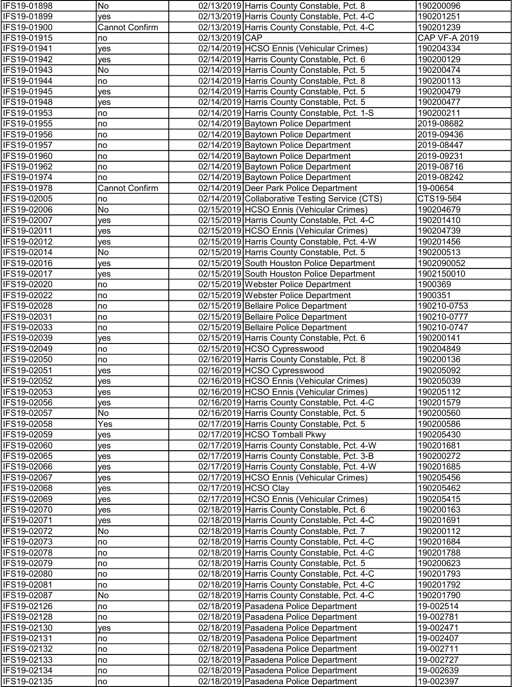| IFS19-01898                | No             |                | 02/13/2019 Harris County Constable, Pct. 8                                                   | 190200096              |
|----------------------------|----------------|----------------|----------------------------------------------------------------------------------------------|------------------------|
| IFS19-01899                | yes            |                | 02/13/2019 Harris County Constable, Pct. 4-C                                                 | 190201251              |
| IFS19-01900                | Cannot Confirm |                | 02/13/2019 Harris County Constable, Pct. 4-C                                                 | 190201239              |
| IFS19-01915                | no             | 02/13/2019 CAP |                                                                                              | CAP VF-A 2019          |
| IFS19-01941                | yes            |                | 02/14/2019 HCSO Ennis (Vehicular Crimes)                                                     | 190204334              |
| IFS19-01942                | yes            |                | 02/14/2019 Harris County Constable, Pct. 6                                                   | 190200129              |
| IFS19-01943                | No             |                | 02/14/2019 Harris County Constable, Pct. 5                                                   | 190200474              |
| IFS19-01944                | no             |                | 02/14/2019 Harris County Constable, Pct. 8                                                   | 190200113              |
| IFS19-01945                | yes            |                | 02/14/2019 Harris County Constable, Pct. 5                                                   | 190200479              |
| IFS19-01948                | yes            |                | 02/14/2019 Harris County Constable, Pct. 5                                                   | 190200477              |
| IFS19-01953                | no             |                | 02/14/2019 Harris County Constable, Pct. 1-S                                                 | 190200211              |
| IFS19-01955                | no             |                | 02/14/2019 Baytown Police Department                                                         | 2019-08682             |
| IFS19-01956                | no             |                | 02/14/2019 Baytown Police Department                                                         | 2019-09436             |
| IFS19-01957                | no             |                | 02/14/2019 Baytown Police Department                                                         | 2019-08447             |
| IFS19-01960                | no             |                | 02/14/2019 Baytown Police Department                                                         | 2019-09231             |
| IFS19-01962                | no             |                | 02/14/2019 Baytown Police Department                                                         | 2019-08716             |
| IFS19-01974                | no             |                | 02/14/2019 Baytown Police Department                                                         | 2019-08242             |
| IFS19-01978                | Cannot Confirm |                | 02/14/2019 Deer Park Police Department                                                       | 19-00654               |
| IFS19-02005                | no             |                | 02/14/2019 Collaborative Testing Service (CTS)                                               | CTS19-564              |
| IFS19-02006                | No             |                | 02/15/2019 HCSO Ennis (Vehicular Crimes)                                                     | 190204679              |
| IFS19-02007<br>IFS19-02011 | yes            |                | 02/15/2019 Harris County Constable, Pct. 4-C<br>02/15/2019 HCSO Ennis (Vehicular Crimes)     | 190201410<br>190204739 |
| IFS19-02012                | yes            |                | 02/15/2019 Harris County Constable, Pct. 4-W                                                 | 190201456              |
| IFS19-02014                | yes<br>No      |                | 02/15/2019 Harris County Constable, Pct. 5                                                   | 190200513              |
| IFS19-02016                | yes            |                | 02/15/2019 South Houston Police Department                                                   | 1902090052             |
| IFS19-02017                | yes            |                | 02/15/2019 South Houston Police Department                                                   | 1902150010             |
| IFS19-02020                | no             |                | 02/15/2019 Webster Police Department                                                         | 1900369                |
| IFS19-02022                | no             |                | 02/15/2019 Webster Police Department                                                         | 1900351                |
| IFS19-02028                | no             |                | 02/15/2019 Bellaire Police Department                                                        | 190210-0753            |
| IFS19-02031                | no             |                | 02/15/2019 Bellaire Police Department                                                        | 190210-0777            |
| IFS19-02033                | no             |                | 02/15/2019 Bellaire Police Department                                                        | 190210-0747            |
| IFS19-02039                | yes            |                | 02/15/2019 Harris County Constable, Pct. 6                                                   | 190200141              |
| IFS19-02049                | no             |                | 02/15/2019 HCSO Cypresswood                                                                  | 190204849              |
| IFS19-02050                | no             |                | 02/16/2019 Harris County Constable, Pct. 8                                                   | 190200136              |
| IFS19-02051                | yes            |                | 02/16/2019 HCSO Cypresswood                                                                  | 190205092              |
| IFS19-02052                | yes            |                | 02/16/2019 HCSO Ennis (Vehicular Crimes)                                                     | 190205039              |
| IFS19-02053                | yes            |                | 02/16/2019 HCSO Ennis (Vehicular Crimes)                                                     | 190205112              |
| IFS19-02056                | yes            |                | 02/16/2019 Harris County Constable, Pct. 4-C                                                 | 190201579              |
| IFS19-02057                | No             |                | 02/16/2019 Harris County Constable, Pct. 5                                                   | 190200560              |
| IFS19-02058                | Yes            |                | 02/17/2019 Harris County Constable, Pct. 5                                                   | 190200586              |
| IFS19-02059                | yes            |                | 02/17/2019 HCSO Tomball Pkwy                                                                 | 190205430              |
| IFS19-02060                | yes            |                | 02/17/2019 Harris County Constable, Pct. 4-W                                                 | 190201681              |
| IFS19-02065                | yes            |                | 02/17/2019 Harris County Constable, Pct. 3-B                                                 | 190200272              |
| IFS19-02066                | yes            |                | 02/17/2019 Harris County Constable, Pct. 4-W                                                 | 190201685              |
| IFS19-02067                | yes            |                | 02/17/2019 HCSO Ennis (Vehicular Crimes)                                                     | 190205456              |
| IFS19-02068                | yes            |                | 02/17/2019 HCSO Clay                                                                         | 190205462              |
| IFS19-02069                | yes            |                | 02/17/2019 HCSO Ennis (Vehicular Crimes)                                                     | 190205415              |
| IFS19-02070                | yes            |                | 02/18/2019 Harris County Constable, Pct. 6                                                   | 190200163              |
| IFS19-02071                | <b>ves</b>     |                | 02/18/2019 Harris County Constable, Pct. 4-C                                                 | 190201691              |
| IFS19-02072                | No             |                | 02/18/2019 Harris County Constable, Pct. 7                                                   | 190200112              |
| IFS19-02073                | no             |                | 02/18/2019 Harris County Constable, Pct. 4-C                                                 | 190201684              |
| IFS19-02078                | no             |                | 02/18/2019 Harris County Constable, Pct. 4-C                                                 | 190201788              |
| IFS19-02079                | no             |                | 02/18/2019 Harris County Constable, Pct. 5                                                   | 190200623              |
| IFS19-02080<br>IFS19-02081 | no             |                | 02/18/2019 Harris County Constable, Pct. 4-C<br>02/18/2019 Harris County Constable, Pct. 4-C | 190201793<br>190201792 |
| IFS19-02087                | no<br>No       |                | 02/18/2019 Harris County Constable, Pct. 4-C                                                 | 190201790              |
| IFS19-02126                | no             |                | 02/18/2019 Pasadena Police Department                                                        | 19-002514              |
| IFS19-02128                | no             |                | 02/18/2019 Pasadena Police Department                                                        | 19-002781              |
| IFS19-02130                | yes            |                | 02/18/2019 Pasadena Police Department                                                        | 19-002471              |
| IFS19-02131                | no             |                | 02/18/2019 Pasadena Police Department                                                        | 19-002407              |
| IFS19-02132                | no             |                | 02/18/2019 Pasadena Police Department                                                        | 19-002711              |
| IFS19-02133                | no             |                | 02/18/2019 Pasadena Police Department                                                        | 19-002727              |
| IFS19-02134                | no             |                | 02/18/2019 Pasadena Police Department                                                        | 19-002639              |
| IFS19-02135                | no             |                | 02/18/2019 Pasadena Police Department                                                        | 19-002397              |
|                            |                |                |                                                                                              |                        |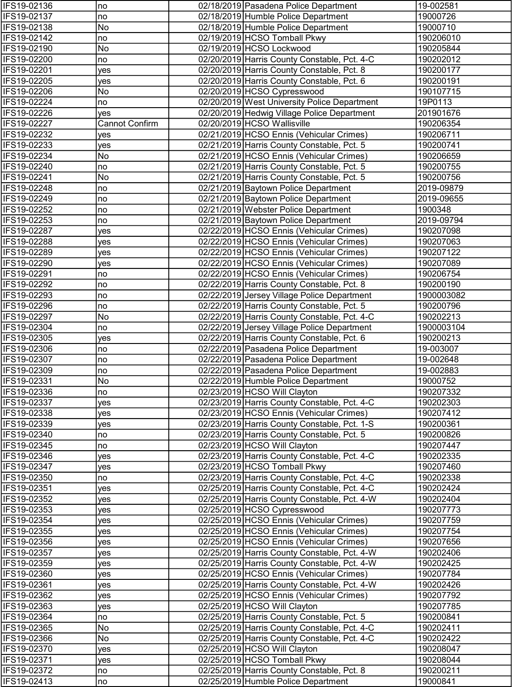| IFS19-02136                | no             | 02/18/2019 Pasadena Police Department                                        | 19-002581                |
|----------------------------|----------------|------------------------------------------------------------------------------|--------------------------|
| IFS19-02137                | no             | 02/18/2019 Humble Police Department                                          | 19000726                 |
| IFS19-02138                | No             | 02/18/2019 Humble Police Department                                          | 19000710                 |
| IFS19-02142                | no             | 02/19/2019 HCSO Tomball Pkwy                                                 | 190206010                |
| IFS19-02190                | No             | 02/19/2019 HCSO Lockwood                                                     | 190205844                |
| IFS19-02200                | no             | 02/20/2019 Harris County Constable, Pct. 4-C                                 | 190202012                |
| IFS19-02201                | yes            | 02/20/2019 Harris County Constable, Pct. 8                                   | 190200177                |
| IFS19-02205                | yes            | 02/20/2019 Harris County Constable, Pct. 6                                   | 190200191                |
| IFS19-02206                | No             | 02/20/2019 HCSO Cypresswood                                                  | 190107715                |
| IFS19-02224                | no             | 02/20/2019 West University Police Department                                 | 19P0113                  |
| IFS19-02226                | yes            | 02/20/2019 Hedwig Village Police Department                                  | 201901676                |
| IFS19-02227                | Cannot Confirm | 02/20/2019 HCSO Wallisville                                                  | 190206354                |
| IFS19-02232                | yes            | 02/21/2019 HCSO Ennis (Vehicular Crimes)                                     | 190206711                |
| IFS19-02233                | yes            | 02/21/2019 Harris County Constable, Pct. 5                                   | 190200741                |
| IFS19-02234                | No             | 02/21/2019 HCSO Ennis (Vehicular Crimes)                                     | 190206659                |
| IFS19-02240                | no             | 02/21/2019 Harris County Constable, Pct. 5                                   | 190200755                |
| IFS19-02241                | No             | 02/21/2019 Harris County Constable, Pct. 5                                   | 190200756                |
| IFS19-02248<br>IFS19-02249 | no             | 02/21/2019 Baytown Police Department<br>02/21/2019 Baytown Police Department | 2019-09879<br>2019-09655 |
| IFS19-02252                | no<br>no       | 02/21/2019 Webster Police Department                                         | 1900348                  |
| IFS19-02253                | no             | 02/21/2019 Baytown Police Department                                         | 2019-09794               |
| IFS19-02287                | yes            | 02/22/2019 HCSO Ennis (Vehicular Crimes)                                     | 190207098                |
| IFS19-02288                | yes            | 02/22/2019 HCSO Ennis (Vehicular Crimes)                                     | 190207063                |
| IFS19-02289                | yes            | 02/22/2019 HCSO Ennis (Vehicular Crimes)                                     | 190207122                |
| IFS19-02290                | yes            | 02/22/2019 HCSO Ennis (Vehicular Crimes)                                     | 190207089                |
| IFS19-02291                | no             | 02/22/2019 HCSO Ennis (Vehicular Crimes)                                     | 190206754                |
| IFS19-02292                | no             | 02/22/2019 Harris County Constable, Pct. 8                                   | 190200190                |
| IFS19-02293                | no             | 02/22/2019 Jersey Village Police Department                                  | 1900003082               |
| IFS19-02296                | no             | 02/22/2019 Harris County Constable, Pct. 5                                   | 190200796                |
| IFS19-02297                | No             | 02/22/2019 Harris County Constable, Pct. 4-C                                 | 190202213                |
| IFS19-02304                | no             | 02/22/2019 Jersey Village Police Department                                  | 1900003104               |
| IFS19-02305                | yes            | 02/22/2019 Harris County Constable, Pct. 6                                   | 190200213                |
| IFS19-02306                | no             | 02/22/2019 Pasadena Police Department                                        | 19-003007                |
| IFS19-02307                | no             | 02/22/2019 Pasadena Police Department                                        | 19-002648                |
| IFS19-02309                | no             | 02/22/2019 Pasadena Police Department                                        | 19-002883                |
| IFS19-02331                | No             | 02/22/2019 Humble Police Department                                          | 19000752                 |
| IFS19-02336                | no             | 02/23/2019 HCSO Will Clayton                                                 | 190207332                |
| IFS19-02337                | yes            | 02/23/2019 Harris County Constable, Pct. 4-C                                 | 190202303                |
| IFS19-02338                | yes            | 02/23/2019 HCSO Ennis (Vehicular Crimes)                                     | 190207412                |
| IFS19-02339                | yes            | 02/23/2019 Harris County Constable, Pct. 1-S                                 | 190200361                |
| IFS19-02340                | no             | 02/23/2019 Harris County Constable, Pct. 5                                   | 190200826                |
| IFS19-02345                | no             | 02/23/2019 HCSO Will Clayton                                                 | 190207447                |
| IFS19-02346                | yes            | 02/23/2019 Harris County Constable, Pct. 4-C                                 | 190202335                |
| IFS19-02347                | yes            | 02/23/2019 HCSO Tomball Pkwy                                                 | 190207460                |
| IFS19-02350                | no             | 02/23/2019 Harris County Constable, Pct. 4-C                                 | 190202338                |
| IFS19-02351                | yes            | 02/25/2019 Harris County Constable, Pct. 4-C                                 | 190202424                |
| IFS19-02352<br>IFS19-02353 | yes<br>ves     | 02/25/2019 Harris County Constable, Pct. 4-W<br>02/25/2019 HCSO Cypresswood  | 190202404<br>190207773   |
| IFS19-02354                | yes            | 02/25/2019 HCSO Ennis (Vehicular Crimes)                                     | 190207759                |
| IFS19-02355                | yes            | 02/25/2019 HCSO Ennis (Vehicular Crimes)                                     | 190207754                |
| IFS19-02356                | yes            | 02/25/2019 HCSO Ennis (Vehicular Crimes)                                     | 190207656                |
| IFS19-02357                | yes            | 02/25/2019 Harris County Constable, Pct. 4-W                                 | 190202406                |
| IFS19-02359                | yes            | 02/25/2019 Harris County Constable, Pct. 4-W                                 | 190202425                |
| IFS19-02360                | yes            | 02/25/2019 HCSO Ennis (Vehicular Crimes)                                     | 190207784                |
| IFS19-02361                | yes            | 02/25/2019 Harris County Constable, Pct. 4-W                                 | 190202426                |
| IFS19-02362                | yes            | 02/25/2019 HCSO Ennis (Vehicular Crimes)                                     | 190207792                |
| IFS19-02363                | yes            | 02/25/2019 HCSO Will Clayton                                                 | 190207785                |
| IFS19-02364                | no             | 02/25/2019 Harris County Constable, Pct. 5                                   | 190200841                |
| IFS19-02365                | No             | 02/25/2019 Harris County Constable, Pct. 4-C                                 | 190202411                |
| IFS19-02366                | No             | 02/25/2019 Harris County Constable, Pct. 4-C                                 | 190202422                |
| IFS19-02370                | yes            | 02/25/2019 HCSO Will Clayton                                                 | 190208047                |
| IFS19-02371                | yes            | 02/25/2019 HCSO Tomball Pkwy                                                 | 190208044                |
| IFS19-02372                | no             | 02/25/2019 Harris County Constable, Pct. 8                                   | 190200211                |
| IFS19-02413                | no             | 02/25/2019 Humble Police Department                                          | 19000841                 |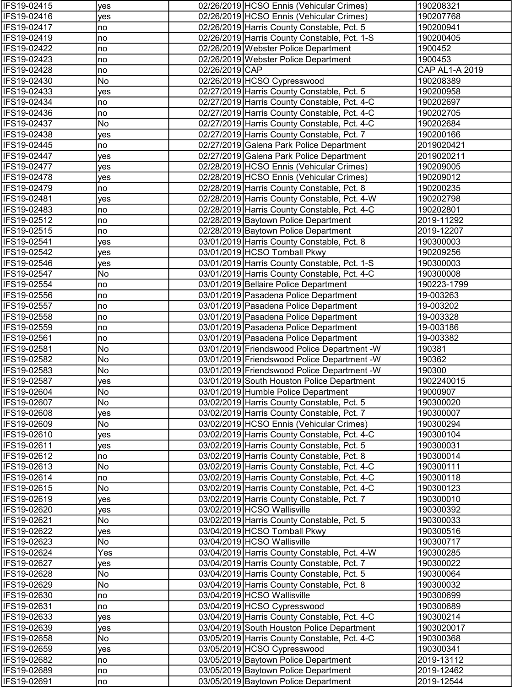| IFS19-02415                | yes       |                | 02/26/2019 HCSO Ennis (Vehicular Crimes)                                             | 190208321              |
|----------------------------|-----------|----------------|--------------------------------------------------------------------------------------|------------------------|
| IFS19-02416                | yes       |                | 02/26/2019 HCSO Ennis (Vehicular Crimes)                                             | 190207768              |
| IFS19-02417                | no        |                | 02/26/2019 Harris County Constable, Pct. 5                                           | 190200941              |
| IFS19-02419                | no        |                | 02/26/2019 Harris County Constable, Pct. 1-S                                         | 190200405              |
| IFS19-02422                | no        |                | 02/26/2019 Webster Police Department                                                 | 1900452                |
| IFS19-02423                | no        |                | 02/26/2019 Webster Police Department                                                 | 1900453                |
| IFS19-02428                | no        | 02/26/2019 CAP |                                                                                      | CAP AL1-A 2019         |
| IFS19-02430                | No        |                | 02/26/2019 HCSO Cypresswood                                                          | 190208389              |
| IFS19-02433                | yes       |                | 02/27/2019 Harris County Constable, Pct. 5                                           | 190200958              |
| IFS19-02434                | no        |                | 02/27/2019 Harris County Constable, Pct. 4-C                                         | 190202697              |
| IFS19-02436                | no        |                | 02/27/2019 Harris County Constable, Pct. 4-C                                         | 190202705              |
| IFS19-02437                | No        |                | 02/27/2019 Harris County Constable, Pct. 4-C                                         | 190202684              |
| IFS19-02438                | yes       |                | 02/27/2019 Harris County Constable, Pct. 7                                           | 190200166              |
| IFS19-02445                | no        |                | 02/27/2019 Galena Park Police Department                                             | 2019020421             |
| IFS19-02447                | yes       |                | 02/27/2019 Galena Park Police Department                                             | 2019020211             |
| IFS19-02477                | yes       |                | 02/28/2019 HCSO Ennis (Vehicular Crimes)                                             | 190209005              |
| IFS19-02478                | yes       |                | 02/28/2019 HCSO Ennis (Vehicular Crimes)                                             | 190209012              |
| IFS19-02479                | no        |                | 02/28/2019 Harris County Constable, Pct. 8                                           | 190200235              |
| IFS19-02481<br>IFS19-02483 | yes       |                | 02/28/2019 Harris County Constable, Pct. 4-W                                         | 190202798<br>190202801 |
| IFS19-02512                | no        |                | 02/28/2019 Harris County Constable, Pct. 4-C<br>02/28/2019 Baytown Police Department | 2019-11292             |
| IFS19-02515                | no<br>no  |                | 02/28/2019 Baytown Police Department                                                 | 2019-12207             |
| IFS19-02541                | yes       |                | 03/01/2019 Harris County Constable, Pct. 8                                           | 190300003              |
| IFS19-02542                | yes       |                | 03/01/2019 HCSO Tomball Pkwy                                                         | 190209256              |
| IFS19-02546                | yes       |                | 03/01/2019 Harris County Constable, Pct. 1-S                                         | 190300003              |
| IFS19-02547                | No        |                | 03/01/2019 Harris County Constable, Pct. 4-C                                         | 190300008              |
| IFS19-02554                | no        |                | 03/01/2019 Bellaire Police Department                                                | 190223-1799            |
| IFS19-02556                | no        |                | 03/01/2019 Pasadena Police Department                                                | 19-003263              |
| IFS19-02557                | no        |                | 03/01/2019 Pasadena Police Department                                                | 19-003202              |
| IFS19-02558                | no        |                | 03/01/2019 Pasadena Police Department                                                | 19-003328              |
| IFS19-02559                | no        |                | 03/01/2019 Pasadena Police Department                                                | 19-003186              |
| IFS19-02561                | no        |                | 03/01/2019 Pasadena Police Department                                                | 19-003382              |
| IFS19-02581                | No        |                | 03/01/2019 Friendswood Police Department - W                                         | 190381                 |
| IFS19-02582                | No        |                | 03/01/2019 Friendswood Police Department - W                                         | 190362                 |
| IFS19-02583                | No        |                | 03/01/2019 Friendswood Police Department - W                                         | 190300                 |
| IFS19-02587                | yes       |                | 03/01/2019 South Houston Police Department                                           | 1902240015             |
| <b>IFS19-02604</b>         | No.       |                | 03/01/2019 Humble Police Department                                                  | 19000907               |
| IFS19-02607                | No        |                | 03/02/2019 Harris County Constable, Pct. 5                                           | 190300020              |
| IFS19-02608                | yes       |                | 03/02/2019 Harris County Constable, Pct. 7                                           | 190300007              |
| IFS19-02609                | No        |                | 03/02/2019 HCSO Ennis (Vehicular Crimes)                                             | 190300294              |
| IFS19-02610                | yes       |                | 03/02/2019 Harris County Constable, Pct. 4-C                                         | 190300104              |
| IFS19-02611                | yes       |                | 03/02/2019 Harris County Constable, Pct. 5                                           | 190300031              |
| IFS19-02612                | no        |                | 03/02/2019 Harris County Constable, Pct. 8                                           | 190300014              |
| IFS19-02613                | No        |                | 03/02/2019 Harris County Constable, Pct. 4-C                                         | 190300111              |
| IFS19-02614                | no        |                | 03/02/2019 Harris County Constable, Pct. 4-C                                         | 190300118              |
| IFS19-02615                | No        |                | 03/02/2019 Harris County Constable, Pct. 4-C                                         | 190300123              |
| IFS19-02619                | yes       |                | 03/02/2019 Harris County Constable, Pct. 7                                           | 190300010              |
| IFS19-02620                | yes       |                | 03/02/2019 HCSO Wallisville                                                          | 190300392              |
| IFS19-02621                | No        |                | 03/02/2019 Harris County Constable, Pct. 5                                           | 190300033              |
| IFS19-02622<br>IFS19-02623 | yes<br>No |                | 03/04/2019 HCSO Tomball Pkwy<br>03/04/2019 HCSO Wallisville                          | 190300516<br>190300717 |
| IFS19-02624                | Yes       |                | 03/04/2019 Harris County Constable, Pct. 4-W                                         | 190300285              |
| IFS19-02627                |           |                | 03/04/2019 Harris County Constable, Pct. 7                                           | 190300022              |
| IFS19-02628                | yes<br>No |                | 03/04/2019 Harris County Constable, Pct. 5                                           | 190300064              |
| IFS19-02629                | No        |                | 03/04/2019 Harris County Constable, Pct. 8                                           | 190300032              |
| IFS19-02630                | no        |                | 03/04/2019 HCSO Wallisville                                                          | 190300699              |
| IFS19-02631                | no        |                | 03/04/2019 HCSO Cypresswood                                                          | 190300689              |
| IFS19-02633                | yes       |                | 03/04/2019 Harris County Constable, Pct. 4-C                                         | 190300214              |
| IFS19-02639                | yes       |                | 03/04/2019 South Houston Police Department                                           | 1903020017             |
| IFS19-02658                | No        |                | 03/05/2019 Harris County Constable, Pct. 4-C                                         | 190300368              |
| IFS19-02659                | yes       |                | 03/05/2019 HCSO Cypresswood                                                          | 190300341              |
| IFS19-02682                | no        |                | 03/05/2019 Baytown Police Department                                                 | 2019-13112             |
| IFS19-02689                | no        |                | 03/05/2019 Baytown Police Department                                                 | 2019-12462             |
| IFS19-02691                | no        |                | 03/05/2019 Baytown Police Department                                                 | 2019-12544             |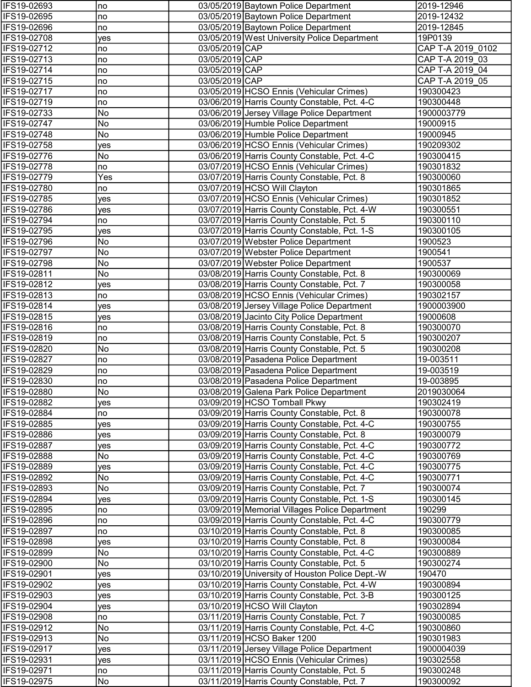| IFS19-02693                | no         |                | 03/05/2019 Baytown Police Department                                                            | 2019-12946           |
|----------------------------|------------|----------------|-------------------------------------------------------------------------------------------------|----------------------|
| IFS19-02695                | no         |                | 03/05/2019 Baytown Police Department                                                            | 2019-12432           |
| IFS19-02696                | no         |                | 03/05/2019 Baytown Police Department                                                            | 2019-12845           |
| IFS19-02708                | yes        |                | 03/05/2019 West University Police Department                                                    | 19P0139              |
| IFS19-02712                | no         | 03/05/2019 CAP |                                                                                                 | CAP T-A 2019 0102    |
| IFS19-02713                | no         | 03/05/2019 CAP |                                                                                                 | CAP T-A 2019 03      |
| IFS19-02714                | no         | 03/05/2019 CAP |                                                                                                 | CAP T-A 2019 04      |
| IFS19-02715                | no         | 03/05/2019 CAP |                                                                                                 | CAP T-A 2019 05      |
| IFS19-02717                | no         |                | 03/05/2019 HCSO Ennis (Vehicular Crimes)                                                        | 190300423            |
| IFS19-02719                | no         |                | 03/06/2019 Harris County Constable, Pct. 4-C                                                    | 190300448            |
| IFS19-02733                | No         |                | 03/06/2019 Jersey Village Police Department                                                     | 1900003779           |
| IFS19-02747                | No         |                | 03/06/2019 Humble Police Department                                                             | 19000915             |
| IFS19-02748                | No         |                | 03/06/2019 Humble Police Department                                                             | 19000945             |
| IFS19-02758                | yes        |                | 03/06/2019 HCSO Ennis (Vehicular Crimes)                                                        | 190209302            |
| IFS19-02776                | No         |                | 03/06/2019 Harris County Constable, Pct. 4-C                                                    | 190300415            |
| IFS19-02778                | no         |                | 03/07/2019 HCSO Ennis (Vehicular Crimes)                                                        | 190301832            |
| IFS19-02779                | Yes        |                | 03/07/2019 Harris County Constable, Pct. 8                                                      | 190300060            |
| IFS19-02780                | no         |                | 03/07/2019 HCSO Will Clayton                                                                    | 190301865            |
| IFS19-02785                | yes        |                | 03/07/2019 HCSO Ennis (Vehicular Crimes)                                                        | 190301852            |
| IFS19-02786                | yes        |                | 03/07/2019 Harris County Constable, Pct. 4-W                                                    | 190300551            |
| IFS19-02794                | no         |                | 03/07/2019 Harris County Constable, Pct. 5                                                      | 190300110            |
| IFS19-02795<br>IFS19-02796 | yes<br>No  |                | 03/07/2019 Harris County Constable, Pct. 1-S<br>03/07/2019 Webster Police Department            | 190300105<br>1900523 |
| IFS19-02797                | No         |                | 03/07/2019 Webster Police Department                                                            | 1900541              |
| IFS19-02798                | No         |                | 03/07/2019 Webster Police Department                                                            | 1900537              |
| IFS19-02811                | No         |                | 03/08/2019 Harris County Constable, Pct. 8                                                      | 190300069            |
| IFS19-02812                | yes        |                | 03/08/2019 Harris County Constable, Pct. 7                                                      | 190300058            |
| IFS19-02813                | no         |                | 03/08/2019 HCSO Ennis (Vehicular Crimes)                                                        | 190302157            |
| IFS19-02814                | yes        |                | 03/08/2019 Jersey Village Police Department                                                     | 1900003900           |
| IFS19-02815                | yes        |                | 03/08/2019 Jacinto City Police Department                                                       | 19000608             |
| IFS19-02816                | no         |                | 03/08/2019 Harris County Constable, Pct. 8                                                      | 190300070            |
| IFS19-02819                | no         |                | 03/08/2019 Harris County Constable, Pct. 5                                                      | 190300207            |
| IFS19-02820                | No         |                | 03/08/2019 Harris County Constable, Pct. 5                                                      | 190300208            |
| IFS19-02827                | no         |                | 03/08/2019 Pasadena Police Department                                                           | 19-003511            |
| IFS19-02829                | no         |                | 03/08/2019 Pasadena Police Department                                                           | 19-003519            |
| IFS19-02830                | no         |                | 03/08/2019 Pasadena Police Department                                                           | 19-003895            |
| IFS19-02880                | No.        |                | 03/08/2019 Galena Park Police Department                                                        | 2019030064           |
| IFS19-02882                | yes        |                | 03/09/2019 HCSO Tomball Pkwy                                                                    | 190302419            |
| IFS19-02884                | no         |                | 03/09/2019 Harris County Constable, Pct. 8                                                      | 190300078            |
| IFS19-02885                | yes        |                | 03/09/2019 Harris County Constable, Pct. 4-C                                                    | 190300755            |
| IFS19-02886                | yes        |                | 03/09/2019 Harris County Constable, Pct. 8                                                      | 190300079            |
| IFS19-02887                | yes        |                | 03/09/2019 Harris County Constable, Pct. 4-C                                                    | 190300772            |
| IFS19-02888                | No         |                | 03/09/2019 Harris County Constable, Pct. 4-C                                                    | 190300769            |
| IFS19-02889                | yes        |                | 03/09/2019 Harris County Constable, Pct. 4-C                                                    | 190300775            |
| IFS19-02892                | No         |                | 03/09/2019 Harris County Constable, Pct. 4-C                                                    | 190300771            |
| IFS19-02893                | No         |                | 03/09/2019 Harris County Constable, Pct. 7                                                      | 190300074            |
| IFS19-02894                | yes        |                | 03/09/2019 Harris County Constable, Pct. 1-S                                                    | 190300145            |
| IFS19-02895                | no         |                | 03/09/2019 Memorial Villages Police Department                                                  | 190299               |
| IFS19-02896                | no         |                | 03/09/2019 Harris County Constable, Pct. 4-C                                                    | 190300779            |
| IFS19-02897                | no         |                | 03/10/2019 Harris County Constable, Pct. 8                                                      | 190300085            |
| IFS19-02898                | yes        |                | 03/10/2019 Harris County Constable, Pct. 8                                                      | 190300084            |
| IFS19-02899                | No         |                | 03/10/2019 Harris County Constable, Pct. 4-C                                                    | 190300889            |
| IFS19-02900<br>IFS19-02901 | No         |                | 03/10/2019 Harris County Constable, Pct. 5                                                      | 190300274<br>190470  |
| IFS19-02902                | yes        |                | 03/10/2019 University of Houston Police Dept.-W<br>03/10/2019 Harris County Constable, Pct. 4-W | 190300894            |
| IFS19-02903                | yes<br>yes |                | 03/10/2019 Harris County Constable, Pct. 3-B                                                    | 190300125            |
| IFS19-02904                | yes        |                | 03/10/2019 HCSO Will Clayton                                                                    | 190302894            |
| IFS19-02908                | no         |                | 03/11/2019 Harris County Constable, Pct. 7                                                      | 190300085            |
| IFS19-02912                | No         |                | 03/11/2019 Harris County Constable, Pct. 4-C                                                    | 190300860            |
| IFS19-02913                | No         |                | 03/11/2019 HCSO Baker 1200                                                                      | 190301983            |
| IFS19-02917                | yes        |                | 03/11/2019 Jersey Village Police Department                                                     | 1900004039           |
| IFS19-02931                | yes        |                | 03/11/2019 HCSO Ennis (Vehicular Crimes)                                                        | 190302558            |
| IFS19-02971                | no         |                | 03/11/2019 Harris County Constable, Pct. 5                                                      | 190300248            |
| IFS19-02975                | No         |                | 03/11/2019 Harris County Constable, Pct. 7                                                      | 190300092            |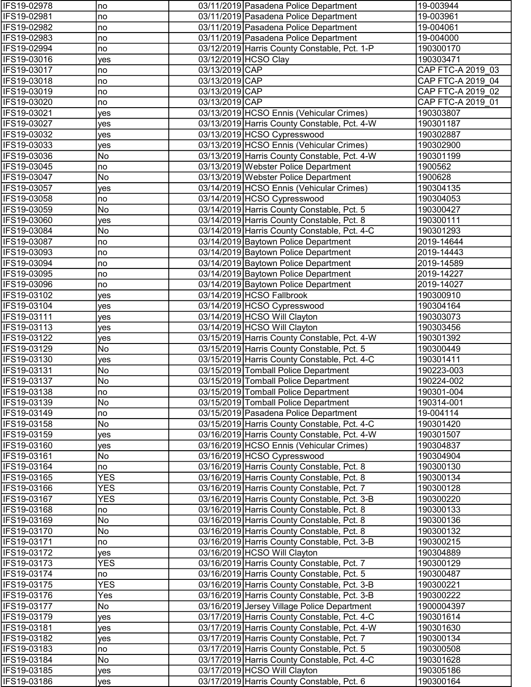| IFS19-02978                | no               |                | 03/11/2019 Pasadena Police Department                                                        | 19-003944               |
|----------------------------|------------------|----------------|----------------------------------------------------------------------------------------------|-------------------------|
| IFS19-02981                | no               |                | 03/11/2019 Pasadena Police Department                                                        | 19-003961               |
| IFS19-02982                | no               |                | 03/11/2019 Pasadena Police Department                                                        | 19-004061               |
| IFS19-02983                | no               |                | 03/11/2019 Pasadena Police Department                                                        | 19-004000               |
| IFS19-02994                | no               |                | 03/12/2019 Harris County Constable, Pct. 1-P                                                 | 190300170               |
| IFS19-03016                | yes              |                | 03/12/2019 HCSO Clay                                                                         | 190303471               |
| IFS19-03017                | no               | 03/13/2019 CAP |                                                                                              | CAP FTC-A 2019_03       |
| IFS19-03018                | no               | 03/13/2019 CAP |                                                                                              | CAP FTC-A 2019 04       |
| IFS19-03019                | no               | 03/13/2019 CAP |                                                                                              | CAP FTC-A 2019 02       |
| IFS19-03020                | no               | 03/13/2019 CAP |                                                                                              | CAP FTC-A 2019 01       |
| IFS19-03021                | yes              |                | 03/13/2019 HCSO Ennis (Vehicular Crimes)                                                     | 190303807               |
| IFS19-03027                | yes              |                | 03/13/2019 Harris County Constable, Pct. 4-W                                                 | 190301187               |
| IFS19-03032                | yes              |                | 03/13/2019 HCSO Cypresswood                                                                  | 190302887               |
| IFS19-03033                | yes              |                | 03/13/2019 HCSO Ennis (Vehicular Crimes)                                                     | 190302900               |
| IFS19-03036                | No               |                | 03/13/2019 Harris County Constable, Pct. 4-W                                                 | 190301199               |
| IFS19-03045                | no               |                | 03/13/2019 Webster Police Department                                                         | 1900562                 |
| IFS19-03047                | No               |                | 03/13/2019 Webster Police Department                                                         | 1900628                 |
| IFS19-03057                | yes              |                | 03/14/2019 HCSO Ennis (Vehicular Crimes)                                                     | 190304135               |
| IFS19-03058                | no<br>No         |                | 03/14/2019 HCSO Cypresswood<br>03/14/2019 Harris County Constable, Pct. 5                    | 190304053               |
| IFS19-03059                |                  |                |                                                                                              | 190300427               |
| IFS19-03060                | yes<br>No        |                | 03/14/2019 Harris County Constable, Pct. 8                                                   | 190300111               |
| IFS19-03084<br>IFS19-03087 | no               |                | 03/14/2019 Harris County Constable, Pct. 4-C<br>03/14/2019 Baytown Police Department         | 190301293<br>2019-14644 |
| IFS19-03093                | no               |                | 03/14/2019 Baytown Police Department                                                         | 2019-14443              |
| IFS19-03094                | no               |                | 03/14/2019 Baytown Police Department                                                         | 2019-14589              |
| IFS19-03095                | no               |                | 03/14/2019 Baytown Police Department                                                         | 2019-14227              |
| IFS19-03096                | no               |                | 03/14/2019 Baytown Police Department                                                         | 2019-14027              |
| IFS19-03102                | yes              |                | 03/14/2019 HCSO Fallbrook                                                                    | 190300910               |
| IFS19-03104                | yes              |                | 03/14/2019 HCSO Cypresswood                                                                  | 190304164               |
| IFS19-03111                | yes              |                | 03/14/2019 HCSO Will Clayton                                                                 | 190303073               |
| IFS19-03113                | yes              |                | 03/14/2019 HCSO Will Clayton                                                                 | 190303456               |
| IFS19-03122                | yes              |                | 03/15/2019 Harris County Constable, Pct. 4-W                                                 | 190301392               |
| IFS19-03129                | No               |                | 03/15/2019 Harris County Constable, Pct. 5                                                   | 190300449               |
| IFS19-03130                | yes              |                | 03/15/2019 Harris County Constable, Pct. 4-C                                                 | 190301411               |
| IFS19-03131                | No               |                | 03/15/2019 Tomball Police Department                                                         | 190223-003              |
| IFS19-03137                | No               |                | 03/15/2019 Tomball Police Department                                                         | 190224-002              |
| IFS19-03138                | no)              |                | 03/15/2019 Tomball Police Department                                                         | 190301-004              |
| IFS19-03139                | No               |                | 03/15/2019 Tomball Police Department                                                         | 190314-001              |
| IFS19-03149                | no               |                | 03/15/2019 Pasadena Police Department                                                        | 19-004114               |
| IFS19-03158                | No               |                | 03/15/2019 Harris County Constable, Pct. 4-C                                                 | 190301420               |
| IFS19-03159                | yes              |                | 03/16/2019 Harris County Constable, Pct. 4-W                                                 | 190301507               |
| IFS19-03160                | yes              |                | 03/16/2019 HCSO Ennis (Vehicular Crimes)                                                     | 190304837               |
| IFS19-03161                | No               |                | 03/16/2019 HCSO Cypresswood                                                                  | 190304904               |
| IFS19-03164                | no               |                | 03/16/2019 Harris County Constable, Pct. 8                                                   | 190300130               |
| IFS19-03165                | <b>YES</b>       |                | 03/16/2019 Harris County Constable, Pct. 8                                                   | 190300134               |
| IFS19-03166                | <b>YES</b>       |                | 03/16/2019 Harris County Constable, Pct. 7                                                   | 190300128               |
| IFS19-03167                | <b>YES</b>       |                | 03/16/2019 Harris County Constable, Pct. 3-B                                                 | 190300220               |
| IFS19-03168                | no               |                | 03/16/2019 Harris County Constable, Pct. 8                                                   | 190300133               |
| IFS19-03169                | No               |                | 03/16/2019 Harris County Constable, Pct. 8                                                   | 190300136               |
| IFS19-03170                | No               |                | 03/16/2019 Harris County Constable, Pct. 8                                                   | 190300132               |
| IFS19-03171                | no               |                | 03/16/2019 Harris County Constable, Pct. 3-B                                                 | 190300215               |
| IFS19-03172                | yes              |                | 03/16/2019 HCSO Will Clayton                                                                 | 190304889               |
| IFS19-03173                | <b>YES</b>       |                | 03/16/2019 Harris County Constable, Pct. 7                                                   | 190300129               |
| IFS19-03174                | no<br><b>YES</b> |                | 03/16/2019 Harris County Constable, Pct. 5                                                   | 190300487               |
| IFS19-03175<br>IFS19-03176 | Yes              |                | 03/16/2019 Harris County Constable, Pct. 3-B<br>03/16/2019 Harris County Constable, Pct. 3-B | 190300221<br>190300222  |
| IFS19-03177                | No               |                | 03/16/2019 Jersey Village Police Department                                                  | 1900004397              |
| IFS19-03179                | yes              |                | 03/17/2019 Harris County Constable, Pct. 4-C                                                 | 190301614               |
| IFS19-03181                | yes              |                | 03/17/2019 Harris County Constable, Pct. 4-W                                                 | 190301630               |
| IFS19-03182                | yes              |                | 03/17/2019 Harris County Constable, Pct. 7                                                   | 190300134               |
| IFS19-03183                | no               |                | 03/17/2019 Harris County Constable, Pct. 5                                                   | 190300508               |
| IFS19-03184                | No               |                | 03/17/2019 Harris County Constable, Pct. 4-C                                                 | 190301628               |
| IFS19-03185                | yes              |                | 03/17/2019 HCSO Will Clayton                                                                 | 190305186               |
| IFS19-03186                | yes              |                | 03/17/2019 Harris County Constable, Pct. 6                                                   | 190300164               |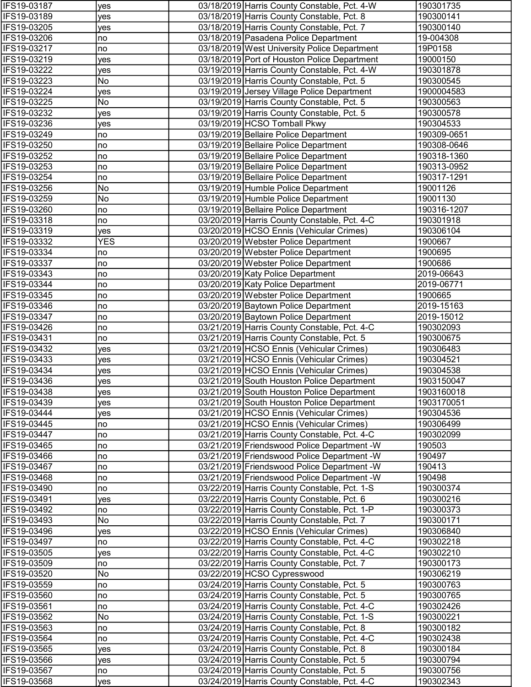| IFS19-03187                | yes        | 03/18/2019 Harris County Constable, Pct. 4-W                                               | 190301735              |
|----------------------------|------------|--------------------------------------------------------------------------------------------|------------------------|
| IFS19-03189                | yes        | 03/18/2019 Harris County Constable, Pct. 8                                                 | 190300141              |
| IFS19-03205                | yes        | 03/18/2019 Harris County Constable, Pct. 7                                                 | 190300140              |
| IFS19-03206                | no         | 03/18/2019 Pasadena Police Department                                                      | 19-004308              |
| IFS19-03217                | no         | 03/18/2019 West University Police Department                                               | 19P0158                |
| IFS19-03219                | yes        | 03/18/2019 Port of Houston Police Department                                               | 19000150               |
| IFS19-03222                | yes        | 03/19/2019 Harris County Constable, Pct. 4-W                                               | 190301878              |
| IFS19-03223                | No         | 03/19/2019 Harris County Constable, Pct. 5                                                 | 190300545              |
| IFS19-03224                | yes        | 03/19/2019 Jersey Village Police Department                                                | 1900004583             |
| IFS19-03225                | No         | 03/19/2019 Harris County Constable, Pct. 5                                                 | 190300563              |
| IFS19-03232                | yes        | 03/19/2019 Harris County Constable, Pct. 5                                                 | 190300578              |
| IFS19-03236                | yes        | 03/19/2019 HCSO Tomball Pkwy                                                               | 190304533              |
| IFS19-03249                | no         | 03/19/2019 Bellaire Police Department                                                      | 190309-0651            |
| IFS19-03250                | no         | 03/19/2019 Bellaire Police Department                                                      | 190308-0646            |
| IFS19-03252                | no         | 03/19/2019 Bellaire Police Department                                                      | 190318-1360            |
| IFS19-03253                | no         | 03/19/2019 Bellaire Police Department                                                      | 190313-0952            |
| IFS19-03254                | no         | 03/19/2019 Bellaire Police Department                                                      | 190317-1291            |
| IFS19-03256                | No         | 03/19/2019 Humble Police Department                                                        | 19001126               |
| IFS19-03259                | No         | 03/19/2019 Humble Police Department                                                        | 19001130               |
| IFS19-03260                | no         | 03/19/2019 Bellaire Police Department                                                      | 190316-1207            |
| IFS19-03318                | no         | 03/20/2019 Harris County Constable, Pct. 4-C                                               | 190301918              |
| IFS19-03319                | yes        | 03/20/2019 HCSO Ennis (Vehicular Crimes)                                                   | 190306104              |
| IFS19-03332                | <b>YES</b> | 03/20/2019 Webster Police Department                                                       | 1900667                |
| IFS19-03334                | no         | 03/20/2019 Webster Police Department                                                       | 1900695                |
| IFS19-03337                | no         | 03/20/2019 Webster Police Department                                                       | 1900686                |
| IFS19-03343                | no         | 03/20/2019 Katy Police Department                                                          | 2019-06643             |
| IFS19-03344                | no         | 03/20/2019 Katy Police Department                                                          | 2019-06771             |
| IFS19-03345                | Ino        | 03/20/2019 Webster Police Department                                                       | 1900665                |
| IFS19-03346                | no         | 03/20/2019 Baytown Police Department                                                       | 2019-15163             |
| IFS19-03347                | no         | 03/20/2019 Baytown Police Department                                                       | 2019-15012             |
| IFS19-03426<br>IFS19-03431 | no         | 03/21/2019 Harris County Constable, Pct. 4-C<br>03/21/2019 Harris County Constable, Pct. 5 | 190302093              |
| IFS19-03432                | no         | 03/21/2019 HCSO Ennis (Vehicular Crimes)                                                   | 190300675<br>190306483 |
| IFS19-03433                | yes        | 03/21/2019 HCSO Ennis (Vehicular Crimes)                                                   | 190304521              |
| IFS19-03434                | yes<br>yes | 03/21/2019 HCSO Ennis (Vehicular Crimes)                                                   | 190304538              |
| IFS19-03436                | yes        | 03/21/2019 South Houston Police Department                                                 | 1903150047             |
| IFS19-03438                | yes        | 03/21/2019 South Houston Police Department                                                 | 1903160018             |
| IFS19-03439                | yes        | 03/21/2019 South Houston Police Department                                                 | 1903170051             |
| IFS19-03444                | yes        | 03/21/2019 HCSO Ennis (Vehicular Crimes)                                                   | 190304536              |
| IFS19-03445                | no         | 03/21/2019 HCSO Ennis (Vehicular Crimes)                                                   | 190306499              |
| IFS19-03447                | no         | 03/21/2019 Harris County Constable, Pct. 4-C                                               | 190302099              |
| IFS19-03465                | no         | 03/21/2019 Friendswood Police Department -W                                                | 190503                 |
| IFS19-03466                | no         | 03/21/2019 Friendswood Police Department -W                                                | 190497                 |
| IFS19-03467                | no         | 03/21/2019 Friendswood Police Department -W                                                | 190413                 |
| IFS19-03468                | no         | 03/21/2019 Friendswood Police Department -W                                                | 190498                 |
| IFS19-03490                | no         | 03/22/2019 Harris County Constable, Pct. 1-S                                               | 190300374              |
| IFS19-03491                | yes        | 03/22/2019 Harris County Constable, Pct. 6                                                 | 190300216              |
| IFS19-03492                | no         | 03/22/2019 Harris County Constable, Pct. 1-P                                               | 190300373              |
| IFS19-03493                | No         | 03/22/2019 Harris County Constable, Pct. 7                                                 | 190300171              |
| IFS19-03496                | yes        | 03/22/2019 HCSO Ennis (Vehicular Crimes)                                                   | 190306840              |
| IFS19-03497                | no         | 03/22/2019 Harris County Constable, Pct. 4-C                                               | 190302218              |
| IFS19-03505                | yes        | 03/22/2019 Harris County Constable, Pct. 4-C                                               | 190302210              |
| IFS19-03509                | no         | 03/22/2019 Harris County Constable, Pct. 7                                                 | 190300173              |
| IFS19-03520                | No         | 03/22/2019 HCSO Cypresswood                                                                | 190306219              |
| IFS19-03559                | no         | 03/24/2019 Harris County Constable, Pct. 5                                                 | 190300763              |
| IFS19-03560                | no         | 03/24/2019 Harris County Constable, Pct. 5                                                 | 190300765              |
| IFS19-03561                | no         | 03/24/2019 Harris County Constable, Pct. 4-C                                               | 190302426              |
| IFS19-03562                | No         | 03/24/2019 Harris County Constable, Pct. 1-S                                               | 190300221              |
| IFS19-03563                | no         | 03/24/2019 Harris County Constable, Pct. 8                                                 | 190300182              |
| IFS19-03564                | no         | 03/24/2019 Harris County Constable, Pct. 4-C                                               | 190302438              |
| IFS19-03565                | yes        | 03/24/2019 Harris County Constable, Pct. 8                                                 | 190300184              |
| IFS19-03566                | yes        | 03/24/2019 Harris County Constable, Pct. 5                                                 | 190300794              |
| IFS19-03567                | no         | 03/24/2019 Harris County Constable, Pct. 5                                                 | 190300756              |
| IFS19-03568                | yes        | 03/24/2019 Harris County Constable, Pct. 4-C                                               | 190302343              |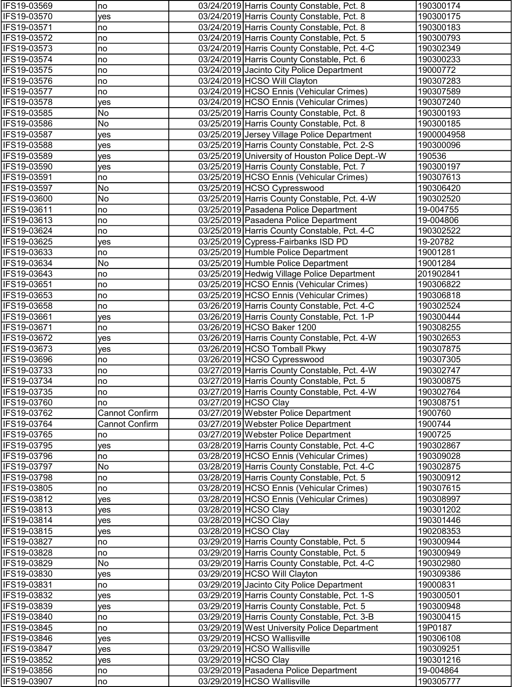| IFS19-03569                | no                    | 03/24/2019 Harris County Constable, Pct. 8                                 | 190300174              |
|----------------------------|-----------------------|----------------------------------------------------------------------------|------------------------|
| IFS19-03570                | yes                   | 03/24/2019 Harris County Constable, Pct. 8                                 | 190300175              |
| IFS19-03571                | no                    | 03/24/2019 Harris County Constable, Pct. 8                                 | 190300183              |
| IFS19-03572                | no                    | 03/24/2019 Harris County Constable, Pct. 5                                 | 190300793              |
| IFS19-03573                | no                    | 03/24/2019 Harris County Constable, Pct. 4-C                               | 190302349              |
| IFS19-03574                | no                    | 03/24/2019 Harris County Constable, Pct. 6                                 | 190300233              |
| IFS19-03575                | no                    | 03/24/2019 Jacinto City Police Department                                  | 19000772               |
| IFS19-03576                | no                    | 03/24/2019 HCSO Will Clayton                                               | 190307283              |
| IFS19-03577                | no                    | 03/24/2019 HCSO Ennis (Vehicular Crimes)                                   | 190307589              |
| IFS19-03578                | yes                   | 03/24/2019 HCSO Ennis (Vehicular Crimes)                                   | 190307240              |
| IFS19-03585                | No                    | 03/25/2019 Harris County Constable, Pct. 8                                 | 190300193              |
| IFS19-03586                | No                    | 03/25/2019 Harris County Constable, Pct. 8                                 | 190300185              |
| IFS19-03587                | yes                   | 03/25/2019 Jersey Village Police Department                                | 1900004958             |
| IFS19-03588                | yes                   | 03/25/2019 Harris County Constable, Pct. 2-S                               | 190300096              |
| IFS19-03589                | ves                   | 03/25/2019 University of Houston Police Dept.-W                            | 190536                 |
| IFS19-03590                | yes                   | 03/25/2019 Harris County Constable, Pct. 7                                 | 190300197              |
| IFS19-03591                | no                    | 03/25/2019 HCSO Ennis (Vehicular Crimes)                                   | 190307613              |
| IFS19-03597                | No                    | 03/25/2019 HCSO Cypresswood                                                | 190306420              |
| IFS19-03600                | No                    | 03/25/2019 Harris County Constable, Pct. 4-W                               | 190302520              |
| IFS19-03611                | no                    | 03/25/2019 Pasadena Police Department                                      | 19-004755              |
| IFS19-03613                | no                    | 03/25/2019 Pasadena Police Department                                      | 19-004806              |
| IFS19-03624                | no                    | 03/25/2019 Harris County Constable, Pct. 4-C                               | 190302522              |
| IFS19-03625                | yes                   | 03/25/2019 Cypress-Fairbanks ISD PD                                        | 19-20782               |
| IFS19-03633                | no                    | 03/25/2019 Humble Police Department                                        | 19001281               |
| IFS19-03634                | No                    | 03/25/2019 Humble Police Department                                        | 19001284               |
| IFS19-03643                | no                    | 03/25/2019 Hedwig Village Police Department                                | 201902841              |
| IFS19-03651                | no                    | 03/25/2019 HCSO Ennis (Vehicular Crimes)                                   | 190306822              |
| IFS19-03653                | no                    | 03/25/2019 HCSO Ennis (Vehicular Crimes)                                   | 190306818              |
| IFS19-03658                | no                    | 03/26/2019 Harris County Constable, Pct. 4-C                               | 190302524              |
| IFS19-03661                | yes                   | 03/26/2019 Harris County Constable, Pct. 1-P<br>03/26/2019 HCSO Baker 1200 | 190300444              |
| IFS19-03671<br>IFS19-03672 | no                    | 03/26/2019 Harris County Constable, Pct. 4-W                               | 190308255<br>190302653 |
| IFS19-03673                | <b>ves</b><br>ves     | 03/26/2019 HCSO Tomball Pkwy                                               | 190307875              |
| IFS19-03696                | no                    | 03/26/2019 HCSO Cypresswood                                                | 190307305              |
| IFS19-03733                | no                    | 03/27/2019 Harris County Constable, Pct. 4-W                               | 190302747              |
| IFS19-03734                | no                    | 03/27/2019 Harris County Constable, Pct. 5                                 | 190300875              |
| IFS19-03735                | no                    | 03/27/2019 Harris County Constable, Pct. 4-W                               | 190302764              |
| IFS19-03760                | no                    | 03/27/2019 HCSO Clay                                                       | 190308751              |
| IFS19-03762                | <b>Cannot Confirm</b> | 03/27/2019 Webster Police Department                                       | 1900760                |
| IFS19-03764                | <b>Cannot Confirm</b> | 03/27/2019 Webster Police Department                                       | 1900744                |
| IFS19-03765                | no                    | 03/27/2019 Webster Police Department                                       | 1900725                |
| IFS19-03795                | yes                   | 03/28/2019 Harris County Constable, Pct. 4-C                               | 190302867              |
| IFS19-03796                | no                    | 03/28/2019 HCSO Ennis (Vehicular Crimes)                                   | 190309028              |
| IFS19-03797                | No                    | 03/28/2019 Harris County Constable, Pct. 4-C                               | 190302875              |
| IFS19-03798                | no                    | 03/28/2019 Harris County Constable, Pct. 5                                 | 190300912              |
| IFS19-03805                | no                    | 03/28/2019 HCSO Ennis (Vehicular Crimes)                                   | 190307615              |
| IFS19-03812                | yes                   | 03/28/2019 HCSO Ennis (Vehicular Crimes)                                   | 190308997              |
| IFS19-03813                | yes                   | 03/28/2019 HCSO Clay                                                       | 190301202              |
| IFS19-03814                | yes                   | 03/28/2019 HCSO Clay                                                       | 190301446              |
| IFS19-03815                | <b>ves</b>            | 03/28/2019 HCSO Clay                                                       | 190208353              |
| IFS19-03827                | no                    | 03/29/2019 Harris County Constable, Pct. 5                                 | 190300944              |
| IFS19-03828                | no                    | 03/29/2019 Harris County Constable, Pct. 5                                 | 190300949              |
| IFS19-03829                | No                    | 03/29/2019 Harris County Constable, Pct. 4-C                               | 190302980              |
| IFS19-03830                | yes                   | 03/29/2019 HCSO Will Clayton                                               | 190309386              |
| IFS19-03831                | no                    | 03/29/2019 Jacinto City Police Department                                  | 19000831               |
| IFS19-03832                | yes                   | 03/29/2019 Harris County Constable, Pct. 1-S                               | 190300501              |
| IFS19-03839                | <b>ves</b>            | 03/29/2019 Harris County Constable, Pct. 5                                 | 190300948              |
| IFS19-03840                | no                    | 03/29/2019 Harris County Constable, Pct. 3-B                               | 190300415              |
| IFS19-03845                | no                    | 03/29/2019 West University Police Department                               | 19P0187                |
| IFS19-03846                | yes                   | 03/29/2019 HCSO Wallisville                                                | 190306108              |
| IFS19-03847                | yes                   | 03/29/2019 HCSO Wallisville                                                | 190309251              |
| IFS19-03852                | yes                   | 03/29/2019 HCSO Clay                                                       | 190301216              |
| IFS19-03856                | no                    | 03/29/2019 Pasadena Police Department                                      | 19-004864              |
| IFS19-03907                | no                    | 03/29/2019 HCSO Wallisville                                                | 190305777              |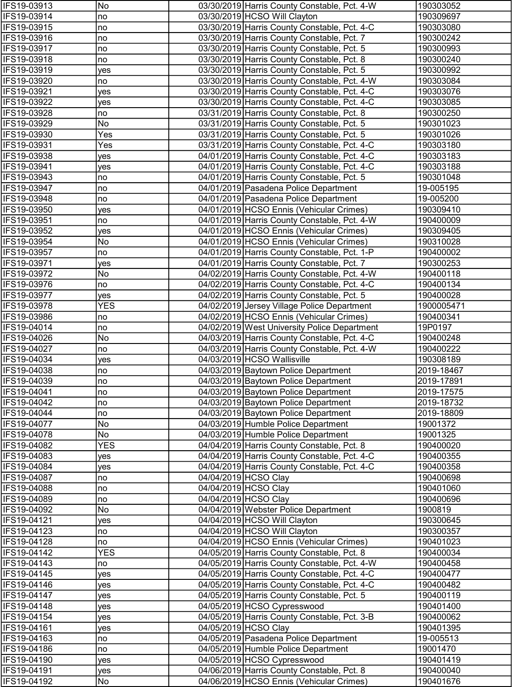| IFS19-03913                | No         | 03/30/2019 Harris County Constable, Pct. 4-W                                 | 190303052               |
|----------------------------|------------|------------------------------------------------------------------------------|-------------------------|
| IFS19-03914                | no         | 03/30/2019 HCSO Will Clayton                                                 | 190309697               |
| IFS19-03915                | no)        | 03/30/2019 Harris County Constable, Pct. 4-C                                 | 190303080               |
| IFS19-03916                | no)        | 03/30/2019 Harris County Constable, Pct. 7                                   | 190300242               |
| IFS19-03917                | no         | 03/30/2019 Harris County Constable, Pct. 5                                   | 190300993               |
| IFS19-03918                | no         | 03/30/2019 Harris County Constable, Pct. 8                                   | 190300240               |
| IFS19-03919                | yes        | 03/30/2019 Harris County Constable, Pct. 5                                   | 190300992               |
| IFS19-03920                | no         | 03/30/2019 Harris County Constable, Pct. 4-W                                 | 190303084               |
| IFS19-03921                | yes        | 03/30/2019 Harris County Constable, Pct. 4-C                                 | 190303076               |
| IFS19-03922                | yes        | 03/30/2019 Harris County Constable, Pct. 4-C                                 | 190303085               |
| IFS19-03928                | no         | 03/31/2019 Harris County Constable, Pct. 8                                   | 190300250               |
| IFS19-03929                | No         | 03/31/2019 Harris County Constable, Pct. 5                                   | 190301023               |
| IFS19-03930                | Yes        | 03/31/2019 Harris County Constable, Pct. 5                                   | 190301026               |
| IFS19-03931                | Yes        | 03/31/2019 Harris County Constable, Pct. 4-C                                 | 190303180               |
| IFS19-03938                | ves        | 04/01/2019 Harris County Constable, Pct. 4-C                                 | 190303183               |
| IFS19-03941                | yes        | 04/01/2019 Harris County Constable, Pct. 4-C                                 | 190303188               |
| IFS19-03943                | no         | 04/01/2019 Harris County Constable, Pct. 5                                   | 190301048               |
| IFS19-03947                | no         | 04/01/2019 Pasadena Police Department                                        | 19-005195               |
| IFS19-03948                | no         | 04/01/2019 Pasadena Police Department                                        | 19-005200               |
| IFS19-03950                | yes        | 04/01/2019 HCSO Ennis (Vehicular Crimes)                                     | 190309410               |
| IFS19-03951                | no         | 04/01/2019 Harris County Constable, Pct. 4-W                                 | 190400009               |
| IFS19-03952                | yes        | 04/01/2019 HCSO Ennis (Vehicular Crimes)                                     | 190309405               |
| IFS19-03954                | No         | 04/01/2019 HCSO Ennis (Vehicular Crimes)                                     | 190310028               |
| IFS19-03957                | no         | 04/01/2019 Harris County Constable, Pct. 1-P                                 | 190400002               |
| IFS19-03971                | yes        | 04/01/2019 Harris County Constable, Pct. 7                                   | 190300253               |
| IFS19-03972                | No         | 04/02/2019 Harris County Constable, Pct. 4-W                                 | 190400118               |
| IFS19-03976                | no         | 04/02/2019 Harris County Constable, Pct. 4-C                                 | 190400134               |
| IFS19-03977                | yes        | 04/02/2019 Harris County Constable, Pct. 5                                   | 190400028               |
| IFS19-03978                | <b>YES</b> | 04/02/2019 Jersey Village Police Department                                  | 1900005471              |
| IFS19-03986                | no         | 04/02/2019 HCSO Ennis (Vehicular Crimes)                                     | 190400341               |
| IFS19-04014                | no         | 04/02/2019 West University Police Department                                 | 19P0197                 |
| IFS19-04026                | No         | 04/03/2019 Harris County Constable, Pct. 4-C                                 | 190400248               |
| IFS19-04027<br>IFS19-04034 | no         | 04/03/2019 Harris County Constable, Pct. 4-W                                 | 190400222               |
| IFS19-04038                | yes        | 04/03/2019 HCSO Wallisville                                                  | 190308189<br>2019-18467 |
| IFS19-04039                | no         | 04/03/2019 Baytown Police Department<br>04/03/2019 Baytown Police Department | 2019-17891              |
| IFS19-04041                | no         | 04/03/2019 Baytown Police Department                                         | 2019-17575              |
| IFS19-04042                | no<br>no   | 04/03/2019 Baytown Police Department                                         | 2019-18732              |
| IFS19-04044                | no         | 04/03/2019 Baytown Police Department                                         | 2019-18809              |
| IFS19-04077                | No         | 04/03/2019 Humble Police Department                                          | 19001372                |
| IFS19-04078                | No         | 04/03/2019 Humble Police Department                                          | 19001325                |
| IFS19-04082                | <b>YES</b> | 04/04/2019 Harris County Constable, Pct. 8                                   | 190400020               |
| IFS19-04083                | yes        | 04/04/2019 Harris County Constable, Pct. 4-C                                 | 190400355               |
| IFS19-04084                | yes        | 04/04/2019 Harris County Constable, Pct. 4-C                                 | 190400358               |
| IFS19-04087                | no         | 04/04/2019 HCSO Clay                                                         | 190400698               |
| IFS19-04088                | no)        | 04/04/2019 HCSO Clay                                                         | 190401060               |
| IFS19-04089                | no         | 04/04/2019 HCSO Clay                                                         | 190400696               |
| IFS19-04092                | No         | 04/04/2019 Webster Police Department                                         | 1900819                 |
| IFS19-04121                | <b>ves</b> | 04/04/2019 HCSO Will Clayton                                                 | 190300645               |
| IFS19-04123                | no         | 04/04/2019 HCSO Will Clayton                                                 | 190300357               |
| IFS19-04128                | no         | 04/04/2019 HCSO Ennis (Vehicular Crimes)                                     | 190401023               |
| IFS19-04142                | <b>YES</b> | 04/05/2019 Harris County Constable, Pct. 8                                   | 190400034               |
| IFS19-04143                | no         | 04/05/2019 Harris County Constable, Pct. 4-W                                 | 190400458               |
| IFS19-04145                | yes        | 04/05/2019 Harris County Constable, Pct. 4-C                                 | 190400477               |
| IFS19-04146                | yes        | 04/05/2019 Harris County Constable, Pct. 4-C                                 | 190400482               |
| IFS19-04147                | yes        | 04/05/2019 Harris County Constable, Pct. 5                                   | 190400119               |
| IFS19-04148                | yes        | 04/05/2019 HCSO Cypresswood                                                  | 190401400               |
| IFS19-04154                | yes        | 04/05/2019 Harris County Constable, Pct. 3-B                                 | 190400062               |
| IFS19-04161                | yes        | 04/05/2019 HCSO Clay                                                         | 190401395               |
| IFS19-04163                | no         | 04/05/2019 Pasadena Police Department                                        | 19-005513               |
| IFS19-04186                | no         | 04/05/2019 Humble Police Department                                          | 19001470                |
| IFS19-04190                | yes        | 04/05/2019 HCSO Cypresswood                                                  | 190401419               |
| IFS19-04191                | yes        | 04/06/2019 Harris County Constable, Pct. 8                                   | 190400040               |
| IFS19-04192                | No         | 04/06/2019 HCSO Ennis (Vehicular Crimes)                                     | 190401676               |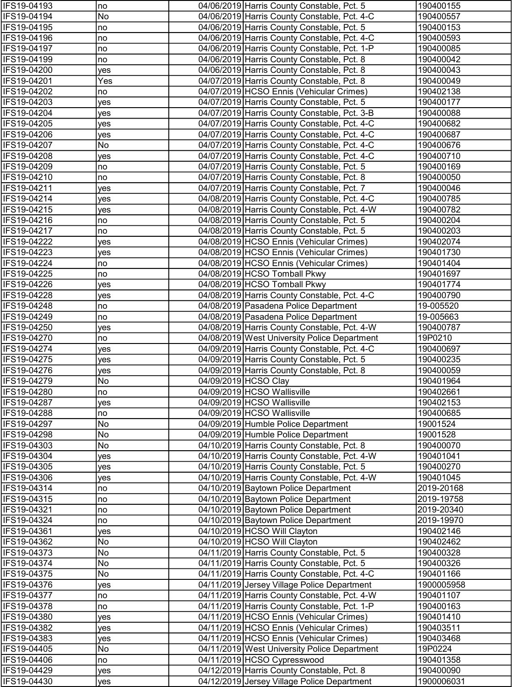| IFS19-04193                | no         | 04/06/2019 Harris County Constable, Pct. 5                                                 | 190400155              |
|----------------------------|------------|--------------------------------------------------------------------------------------------|------------------------|
| IFS19-04194                | No         | 04/06/2019 Harris County Constable, Pct. 4-C                                               | 190400557              |
| IFS19-04195                | no         | 04/06/2019 Harris County Constable, Pct. 5                                                 | 190400153              |
| IFS19-04196                | no         | 04/06/2019 Harris County Constable, Pct. 4-C                                               | 190400593              |
| IFS19-04197                | no         | 04/06/2019 Harris County Constable, Pct. 1-P                                               | 190400085              |
| IFS19-04199                | no         | 04/06/2019 Harris County Constable, Pct. 8                                                 | 190400042              |
| IFS19-04200                | yes        | 04/06/2019 Harris County Constable, Pct. 8                                                 | 190400043              |
| IFS19-04201                | Yes        | 04/07/2019 Harris County Constable, Pct. 8                                                 | 190400049              |
| IFS19-04202                | no         | 04/07/2019 HCSO Ennis (Vehicular Crimes)                                                   | 190402138              |
| IFS19-04203                | yes        | 04/07/2019 Harris County Constable, Pct. 5                                                 | 190400177              |
| IFS19-04204                | yes        | 04/07/2019 Harris County Constable, Pct. 3-B                                               | 190400088              |
| IFS19-04205                | yes        | 04/07/2019 Harris County Constable, Pct. 4-C                                               | 190400682              |
| IFS19-04206                | yes        | 04/07/2019 Harris County Constable, Pct. 4-C                                               | 190400687              |
| IFS19-04207                | No         | 04/07/2019 Harris County Constable, Pct. 4-C                                               | 190400676              |
| IFS19-04208                | ves        | 04/07/2019 Harris County Constable, Pct. 4-C                                               | 190400710              |
| IFS19-04209                | no         | 04/07/2019 Harris County Constable, Pct. 5                                                 | 190400169              |
| IFS19-04210                | no         | 04/07/2019 Harris County Constable, Pct. 8                                                 | 190400050              |
| IFS19-04211                | yes        | 04/07/2019 Harris County Constable, Pct. 7                                                 | 190400046              |
| IFS19-04214                | yes        | 04/08/2019 Harris County Constable, Pct. 4-C                                               | 190400785              |
| IFS19-04215                | yes        | 04/08/2019 Harris County Constable, Pct. 4-W                                               | 190400782              |
| IFS19-04216                | no         | 04/08/2019 Harris County Constable, Pct. 5                                                 | 190400204              |
| IFS19-04217                | no         | 04/08/2019 Harris County Constable, Pct. 5                                                 | 190400203              |
| IFS19-04222                | yes        | 04/08/2019 HCSO Ennis (Vehicular Crimes)                                                   | 190402074              |
| IFS19-04223                | yes        | 04/08/2019 HCSO Ennis (Vehicular Crimes)                                                   | 190401730              |
| IFS19-04224                | no         | 04/08/2019 HCSO Ennis (Vehicular Crimes)                                                   | 190401404              |
| IFS19-04225                | no         | 04/08/2019 HCSO Tomball Pkwy                                                               | 190401697              |
| IFS19-04226                | yes        | 04/08/2019 HCSO Tomball Pkwy                                                               | 190401774              |
| IFS19-04228                | yes        | 04/08/2019 Harris County Constable, Pct. 4-C                                               | 190400790              |
| IFS19-04248                | no         | 04/08/2019 Pasadena Police Department                                                      | 19-005520              |
| IFS19-04249                | no         | 04/08/2019 Pasadena Police Department                                                      | 19-005663              |
| IFS19-04250                | yes        | 04/08/2019 Harris County Constable, Pct. 4-W                                               | 190400787              |
| IFS19-04270<br>IFS19-04274 | no         | 04/08/2019 West University Police Department                                               | 19P0210                |
| IFS19-04275                | yes        | 04/09/2019 Harris County Constable, Pct. 4-C<br>04/09/2019 Harris County Constable, Pct. 5 | 190400697<br>190400235 |
| IFS19-04276                | yes<br>yes | 04/09/2019 Harris County Constable, Pct. 8                                                 | 190400059              |
| IFS19-04279                | No         | 04/09/2019 HCSO Clay                                                                       | 190401964              |
| <b>IFS19-04280</b>         | no         | 04/09/2019 HCSO Wallisville                                                                | 190402661              |
| IFS19-04287                | yes        | 04/09/2019 HCSO Wallisville                                                                | 190402153              |
| IFS19-04288                | no         | 04/09/2019 HCSO Wallisville                                                                | 190400685              |
| IFS19-04297                | No         | 04/09/2019 Humble Police Department                                                        | 19001524               |
| IFS19-04298                | No         | 04/09/2019 Humble Police Department                                                        | 19001528               |
| IFS19-04303                | No         | 04/10/2019 Harris County Constable, Pct. 8                                                 | 190400070              |
| IFS19-04304                | yes        | 04/10/2019 Harris County Constable, Pct. 4-W                                               | 190401041              |
| IFS19-04305                | yes        | 04/10/2019 Harris County Constable, Pct. 5                                                 | 190400270              |
| IFS19-04306                | yes        | 04/10/2019 Harris County Constable, Pct. 4-W                                               | 190401045              |
| IFS19-04314                | no         | 04/10/2019 Baytown Police Department                                                       | 2019-20168             |
| IFS19-04315                | no         | 04/10/2019 Baytown Police Department                                                       | 2019-19758             |
| IFS19-04321                | no         | 04/10/2019 Baytown Police Department                                                       | 2019-20340             |
| IFS19-04324                | no         | 04/10/2019 Baytown Police Department                                                       | 2019-19970             |
| IFS19-04361                | ves        | 04/10/2019 HCSO Will Clayton                                                               | 190402146              |
| IFS19-04362                | No         | 04/10/2019 HCSO Will Clayton                                                               | 190402462              |
| IFS19-04373                | No         | 04/11/2019 Harris County Constable, Pct. 5                                                 | 190400328              |
| IFS19-04374                | No         | 04/11/2019 Harris County Constable, Pct. 5                                                 | 190400326              |
| IFS19-04375                | No         | 04/11/2019 Harris County Constable, Pct. 4-C                                               | 190401166              |
| IFS19-04376                | yes        | 04/11/2019 Jersey Village Police Department                                                | 1900005958             |
| IFS19-04377                | no         | 04/11/2019 Harris County Constable, Pct. 4-W                                               | 190401107              |
| IFS19-04378                | no         | 04/11/2019 Harris County Constable, Pct. 1-P                                               | 190400163              |
| IFS19-04380                | yes        | 04/11/2019 HCSO Ennis (Vehicular Crimes)                                                   | 190401410              |
| IFS19-04382                | yes        | 04/11/2019 HCSO Ennis (Vehicular Crimes)                                                   | 190403511              |
| IFS19-04383                | yes        | 04/11/2019 HCSO Ennis (Vehicular Crimes)                                                   | 190403468              |
| IFS19-04405                | No         | 04/11/2019 West University Police Department                                               | 19P0224                |
| IFS19-04406                | no         | 04/11/2019 HCSO Cypresswood                                                                | 190401358              |
| IFS19-04429                | yes        | 04/12/2019 Harris County Constable, Pct. 8                                                 | 190400090              |
| IFS19-04430                | yes        | 04/12/2019 Jersey Village Police Department                                                | 1900006031             |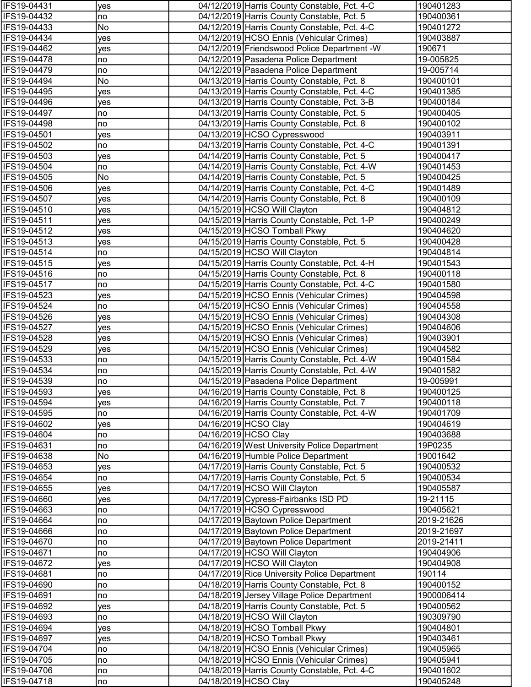| IFS19-04431                | yes       | 04/12/2019 Harris County Constable, Pct. 4-C                                             | 190401283              |
|----------------------------|-----------|------------------------------------------------------------------------------------------|------------------------|
| IFS19-04432                | no        | 04/12/2019 Harris County Constable, Pct. 5                                               | 190400361              |
| IFS19-04433                | No        | 04/12/2019 Harris County Constable, Pct. 4-C                                             | 190401272              |
| IFS19-04434                | yes       | 04/12/2019 HCSO Ennis (Vehicular Crimes)                                                 | 190403887              |
| IFS19-04462                | yes       | 04/12/2019 Friendswood Police Department -W                                              | 190671                 |
| IFS19-04478                | no        | 04/12/2019 Pasadena Police Department                                                    | 19-005825              |
| IFS19-04479                | no        | 04/12/2019 Pasadena Police Department                                                    | 19-005714              |
| IFS19-04494                | No        | 04/13/2019 Harris County Constable, Pct. 8                                               | 190400101              |
| IFS19-04495                | yes       | 04/13/2019 Harris County Constable, Pct. 4-C                                             | 190401385              |
| IFS19-04496                | yes       | 04/13/2019 Harris County Constable, Pct. 3-B                                             | 190400184              |
| IFS19-04497                | no        | 04/13/2019 Harris County Constable, Pct. 5                                               | 190400405              |
| IFS19-04498                | no        | 04/13/2019 Harris County Constable, Pct. 8                                               | 190400102              |
| IFS19-04501                | yes       | 04/13/2019 HCSO Cypresswood                                                              | 190403911              |
| IFS19-04502                | no        | 04/13/2019 Harris County Constable, Pct. 4-C                                             | 190401391              |
| IFS19-04503                | yes       | 04/14/2019 Harris County Constable, Pct. 5                                               | 190400417              |
| IFS19-04504                | no        | 04/14/2019 Harris County Constable, Pct. 4-W                                             | 190401453              |
| IFS19-04505                | No        | 04/14/2019 Harris County Constable, Pct. 5                                               | 190400425              |
| IFS19-04506                | yes       | 04/14/2019 Harris County Constable, Pct. 4-C                                             | 190401489              |
| IFS19-04507                | yes       | 04/14/2019 Harris County Constable, Pct. 8                                               | 190400109              |
| IFS19-04510                | yes       | 04/15/2019 HCSO Will Clayton                                                             | 190404812              |
| IFS19-04511                | yes       | 04/15/2019 Harris County Constable, Pct. 1-P                                             | 190400249              |
| IFS19-04512                | yes       | 04/15/2019 HCSO Tomball Pkwy                                                             | 190404620              |
| IFS19-04513                | yes       | 04/15/2019 Harris County Constable, Pct. 5                                               | 190400428              |
| IFS19-04514                | no        | 04/15/2019 HCSO Will Clayton                                                             | 190404814              |
| IFS19-04515                | yes       | 04/15/2019 Harris County Constable, Pct. 4-H                                             | 190401543              |
| IFS19-04516                | no        | 04/15/2019 Harris County Constable, Pct. 8                                               | 190400118              |
| IFS19-04517                | no        | 04/15/2019 Harris County Constable, Pct. 4-C                                             | 190401580              |
| IFS19-04523                | yes       | 04/15/2019 HCSO Ennis (Vehicular Crimes)                                                 | 190404598              |
| IFS19-04524                | no        | 04/15/2019 HCSO Ennis (Vehicular Crimes)                                                 | 190404558              |
| IFS19-04526                | yes       | 04/15/2019 HCSO Ennis (Vehicular Crimes)                                                 | 190404308              |
| IFS19-04527                | yes       | 04/15/2019 HCSO Ennis (Vehicular Crimes)                                                 | 190404606              |
| IFS19-04528<br>IFS19-04529 | yes       | 04/15/2019 HCSO Ennis (Vehicular Crimes)                                                 | 190403901<br>190404582 |
| IFS19-04533                | yes<br>no | 04/15/2019 HCSO Ennis (Vehicular Crimes)<br>04/15/2019 Harris County Constable, Pct. 4-W | 190401584              |
| IFS19-04534                | no        | 04/15/2019 Harris County Constable, Pct. 4-W                                             | 190401582              |
| IFS19-04539                | no        | 04/15/2019 Pasadena Police Department                                                    | 19-005991              |
| <b>IFS19-04593</b>         | yes       | 04/16/2019 Harris County Constable, Pct. 8                                               | 190400125              |
| IFS19-04594                | yes       | 04/16/2019 Harris County Constable, Pct. 7                                               | 190400118              |
| IFS19-04595                | no        | 04/16/2019 Harris County Constable, Pct. 4-W                                             | 190401709              |
| IFS19-04602                | yes       | 04/16/2019 HCSO Clay                                                                     | 190404619              |
| IFS19-04604                | no        | 04/16/2019 HCSO Clay                                                                     | 190403688              |
| IFS19-04631                | no        | 04/16/2019 West University Police Department                                             | 19P0235                |
| IFS19-04638                | No        | 04/16/2019 Humble Police Department                                                      | 19001642               |
| IFS19-04653                | yes       | 04/17/2019 Harris County Constable, Pct. 5                                               | 190400532              |
| IFS19-04654                | no        | 04/17/2019 Harris County Constable, Pct. 5                                               | 190400534              |
| IFS19-04655                | yes       | 04/17/2019 HCSO Will Clayton                                                             | 190405587              |
| IFS19-04660                | yes       | 04/17/2019 Cypress-Fairbanks ISD PD                                                      | 19-21115               |
| IFS19-04663                | no        | 04/17/2019 HCSO Cypresswood                                                              | 190405621              |
| IFS19-04664                | no        | 04/17/2019 Baytown Police Department                                                     | 2019-21626             |
| IFS19-04666                | no        | 04/17/2019 Baytown Police Department                                                     | 2019-21697             |
| IFS19-04670                | no        | 04/17/2019 Baytown Police Department                                                     | 2019-21411             |
| IFS19-04671                | no        | 04/17/2019 HCSO Will Clayton                                                             | 190404906              |
| IFS19-04672                | yes       | 04/17/2019 HCSO Will Clayton                                                             | 190404908              |
| IFS19-04681                | no        | 04/17/2019 Rice University Police Department                                             | 190114                 |
| IFS19-04690                | no        | 04/18/2019 Harris County Constable, Pct. 8                                               | 190400152              |
| IFS19-04691                | no        | 04/18/2019 Jersey Village Police Department                                              | 1900006414             |
| IFS19-04692                | yes       | 04/18/2019 Harris County Constable, Pct. 5                                               | 190400562              |
| IFS19-04693                | no        | 04/18/2019 HCSO Will Clayton                                                             | 190309790              |
| IFS19-04694                | yes       | 04/18/2019 HCSO Tomball Pkwy                                                             | 190404801              |
| IFS19-04697                | yes       | 04/18/2019 HCSO Tomball Pkwy                                                             | 190403461              |
| IFS19-04704                | no        | 04/18/2019 HCSO Ennis (Vehicular Crimes)                                                 | 190405965              |
| IFS19-04705                | no        | 04/18/2019 HCSO Ennis (Vehicular Crimes)                                                 | 190405941              |
| IFS19-04706                | no        | 04/18/2019 Harris County Constable, Pct. 4-C                                             | 190401602              |
| IFS19-04718                | no        | 04/18/2019 HCSO Clay                                                                     | 190405248              |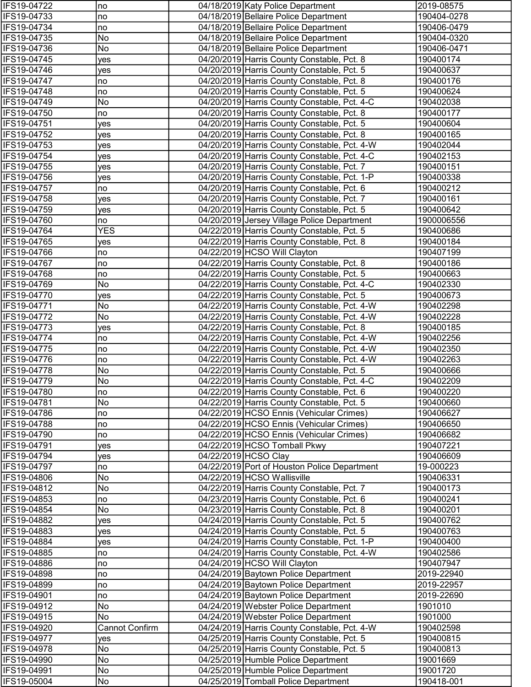| IFS19-04722                | no                    | 04/18/2019 Katy Police Department                                           | 2019-08575             |
|----------------------------|-----------------------|-----------------------------------------------------------------------------|------------------------|
| IFS19-04733                | no                    | 04/18/2019 Bellaire Police Department                                       | 190404-0278            |
| IFS19-04734                | no                    | 04/18/2019 Bellaire Police Department                                       | 190406-0479            |
| IFS19-04735                | No                    | 04/18/2019 Bellaire Police Department                                       | 190404-0320            |
| IFS19-04736                | No                    | 04/18/2019 Bellaire Police Department                                       | 190406-0471            |
| IFS19-04745                | yes                   | 04/20/2019 Harris County Constable, Pct. 8                                  | 190400174              |
| IFS19-04746                | yes                   | 04/20/2019 Harris County Constable, Pct. 5                                  | 190400637              |
| IFS19-04747                | no                    | 04/20/2019 Harris County Constable, Pct. 8                                  | 190400176              |
| IFS19-04748                | no                    | 04/20/2019 Harris County Constable, Pct. 5                                  | 190400624              |
| IFS19-04749                | No                    | 04/20/2019 Harris County Constable, Pct. 4-C                                | 190402038              |
| IFS19-04750                | no                    | 04/20/2019 Harris County Constable, Pct. 8                                  | 190400177              |
| IFS19-04751                | yes                   | 04/20/2019 Harris County Constable, Pct. 5                                  | 190400604              |
| IFS19-04752                | yes                   | 04/20/2019 Harris County Constable, Pct. 8                                  | 190400165              |
| IFS19-04753                | yes                   | 04/20/2019 Harris County Constable, Pct. 4-W                                | 190402044              |
| IFS19-04754                | yes                   | 04/20/2019 Harris County Constable, Pct. 4-C                                | 190402153              |
| IFS19-04755                | ves                   | 04/20/2019 Harris County Constable, Pct. 7                                  | 190400151              |
| IFS19-04756                | yes                   | 04/20/2019 Harris County Constable, Pct. 1-P                                | 190400338              |
| IFS19-04757                | no                    | 04/20/2019 Harris County Constable, Pct. 6                                  | 190400212              |
| IFS19-04758                | yes                   | 04/20/2019 Harris County Constable, Pct. 7                                  | 190400161              |
| IFS19-04759                | yes                   | 04/20/2019 Harris County Constable, Pct. 5                                  | 190400642              |
| IFS19-04760                | no                    | 04/20/2019 Jersey Village Police Department                                 | 1900006556             |
| IFS19-04764                | <b>YES</b>            | 04/22/2019 Harris County Constable, Pct. 5                                  | 190400686              |
| IFS19-04765                | yes                   | 04/22/2019 Harris County Constable, Pct. 8                                  | 190400184              |
| IFS19-04766                | no                    | 04/22/2019 HCSO Will Clayton                                                | 190407199              |
| IFS19-04767                | no                    | 04/22/2019 Harris County Constable, Pct. 8                                  | 190400186              |
| IFS19-04768                | no                    | 04/22/2019 Harris County Constable, Pct. 5                                  | 190400663              |
| IFS19-04769                | No                    | 04/22/2019 Harris County Constable, Pct. 4-C                                | 190402330              |
| IFS19-04770                | yes                   | 04/22/2019 Harris County Constable, Pct. 5                                  | 190400673              |
| IFS19-04771                | No                    | 04/22/2019 Harris County Constable, Pct. 4-W                                | 190402298              |
| IFS19-04772                | No                    | 04/22/2019 Harris County Constable, Pct. 4-W                                | 190402228              |
| IFS19-04773                | yes                   | 04/22/2019 Harris County Constable, Pct. 8                                  | 190400185              |
| IFS19-04774                | no                    | 04/22/2019 Harris County Constable, Pct. 4-W                                | 190402256              |
| IFS19-04775                | no                    | 04/22/2019 Harris County Constable, Pct. 4-W                                | 190402350              |
| IFS19-04776                | no                    | 04/22/2019 Harris County Constable, Pct. 4-W                                | 190402263              |
| IFS19-04778                | No                    | 04/22/2019 Harris County Constable, Pct. 5                                  | 190400666              |
| IFS19-04779                | No                    | 04/22/2019 Harris County Constable, Pct. 4-C                                | 190402209              |
| <b>IFS19-04780</b>         | no                    | 04/22/2019 Harris County Constable, Pct. 6                                  | 190400220              |
| IFS19-04781                | No                    | 04/22/2019 Harris County Constable, Pct. 5                                  | 190400660              |
| IFS19-04786                | no                    | 04/22/2019 HCSO Ennis (Vehicular Crimes)                                    | 190406627              |
| IFS19-04788                | no                    | 04/22/2019 HCSO Ennis (Vehicular Crimes)                                    | 190406650              |
| IFS19-04790                | no                    | 04/22/2019 HCSO Ennis (Vehicular Crimes)                                    | 190406682              |
| IFS19-04791                | yes                   | 04/22/2019 HCSO Tomball Pkwy                                                | 190407221              |
| IFS19-04794                | yes                   | 04/22/2019 HCSO Clay                                                        | 190406609              |
| IFS19-04797<br>IFS19-04806 | no<br>No              | 04/22/2019 Port of Houston Police Department<br>04/22/2019 HCSO Wallisville | 19-000223<br>190406331 |
| IFS19-04812                | No                    | 04/22/2019 Harris County Constable, Pct. 7                                  | 190400173              |
| IFS19-04853                | no                    | 04/23/2019 Harris County Constable, Pct. 6                                  | 190400241              |
| IFS19-04854                | No                    | 04/23/2019 Harris County Constable, Pct. 8                                  | 190400201              |
| IFS19-04882                | yes                   | 04/24/2019 Harris County Constable, Pct. 5                                  | 190400762              |
| IFS19-04883                | yes                   | 04/24/2019 Harris County Constable, Pct. 5                                  | 190400763              |
| IFS19-04884                | yes                   | 04/24/2019 Harris County Constable, Pct. 1-P                                | 190400400              |
| IFS19-04885                | no                    | 04/24/2019 Harris County Constable, Pct. 4-W                                | 190402586              |
| IFS19-04886                | no                    | 04/24/2019 HCSO Will Clayton                                                | 190407947              |
| IFS19-04898                | no                    | 04/24/2019 Baytown Police Department                                        | 2019-22940             |
| IFS19-04899                | no                    | 04/24/2019 Baytown Police Department                                        | 2019-22957             |
| IFS19-04901                | no                    | 04/24/2019 Baytown Police Department                                        | 2019-22690             |
| IFS19-04912                | No                    | 04/24/2019 Webster Police Department                                        | 1901010                |
| IFS19-04915                | No                    | 04/24/2019 Webster Police Department                                        | 1901000                |
| IFS19-04920                | <b>Cannot Confirm</b> | 04/24/2019 Harris County Constable, Pct. 4-W                                | 190402598              |
| IFS19-04977                | yes                   | 04/25/2019 Harris County Constable, Pct. 5                                  | 190400815              |
| IFS19-04978                | No                    | 04/25/2019 Harris County Constable, Pct. 5                                  | 190400813              |
| IFS19-04990                | No                    | 04/25/2019 Humble Police Department                                         | 19001669               |
| IFS19-04991                | No                    | 04/25/2019 Humble Police Department                                         | 19001720               |
| IFS19-05004                | No                    | 04/25/2019 Tomball Police Department                                        | 190418-001             |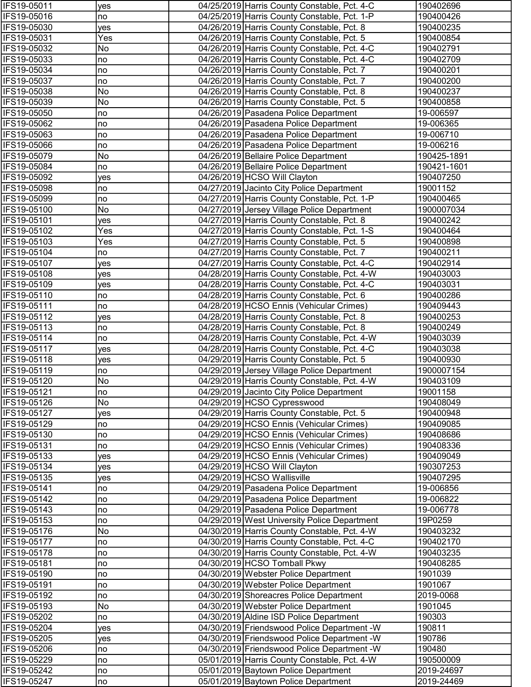| IFS19-05011                | yes       | 04/25/2019 Harris County Constable, Pct. 4-C                                               | 190402696              |
|----------------------------|-----------|--------------------------------------------------------------------------------------------|------------------------|
| IFS19-05016                | no        | 04/25/2019 Harris County Constable, Pct. 1-P                                               | 190400426              |
| IFS19-05030                | yes       | 04/26/2019 Harris County Constable, Pct. 8                                                 | 190400235              |
| IFS19-05031                | Yes       | 04/26/2019 Harris County Constable, Pct. 5                                                 | 190400854              |
| IFS19-05032                | No        | 04/26/2019 Harris County Constable, Pct. 4-C                                               | 190402791              |
| IFS19-05033                | no        | 04/26/2019 Harris County Constable, Pct. 4-C                                               | 190402709              |
| IFS19-05034                | no        | 04/26/2019 Harris County Constable, Pct. 7                                                 | 190400201              |
| IFS19-05037                | no        | 04/26/2019 Harris County Constable, Pct. 7                                                 | 190400200              |
| IFS19-05038                | No        | 04/26/2019 Harris County Constable, Pct. 8                                                 | 190400237              |
| IFS19-05039                | No        | 04/26/2019 Harris County Constable, Pct. 5                                                 | 190400858              |
| IFS19-05050                | no        | 04/26/2019 Pasadena Police Department                                                      | 19-006597              |
| IFS19-05062                | no        | 04/26/2019 Pasadena Police Department                                                      | 19-006365              |
| IFS19-05063                | no        | 04/26/2019 Pasadena Police Department                                                      | 19-006710              |
| IFS19-05066                | no        | 04/26/2019 Pasadena Police Department                                                      | 19-006216              |
| IFS19-05079                | No        | 04/26/2019 Bellaire Police Department                                                      | 190425-1891            |
| IFS19-05084                | no        | 04/26/2019 Bellaire Police Department                                                      | 190421-1601            |
| IFS19-05092                | yes       | 04/26/2019 HCSO Will Clayton                                                               | 190407250              |
| IFS19-05098                | no        | 04/27/2019 Jacinto City Police Department                                                  | 19001152               |
| IFS19-05099                | no        | 04/27/2019 Harris County Constable, Pct. 1-P                                               | 190400465              |
| IFS19-05100                | No        | 04/27/2019 Jersey Village Police Department                                                | 1900007034             |
| IFS19-05101                | yes       | 04/27/2019 Harris County Constable, Pct. 8                                                 | 190400242              |
| IFS19-05102                | Yes       | 04/27/2019 Harris County Constable, Pct. 1-S                                               | 190400464              |
| IFS19-05103                | Yes       | 04/27/2019 Harris County Constable, Pct. 5                                                 | 190400898              |
| IFS19-05104                | no        | 04/27/2019 Harris County Constable, Pct. 7                                                 | 190400211              |
| IFS19-05107                | yes       | 04/27/2019 Harris County Constable, Pct. 4-C                                               | 190402914              |
| IFS19-05108                | yes       | 04/28/2019 Harris County Constable, Pct. 4-W                                               | 190403003              |
| IFS19-05109                | yes       | 04/28/2019 Harris County Constable, Pct. 4-C                                               | 190403031              |
| IFS19-05110                | no        | 04/28/2019 Harris County Constable, Pct. 6                                                 | 190400286              |
| IFS19-05111                | no        | 04/28/2019 HCSO Ennis (Vehicular Crimes)                                                   | 190409443              |
| IFS19-05112                | yes       | 04/28/2019 Harris County Constable, Pct. 8                                                 | 190400253              |
| IFS19-05113<br>IFS19-05114 | no        | 04/28/2019 Harris County Constable, Pct. 8                                                 | 190400249              |
| IFS19-05117                | no        | 04/28/2019 Harris County Constable, Pct. 4-W                                               | 190403039              |
| IFS19-05118                | yes       | 04/28/2019 Harris County Constable, Pct. 4-C<br>04/29/2019 Harris County Constable, Pct. 5 | 190403038<br>190400930 |
| IFS19-05119                | yes<br>no | 04/29/2019 Jersey Village Police Department                                                | 1900007154             |
| IFS19-05120                | No        | 04/29/2019 Harris County Constable, Pct. 4-W                                               | 190403109              |
| <b>IFS19-05121</b>         | no        | 04/29/2019 Jacinto City Police Department                                                  | 19001158               |
| IFS19-05126                | No        | 04/29/2019 HCSO Cypresswood                                                                | 190408049              |
| IFS19-05127                | yes       | 04/29/2019 Harris County Constable, Pct. 5                                                 | 190400948              |
| IFS19-05129                | no        | 04/29/2019 HCSO Ennis (Vehicular Crimes)                                                   | 190409085              |
| IFS19-05130                | no        | 04/29/2019 HCSO Ennis (Vehicular Crimes)                                                   | 190408686              |
| IFS19-05131                | no        | 04/29/2019 HCSO Ennis (Vehicular Crimes)                                                   | 190408336              |
| IFS19-05133                | yes       | 04/29/2019 HCSO Ennis (Vehicular Crimes)                                                   | 190409049              |
| IFS19-05134                | yes       | 04/29/2019 HCSO Will Clayton                                                               | 190307253              |
| IFS19-05135                | yes       | 04/29/2019 HCSO Wallisville                                                                | 190407295              |
| IFS19-05141                | no        | 04/29/2019 Pasadena Police Department                                                      | 19-006856              |
| IFS19-05142                | no        | 04/29/2019 Pasadena Police Department                                                      | 19-006822              |
| IFS19-05143                | no        | 04/29/2019 Pasadena Police Department                                                      | 19-006778              |
| IFS19-05153                | no        | 04/29/2019 West University Police Department                                               | 19P0259                |
| IFS19-05176                | No        | 04/30/2019 Harris County Constable, Pct. 4-W                                               | 190403232              |
| IFS19-05177                | no        | 04/30/2019 Harris County Constable, Pct. 4-C                                               | 190402170              |
| IFS19-05178                | no        | 04/30/2019 Harris County Constable, Pct. 4-W                                               | 190403235              |
| IFS19-05181                | no        | 04/30/2019 HCSO Tomball Pkwy                                                               | 190408285              |
| IFS19-05190                | no        | 04/30/2019 Webster Police Department                                                       | 1901039                |
| IFS19-05191                | no        | 04/30/2019 Webster Police Department                                                       | 1901067                |
| IFS19-05192                | no        | 04/30/2019 Shoreacres Police Department                                                    | 2019-0068              |
| IFS19-05193                | No        | 04/30/2019 Webster Police Department                                                       | 1901045                |
| IFS19-05202                | no        | 04/30/2019 Aldine ISD Police Department                                                    | 190303                 |
| IFS19-05204                | yes       | 04/30/2019 Friendswood Police Department - W                                               | 190811                 |
| IFS19-05205                | yes       | 04/30/2019 Friendswood Police Department - W                                               | 190786                 |
| IFS19-05206                | no        | 04/30/2019 Friendswood Police Department -W                                                | 190480                 |
| IFS19-05229                | no        | 05/01/2019 Harris County Constable, Pct. 4-W                                               | 190500009              |
| IFS19-05242                | no        | 05/01/2019 Baytown Police Department                                                       | 2019-24697             |
| IFS19-05247                | no        | 05/01/2019 Baytown Police Department                                                       | 2019-24469             |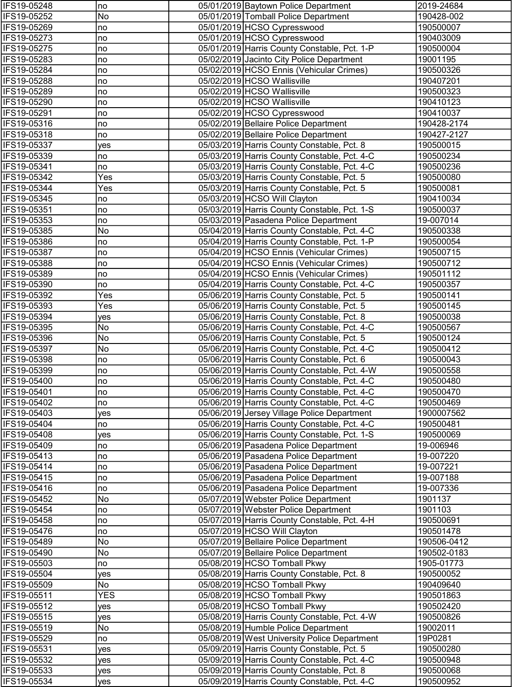| IFS19-05248                | no         | 05/01/2019 Baytown Police Department                                                         | 2019-24684              |
|----------------------------|------------|----------------------------------------------------------------------------------------------|-------------------------|
| IFS19-05252                | No         | 05/01/2019 Tomball Police Department                                                         | 190428-002              |
| IFS19-05269                | no         | 05/01/2019 HCSO Cypresswood                                                                  | 190500007               |
| IFS19-05273                | no         | 05/01/2019 HCSO Cypresswood                                                                  | 190403009               |
| IFS19-05275                | no         | 05/01/2019 Harris County Constable, Pct. 1-P                                                 | 190500004               |
| IFS19-05283                | no         | 05/02/2019 Jacinto City Police Department                                                    | 19001195                |
| IFS19-05284                | no         | 05/02/2019 HCSO Ennis (Vehicular Crimes)                                                     | 190500326               |
| IFS19-05288                | no         | 05/02/2019 HCSO Wallisville                                                                  | 190407201               |
| IFS19-05289                | no         | 05/02/2019 HCSO Wallisville                                                                  | 190500323               |
| IFS19-05290                | no         | 05/02/2019 HCSO Wallisville                                                                  | 190410123               |
| IFS19-05291                | no         | 05/02/2019 HCSO Cypresswood                                                                  | 190410037               |
| IFS19-05316                | no         | 05/02/2019 Bellaire Police Department                                                        | 190428-2174             |
| IFS19-05318                | no         | 05/02/2019 Bellaire Police Department                                                        | 190427-2127             |
| IFS19-05337                | yes        | 05/03/2019 Harris County Constable, Pct. 8                                                   | 190500015               |
| IFS19-05339                | no         | 05/03/2019 Harris County Constable, Pct. 4-C                                                 | 190500234               |
| IFS19-05341                | no         | 05/03/2019 Harris County Constable, Pct. 4-C                                                 | 190500236               |
| IFS19-05342                | Yes        | 05/03/2019 Harris County Constable, Pct. 5                                                   | 190500080               |
| IFS19-05344                | Yes        | 05/03/2019 Harris County Constable, Pct. 5                                                   | 190500081               |
| IFS19-05345                | no         | 05/03/2019 HCSO Will Clayton                                                                 | 190410034               |
| IFS19-05351                | no         | 05/03/2019 Harris County Constable, Pct. 1-S                                                 | 190500037               |
| IFS19-05353                | no<br>No   | 05/03/2019 Pasadena Police Department                                                        | 19-007014               |
| IFS19-05385<br>IFS19-05386 | no         | 05/04/2019 Harris County Constable, Pct. 4-C<br>05/04/2019 Harris County Constable, Pct. 1-P | 190500338<br>190500054  |
| IFS19-05387                | no         | 05/04/2019 HCSO Ennis (Vehicular Crimes)                                                     | 190500715               |
| IFS19-05388                | no         | 05/04/2019 HCSO Ennis (Vehicular Crimes)                                                     | 190500712               |
| IFS19-05389                | no         | 05/04/2019 HCSO Ennis (Vehicular Crimes)                                                     | 190501112               |
| IFS19-05390                | no         | 05/04/2019 Harris County Constable, Pct. 4-C                                                 | 190500357               |
| IFS19-05392                | Yes        | 05/06/2019 Harris County Constable, Pct. 5                                                   | 190500141               |
| IFS19-05393                | Yes        | 05/06/2019 Harris County Constable, Pct. 5                                                   | 190500145               |
| IFS19-05394                | yes        | 05/06/2019 Harris County Constable, Pct. 8                                                   | 190500038               |
| IFS19-05395                | No         | 05/06/2019 Harris County Constable, Pct. 4-C                                                 | 190500567               |
| IFS19-05396                | No         | 05/06/2019 Harris County Constable, Pct. 5                                                   | 190500124               |
| IFS19-05397                | No         | 05/06/2019 Harris County Constable, Pct. 4-C                                                 | 190500412               |
| IFS19-05398                | no         | 05/06/2019 Harris County Constable, Pct. 6                                                   | 190500043               |
| IFS19-05399                | no         | 05/06/2019 Harris County Constable, Pct. 4-W                                                 | 190500558               |
| IFS19-05400                | no         | 05/06/2019 Harris County Constable, Pct. 4-C                                                 | 190500480               |
| IFS19-05401                | no         | 05/06/2019 Harris County Constable, Pct. 4-C                                                 | 190500470               |
| IFS19-05402                | no         | 05/06/2019 Harris County Constable, Pct. 4-C                                                 | 190500469               |
| IFS19-05403                | yes        | 05/06/2019 Jersey Village Police Department                                                  | 1900007562              |
| IFS19-05404                | no         | 05/06/2019 Harris County Constable, Pct. 4-C                                                 | 190500481               |
| IFS19-05408                | yes        | 05/06/2019 Harris County Constable, Pct. 1-S                                                 | 190500069               |
| IFS19-05409                | no         | 05/06/2019 Pasadena Police Department                                                        | 19-006946               |
| IFS19-05413                | no         | 05/06/2019 Pasadena Police Department                                                        | 19-007220               |
| IFS19-05414                | no         | 05/06/2019 Pasadena Police Department                                                        | 19-007221               |
| IFS19-05415                | no         | 05/06/2019 Pasadena Police Department                                                        | 19-007188               |
| IFS19-05416                | no         | 05/06/2019 Pasadena Police Department                                                        | 19-007336               |
| IFS19-05452                | No         | 05/07/2019 Webster Police Department                                                         | 1901137                 |
| IFS19-05454                | no         | 05/07/2019 Webster Police Department                                                         | 1901103                 |
| IFS19-05458                | no         | 05/07/2019 Harris County Constable, Pct. 4-H                                                 | 190500691               |
| IFS19-05476                | no         | 05/07/2019 HCSO Will Clayton                                                                 | 190501478               |
| IFS19-05489                | No         | 05/07/2019 Bellaire Police Department                                                        | 190506-0412             |
| IFS19-05490                | No         | 05/07/2019 Bellaire Police Department                                                        | 190502-0183             |
| IFS19-05503<br>IFS19-05504 | no         | 05/08/2019 HCSO Tomball Pkwy<br>05/08/2019 Harris County Constable, Pct. 8                   | 1905-01773<br>190500052 |
| IFS19-05509                | yes<br>No  | 05/08/2019 HCSO Tomball Pkwy                                                                 | 190409640               |
| IFS19-05511                | <b>YES</b> | 05/08/2019 HCSO Tomball Pkwy                                                                 | 190501863               |
| IFS19-05512                | yes        | 05/08/2019 HCSO Tomball Pkwy                                                                 | 190502420               |
| IFS19-05515                | yes        | 05/08/2019 Harris County Constable, Pct. 4-W                                                 | 190500826               |
| IFS19-05519                | No         | 05/08/2019 Humble Police Department                                                          | 19002011                |
| IFS19-05529                | no         | 05/08/2019 West University Police Department                                                 | 19P0281                 |
| IFS19-05531                | yes        | 05/09/2019 Harris County Constable, Pct. 5                                                   | 190500280               |
| IFS19-05532                | yes        | 05/09/2019 Harris County Constable, Pct. 4-C                                                 | 190500948               |
| IFS19-05533                | yes        | 05/09/2019 Harris County Constable, Pct. 8                                                   | 190500068               |
| IFS19-05534                | yes        | 05/09/2019 Harris County Constable, Pct. 4-C                                                 | 190500952               |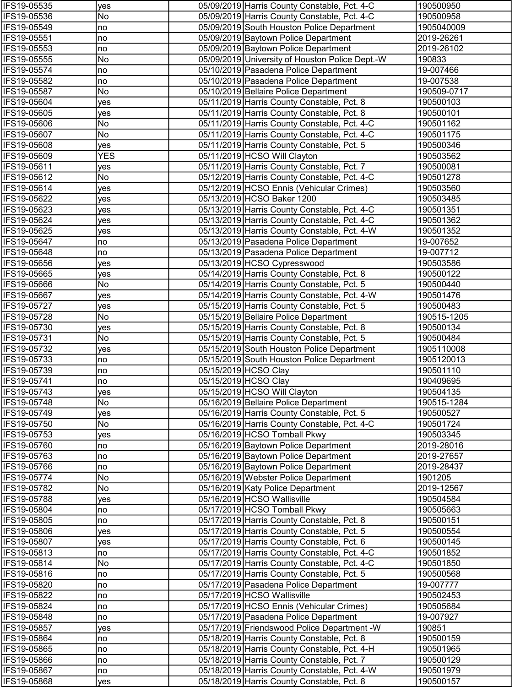| IFS19-05535                | yes        | 05/09/2019 Harris County Constable, Pct. 4-C                                                 | 190500950              |
|----------------------------|------------|----------------------------------------------------------------------------------------------|------------------------|
| IFS19-05536                | No         | 05/09/2019 Harris County Constable, Pct. 4-C                                                 | 190500958              |
| IFS19-05549                | no         | 05/09/2019 South Houston Police Department                                                   | 1905040009             |
| IFS19-05551                | no         | 05/09/2019 Baytown Police Department                                                         | 2019-26261             |
| IFS19-05553                | no         | 05/09/2019 Baytown Police Department                                                         | 2019-26102             |
| IFS19-05555                | No         | 05/09/2019 University of Houston Police Dept.-W                                              | 190833                 |
| IFS19-05574                | no         | 05/10/2019 Pasadena Police Department                                                        | 19-007466              |
| IFS19-05582                | no         | 05/10/2019 Pasadena Police Department                                                        | 19-007538              |
| IFS19-05587                | No         | 05/10/2019 Bellaire Police Department                                                        | 190509-0717            |
| IFS19-05604                | yes        | 05/11/2019 Harris County Constable, Pct. 8                                                   | 190500103              |
| IFS19-05605                | yes        | 05/11/2019 Harris County Constable, Pct. 8                                                   | 190500101              |
| IFS19-05606                | No         | 05/11/2019 Harris County Constable, Pct. 4-C                                                 | 190501162              |
| IFS19-05607                | No         | 05/11/2019 Harris County Constable, Pct. 4-C                                                 | 190501175              |
| IFS19-05608                | yes        | 05/11/2019 Harris County Constable, Pct. 5                                                   | 190500346              |
| IFS19-05609                | <b>YES</b> | 05/11/2019 HCSO Will Clayton                                                                 | 190503562              |
| IFS19-05611                | yes        | 05/11/2019 Harris County Constable, Pct. 7                                                   | 190500081              |
| IFS19-05612                | No         | 05/12/2019 Harris County Constable, Pct. 4-C                                                 | 190501278              |
| IFS19-05614                | yes        | 05/12/2019 HCSO Ennis (Vehicular Crimes)                                                     | 190503560              |
| IFS19-05622                | yes        | 05/13/2019 HCSO Baker 1200                                                                   | 190503485              |
| IFS19-05623                | yes        | 05/13/2019 Harris County Constable, Pct. 4-C                                                 | 190501351              |
| IFS19-05624<br>IFS19-05625 | yes        | 05/13/2019 Harris County Constable, Pct. 4-C<br>05/13/2019 Harris County Constable, Pct. 4-W | 190501362<br>190501352 |
| IFS19-05647                | yes        | 05/13/2019 Pasadena Police Department                                                        | 19-007652              |
| IFS19-05648                | no<br>no   | 05/13/2019 Pasadena Police Department                                                        | 19-007712              |
| IFS19-05656                | yes        | 05/13/2019 HCSO Cypresswood                                                                  | 190503586              |
| IFS19-05665                | yes        | 05/14/2019 Harris County Constable, Pct. 8                                                   | 190500122              |
| IFS19-05666                | No         | 05/14/2019 Harris County Constable, Pct. 5                                                   | 190500440              |
| IFS19-05667                | yes        | 05/14/2019 Harris County Constable, Pct. 4-W                                                 | 190501476              |
| IFS19-05727                | yes        | 05/15/2019 Harris County Constable, Pct. 5                                                   | 190500483              |
| IFS19-05728                | No         | 05/15/2019 Bellaire Police Department                                                        | 190515-1205            |
| IFS19-05730                | yes        | 05/15/2019 Harris County Constable, Pct. 8                                                   | 190500134              |
| IFS19-05731                | No         | 05/15/2019 Harris County Constable, Pct. 5                                                   | 190500484              |
| IFS19-05732                | yes        | 05/15/2019 South Houston Police Department                                                   | 1905110008             |
| IFS19-05733                | no         | 05/15/2019 South Houston Police Department                                                   | 1905120013             |
| IFS19-05739                | no         | 05/15/2019 HCSO Clay                                                                         | 190501110              |
| IFS19-05741                | no         | 05/15/2019 HCSO Clay                                                                         | 190409695              |
| IFS19-05743                | yes        | 05/15/2019 HCSO Will Clayton                                                                 | 190504135              |
| IFS19-05748                | No         | 05/16/2019 Bellaire Police Department                                                        | 190515-1284            |
| IFS19-05749                | yes        | 05/16/2019 Harris County Constable, Pct. 5                                                   | 190500527              |
| IFS19-05750                | No         | 05/16/2019 Harris County Constable, Pct. 4-C                                                 | 190501724              |
| IFS19-05753                | yes        | 05/16/2019 HCSO Tomball Pkwy                                                                 | 190503345              |
| IFS19-05760                | no         | 05/16/2019 Baytown Police Department                                                         | 2019-28016             |
| IFS19-05763                | no         | 05/16/2019 Baytown Police Department                                                         | 2019-27657             |
| IFS19-05766                | no         | 05/16/2019 Baytown Police Department                                                         | 2019-28437             |
| IFS19-05774                | No         | 05/16/2019 Webster Police Department                                                         | 1901205                |
| IFS19-05782                | No         | 05/16/2019 Katy Police Department                                                            | 2019-12567             |
| IFS19-05788                | yes        | 05/16/2019 HCSO Wallisville                                                                  | 190504584              |
| IFS19-05804                | no         | 05/17/2019 HCSO Tomball Pkwy                                                                 | 190505663              |
| IFS19-05805                | no         | 05/17/2019 Harris County Constable, Pct. 8                                                   | 190500151              |
| IFS19-05806<br>IFS19-05807 | yes        | 05/17/2019 Harris County Constable, Pct. 5<br>05/17/2019 Harris County Constable, Pct. 6     | 190500554<br>190500145 |
| IFS19-05813                | yes        | 05/17/2019 Harris County Constable, Pct. 4-C                                                 | 190501852              |
| IFS19-05814                | no<br>No   | 05/17/2019 Harris County Constable, Pct. 4-C                                                 | 190501850              |
| IFS19-05816                | no         | 05/17/2019 Harris County Constable, Pct. 5                                                   | 190500568              |
| IFS19-05820                | no         | 05/17/2019 Pasadena Police Department                                                        | 19-007777              |
| IFS19-05822                | no         | 05/17/2019 HCSO Wallisville                                                                  | 190502453              |
| IFS19-05824                | no         | 05/17/2019 HCSO Ennis (Vehicular Crimes)                                                     | 190505684              |
| IFS19-05848                | no         | 05/17/2019 Pasadena Police Department                                                        | 19-007927              |
| IFS19-05857                | yes        | 05/17/2019 Friendswood Police Department -W                                                  | 190851                 |
| IFS19-05864                | no         | 05/18/2019 Harris County Constable, Pct. 8                                                   | 190500159              |
| IFS19-05865                | no         | 05/18/2019 Harris County Constable, Pct. 4-H                                                 | 190501965              |
| IFS19-05866                | no         | 05/18/2019 Harris County Constable, Pct. 7                                                   | 190500129              |
| IFS19-05867                | no         | 05/18/2019 Harris County Constable, Pct. 4-W                                                 | 190501979              |
| IFS19-05868                | yes        | 05/18/2019 Harris County Constable, Pct. 8                                                   | 190500157              |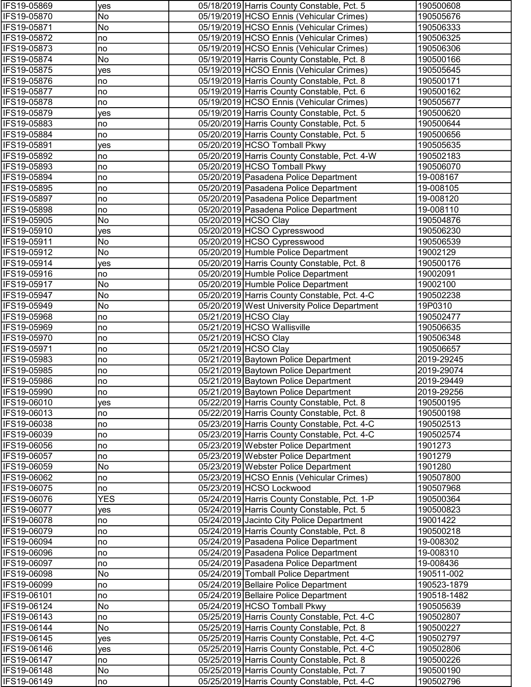| IFS19-05869                | yes        | 05/18/2019 Harris County Constable, Pct. 5                                   | 190500608            |
|----------------------------|------------|------------------------------------------------------------------------------|----------------------|
| IFS19-05870                | No         | 05/19/2019 HCSO Ennis (Vehicular Crimes)                                     | 190505676            |
| IFS19-05871                | No         | 05/19/2019 HCSO Ennis (Vehicular Crimes)                                     | 190506333            |
| IFS19-05872                | no         | 05/19/2019 HCSO Ennis (Vehicular Crimes)                                     | 190506325            |
| IFS19-05873                | no         | 05/19/2019 HCSO Ennis (Vehicular Crimes)                                     | 190506306            |
| IFS19-05874                | No         | 05/19/2019 Harris County Constable, Pct. 8                                   | 190500166            |
| IFS19-05875                | yes        | 05/19/2019 HCSO Ennis (Vehicular Crimes)                                     | 190505645            |
| IFS19-05876                | no         | 05/19/2019 Harris County Constable, Pct. 8                                   | 190500171            |
| IFS19-05877                | no         | 05/19/2019 Harris County Constable, Pct. 6                                   | 190500162            |
| IFS19-05878                | no         | 05/19/2019 HCSO Ennis (Vehicular Crimes)                                     | 190505677            |
| IFS19-05879                | yes        | 05/19/2019 Harris County Constable, Pct. 5                                   | 190500620            |
| IFS19-05883                | no         | 05/20/2019 Harris County Constable, Pct. 5                                   | 190500644            |
| IFS19-05884                | no         | 05/20/2019 Harris County Constable, Pct. 5                                   | 190500656            |
| IFS19-05891                | yes        | 05/20/2019 HCSO Tomball Pkwy                                                 | 190505635            |
| IFS19-05892                | no         | 05/20/2019 Harris County Constable, Pct. 4-W                                 | 190502183            |
| IFS19-05893                | no         | 05/20/2019 HCSO Tomball Pkwy                                                 | 190506070            |
| IFS19-05894                | no         | 05/20/2019 Pasadena Police Department                                        | 19-008167            |
| IFS19-05895                | no         | 05/20/2019 Pasadena Police Department                                        | 19-008105            |
| IFS19-05897                | no         | 05/20/2019 Pasadena Police Department                                        | 19-008120            |
| IFS19-05898                | no         | 05/20/2019 Pasadena Police Department                                        | 19-008110            |
| IFS19-05905                | No         | 05/20/2019 HCSO Clay                                                         | 190504876            |
| IFS19-05910                | yes        | 05/20/2019 HCSO Cypresswood                                                  | 190506230            |
| IFS19-05911                | No         | 05/20/2019 HCSO Cypresswood                                                  | 190506539            |
| IFS19-05912                | No         | 05/20/2019 Humble Police Department                                          | 19002129             |
| IFS19-05914                | yes        | 05/20/2019 Harris County Constable, Pct. 8                                   | 190500176            |
| IFS19-05916                | no         | 05/20/2019 Humble Police Department                                          | 19002091             |
| IFS19-05917                | No         | 05/20/2019 Humble Police Department                                          | 19002100             |
| IFS19-05947                | No         | 05/20/2019 Harris County Constable, Pct. 4-C                                 | 190502238            |
| IFS19-05949                | No         | 05/20/2019 West University Police Department                                 | 19P0310              |
| IFS19-05968                | no         | 05/21/2019 HCSO Clay                                                         | 190502477            |
| IFS19-05969                | no         | 05/21/2019 HCSO Wallisville                                                  | 190506635            |
| IFS19-05970                | no         | 05/21/2019 HCSO Clay                                                         | 190506348            |
| IFS19-05971                | no         | 05/21/2019 HCSO Clay                                                         | 190506657            |
| IFS19-05983                | no         | 05/21/2019 Baytown Police Department                                         | 2019-29245           |
| IFS19-05985                | no         | 05/21/2019 Baytown Police Department                                         | 2019-29074           |
| IFS19-05986                | no         | 05/21/2019 Baytown Police Department                                         | 2019-29449           |
| <b>IFS19-05990</b>         | no)        | 05/21/2019 Baytown Police Department                                         | 2019-29256           |
| IFS19-06010                | yes        | 05/22/2019 Harris County Constable, Pct. 8                                   | 190500195            |
| IFS19-06013                | no         | 05/22/2019 Harris County Constable, Pct. 8                                   | 190500198            |
| IFS19-06038                | no         | 05/23/2019 Harris County Constable, Pct. 4-C                                 | 190502513            |
| IFS19-06039                | no         | 05/23/2019 Harris County Constable, Pct. 4-C                                 | 190502574<br>1901273 |
| IFS19-06056<br>IFS19-06057 | no         | 05/23/2019 Webster Police Department<br>05/23/2019 Webster Police Department | 1901279              |
| IFS19-06059                | no<br>No   | 05/23/2019 Webster Police Department                                         | 1901280              |
| IFS19-06062                | no         | 05/23/2019 HCSO Ennis (Vehicular Crimes)                                     | 190507800            |
| IFS19-06075                | no         | 05/23/2019 HCSO Lockwood                                                     | 190507968            |
| IFS19-06076                | <b>YES</b> | 05/24/2019 Harris County Constable, Pct. 1-P                                 | 190500364            |
| IFS19-06077                | yes        | 05/24/2019 Harris County Constable, Pct. 5                                   | 190500823            |
| IFS19-06078                | no         | 05/24/2019 Jacinto City Police Department                                    | 19001422             |
| IFS19-06079                | no         | 05/24/2019 Harris County Constable, Pct. 8                                   | 190500218            |
| IFS19-06094                | no         | 05/24/2019 Pasadena Police Department                                        | 19-008302            |
| IFS19-06096                | no         | 05/24/2019 Pasadena Police Department                                        | 19-008310            |
| IFS19-06097                | no         | 05/24/2019 Pasadena Police Department                                        | 19-008436            |
| IFS19-06098                | No         | 05/24/2019 Tomball Police Department                                         | 190511-002           |
| IFS19-06099                | no         | 05/24/2019 Bellaire Police Department                                        | 190523-1879          |
| IFS19-06101                | no         | 05/24/2019 Bellaire Police Department                                        | 190518-1482          |
| IFS19-06124                | No         | 05/24/2019 HCSO Tomball Pkwy                                                 | 190505639            |
| IFS19-06143                | no         | 05/25/2019 Harris County Constable, Pct. 4-C                                 | 190502807            |
| IFS19-06144                | No         | 05/25/2019 Harris County Constable, Pct. 8                                   | 190500227            |
| IFS19-06145                | yes        | 05/25/2019 Harris County Constable, Pct. 4-C                                 | 190502797            |
| IFS19-06146                | yes        | 05/25/2019 Harris County Constable, Pct. 4-C                                 | 190502806            |
| IFS19-06147                | no         | 05/25/2019 Harris County Constable, Pct. 8                                   | 190500226            |
| IFS19-06148                | No         | 05/25/2019 Harris County Constable, Pct. 7                                   | 190500190            |
| IFS19-06149                | no         | 05/25/2019 Harris County Constable, Pct. 4-C                                 | 190502796            |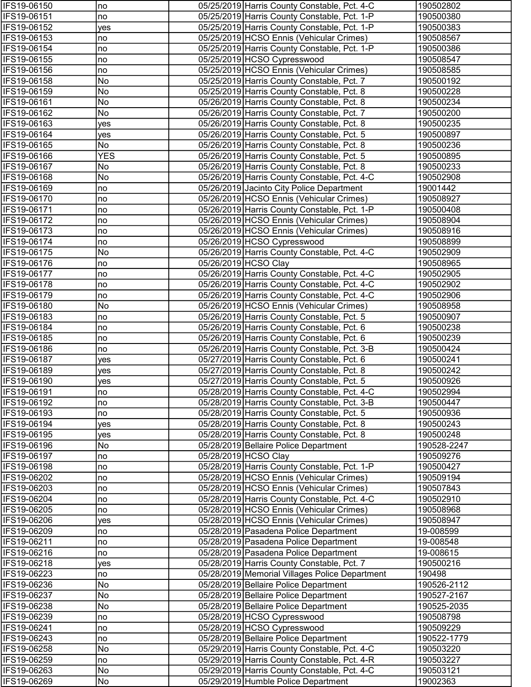| IFS19-06150                | no         | 05/25/2019 Harris County Constable, Pct. 4-C                                             | 190502802              |
|----------------------------|------------|------------------------------------------------------------------------------------------|------------------------|
| IFS19-06151                | no         | 05/25/2019 Harris County Constable, Pct. 1-P                                             | 190500380              |
| IFS19-06152                | yes        | 05/25/2019 Harris County Constable, Pct. 1-P                                             | 190500383              |
| IFS19-06153                | no         | 05/25/2019 HCSO Ennis (Vehicular Crimes)                                                 | 190508567              |
| IFS19-06154                | no         | 05/25/2019 Harris County Constable, Pct. 1-P                                             | 190500386              |
| IFS19-06155                | no         | 05/25/2019 HCSO Cypresswood                                                              | 190508547              |
| IFS19-06156                | no         | 05/25/2019 HCSO Ennis (Vehicular Crimes)                                                 | 190508585              |
| IFS19-06158                | No         | 05/25/2019 Harris County Constable, Pct. 7                                               | 190500192              |
| IFS19-06159                | No         | 05/25/2019 Harris County Constable, Pct. 8                                               | 190500228              |
| IFS19-06161                | No         | 05/26/2019 Harris County Constable, Pct. 8                                               | 190500234              |
| IFS19-06162                | No         | 05/26/2019 Harris County Constable, Pct. 7                                               | 190500200              |
| IFS19-06163                | yes        | 05/26/2019 Harris County Constable, Pct. 8                                               | 190500235              |
| IFS19-06164                | yes        | 05/26/2019 Harris County Constable, Pct. 5                                               | 190500897              |
| IFS19-06165                | No         | 05/26/2019 Harris County Constable, Pct. 8                                               | 190500236              |
| IFS19-06166                | <b>YES</b> | 05/26/2019 Harris County Constable, Pct. 5                                               | 190500895              |
| IFS19-06167                | No         | 05/26/2019 Harris County Constable, Pct. 8                                               | 190500233              |
| IFS19-06168                | No         | 05/26/2019 Harris County Constable, Pct. 4-C                                             | 190502908              |
| IFS19-06169                | no         | 05/26/2019 Jacinto City Police Department                                                | 19001442               |
| IFS19-06170                | no         | 05/26/2019 HCSO Ennis (Vehicular Crimes)                                                 | 190508927              |
| IFS19-06171                | no         | 05/26/2019 Harris County Constable, Pct. 1-P                                             | 190500408              |
| IFS19-06172                | no         | 05/26/2019 HCSO Ennis (Vehicular Crimes)                                                 | 190508904              |
| IFS19-06173                | no         | 05/26/2019 HCSO Ennis (Vehicular Crimes)                                                 | 190508916              |
| IFS19-06174                | no         | 05/26/2019 HCSO Cypresswood                                                              | 190508899              |
| IFS19-06175                | No         | 05/26/2019 Harris County Constable, Pct. 4-C                                             | 190502909              |
| IFS19-06176                | no         | 05/26/2019 HCSO Clay                                                                     | 190508965              |
| IFS19-06177                | no         | 05/26/2019 Harris County Constable, Pct. 4-C                                             | 190502905              |
| IFS19-06178                | no         | 05/26/2019 Harris County Constable, Pct. 4-C                                             | 190502902              |
| IFS19-06179                | no         | 05/26/2019 Harris County Constable, Pct. 4-C                                             | 190502906              |
| IFS19-06180                | No         | 05/26/2019 HCSO Ennis (Vehicular Crimes)                                                 | 190508958              |
| IFS19-06183                | no         | 05/26/2019 Harris County Constable, Pct. 5                                               | 190500907              |
| IFS19-06184                | no         | 05/26/2019 Harris County Constable, Pct. 6                                               | 190500238              |
| IFS19-06185                | no         | 05/26/2019 Harris County Constable, Pct. 6                                               | 190500239              |
| IFS19-06186                | no         | 05/26/2019 Harris County Constable, Pct. 3-B                                             | 190500424              |
| IFS19-06187                | yes        | 05/27/2019 Harris County Constable, Pct. 6                                               | 190500241              |
| IFS19-06189                | yes        | 05/27/2019 Harris County Constable, Pct. 8                                               | 190500242              |
| IFS19-06190                | <b>ves</b> | 05/27/2019 Harris County Constable, Pct. 5                                               | 190500926              |
| IFS19-06191                | no         | 05/28/2019 Harris County Constable, Pct. 4-C                                             | 190502994              |
| IFS19-06192                | no         | 05/28/2019 Harris County Constable, Pct. 3-B                                             | 190500447              |
| IFS19-06193                | no         | 05/28/2019 Harris County Constable, Pct. 5                                               | 190500936              |
| IFS19-06194                | <b>ves</b> | 05/28/2019 Harris County Constable, Pct. 8                                               | 190500243              |
| IFS19-06195                | <b>ves</b> | 05/28/2019 Harris County Constable, Pct. 8                                               | 190500248              |
| IFS19-06196                | No         | 05/28/2019 Bellaire Police Department                                                    | 190528-2247            |
| IFS19-06197                | no         | 05/28/2019 HCSO Clay                                                                     | 190509276              |
| IFS19-06198                | no         | 05/28/2019 Harris County Constable, Pct. 1-P                                             | 190500427              |
| IFS19-06202                | no         | 05/28/2019 HCSO Ennis (Vehicular Crimes)                                                 | 190509194              |
| IFS19-06203<br>IFS19-06204 | no         | 05/28/2019 HCSO Ennis (Vehicular Crimes)<br>05/28/2019 Harris County Constable, Pct. 4-C | 190507843<br>190502910 |
| IFS19-06205                | no<br>no   | 05/28/2019 HCSO Ennis (Vehicular Crimes)                                                 | 190508968              |
| IFS19-06206                | ves        | 05/28/2019 HCSO Ennis (Vehicular Crimes)                                                 | 190508947              |
| IFS19-06209                | no         | 05/28/2019 Pasadena Police Department                                                    | 19-008599              |
| IFS19-06211                | no         | 05/28/2019 Pasadena Police Department                                                    | 19-008548              |
| IFS19-06216                | no         | 05/28/2019 Pasadena Police Department                                                    | 19-008615              |
| IFS19-06218                | yes        | 05/28/2019 Harris County Constable, Pct. 7                                               | 190500216              |
| IFS19-06223                | no         | 05/28/2019 Memorial Villages Police Department                                           | 190498                 |
| IFS19-06236                | No         | 05/28/2019 Bellaire Police Department                                                    | 190526-2112            |
| IFS19-06237                | No         | 05/28/2019 Bellaire Police Department                                                    | 190527-2167            |
| IFS19-06238                | No         | 05/28/2019 Bellaire Police Department                                                    | 190525-2035            |
| IFS19-06239                | no         | 05/28/2019 HCSO Cypresswood                                                              | 190508798              |
| IFS19-06241                | no         | 05/28/2019 HCSO Cypresswood                                                              | 190509229              |
| IFS19-06243                | no         | 05/28/2019 Bellaire Police Department                                                    | 190522-1779            |
| IFS19-06258                | No         | 05/29/2019 Harris County Constable, Pct. 4-C                                             | 190503220              |
| IFS19-06259                | no         | 05/29/2019 Harris County Constable, Pct. 4-R                                             | 190503227              |
| IFS19-06263                | No         | 05/29/2019 Harris County Constable, Pct. 4-C                                             | 190503121              |
| IFS19-06269                | No         | 05/29/2019 Humble Police Department                                                      | 19002363               |
|                            |            |                                                                                          |                        |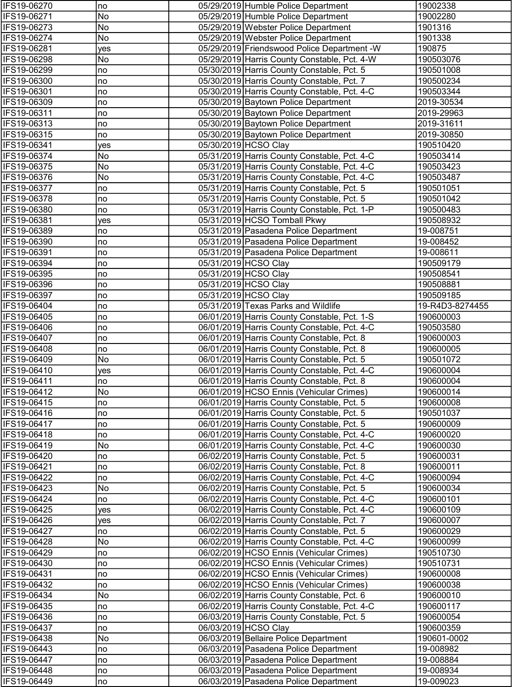| IFS19-06270                | no         | 05/29/2019 Humble Police Department                                                        | 19002338               |
|----------------------------|------------|--------------------------------------------------------------------------------------------|------------------------|
| IFS19-06271                | No         | 05/29/2019 Humble Police Department                                                        | 19002280               |
| IFS19-06273                | No         | 05/29/2019 Webster Police Department                                                       | 1901316                |
| IFS19-06274                | No         | 05/29/2019 Webster Police Department                                                       | 1901338                |
| IFS19-06281                | yes        | 05/29/2019 Friendswood Police Department -W                                                | 190875                 |
| IFS19-06298                | No         | 05/29/2019 Harris County Constable, Pct. 4-W                                               | 190503076              |
| IFS19-06299                | no         | 05/30/2019 Harris County Constable, Pct. 5                                                 | 190501008              |
| IFS19-06300                | no         | 05/30/2019 Harris County Constable, Pct. 7                                                 | 190500234              |
| IFS19-06301                | no         | 05/30/2019 Harris County Constable, Pct. 4-C                                               | 190503344              |
| IFS19-06309                | no         | 05/30/2019 Baytown Police Department                                                       | 2019-30534             |
| IFS19-06311                | no         | 05/30/2019 Baytown Police Department                                                       | 2019-29963             |
| IFS19-06313                | no         | 05/30/2019 Baytown Police Department                                                       | 2019-31611             |
| IFS19-06315                | no         | 05/30/2019 Baytown Police Department                                                       | 2019-30850             |
| IFS19-06341                | yes        | 05/30/2019 HCSO Clay                                                                       | 190510420              |
| IFS19-06374                | No         | 05/31/2019 Harris County Constable, Pct. 4-C                                               | 190503414              |
| IFS19-06375                | No         | 05/31/2019 Harris County Constable, Pct. 4-C                                               | 190503423              |
| IFS19-06376                | No         | 05/31/2019 Harris County Constable, Pct. 4-C                                               | 190503487              |
| IFS19-06377                | no         | 05/31/2019 Harris County Constable, Pct. 5                                                 | 190501051              |
| IFS19-06378                | no         | 05/31/2019 Harris County Constable, Pct. 5                                                 | 190501042              |
| IFS19-06380                | no         | 05/31/2019 Harris County Constable, Pct. 1-P                                               | 190500483              |
| IFS19-06381                | yes        | 05/31/2019 HCSO Tomball Pkwy                                                               | 190508932              |
| IFS19-06389                | no         | 05/31/2019 Pasadena Police Department                                                      | 19-008751              |
| IFS19-06390                | no         | 05/31/2019 Pasadena Police Department                                                      | 19-008452              |
| IFS19-06391                | no         | 05/31/2019 Pasadena Police Department                                                      | 19-008611              |
| IFS19-06394                | no         | 05/31/2019 HCSO Clay                                                                       | 190509179              |
| IFS19-06395                | no         | 05/31/2019 HCSO Clay                                                                       | 190508541              |
| IFS19-06396                | no         | 05/31/2019 HCSO Clay                                                                       | 190508881              |
| IFS19-06397                | no         | 05/31/2019 HCSO Clay                                                                       | 190509185              |
| IFS19-06404                | no         | 05/31/2019 Texas Parks and Wildlife                                                        | 19-R4D3-8274455        |
| IFS19-06405                | no         | 06/01/2019 Harris County Constable, Pct. 1-S                                               | 190600003              |
| IFS19-06406                | no         | 06/01/2019 Harris County Constable, Pct. 4-C                                               | 190503580              |
| IFS19-06407                | no         | 06/01/2019 Harris County Constable, Pct. 8                                                 | 190600003              |
| IFS19-06408                | no         | 06/01/2019 Harris County Constable, Pct. 8                                                 | 190600005              |
| IFS19-06409                | No         | 06/01/2019 Harris County Constable, Pct. 5                                                 | 190501072              |
| IFS19-06410                | yes        | 06/01/2019 Harris County Constable, Pct. 4-C                                               | 190600004              |
| IFS19-06411                | no         | 06/01/2019 Harris County Constable, Pct. 8                                                 | 190600004              |
| <b>IFS19-06412</b>         | N0         | 06/01/2019 HCSO Ennis (Vehicular Crimes)                                                   | 190600014              |
| IFS19-06415                | no         | 06/01/2019 Harris County Constable, Pct. 5                                                 | 190600008              |
| IFS19-06416                | no         | 06/01/2019 Harris County Constable, Pct. 5                                                 | 190501037              |
| IFS19-06417                | no         | 06/01/2019 Harris County Constable, Pct. 5                                                 | 190600009              |
| IFS19-06418                | no         | 06/01/2019 Harris County Constable, Pct. 4-C                                               | 190600020              |
| IFS19-06419<br>IFS19-06420 | No         | 06/01/2019 Harris County Constable, Pct. 4-C<br>06/02/2019 Harris County Constable, Pct. 5 | 190600030<br>190600031 |
| IFS19-06421                | no         | 06/02/2019 Harris County Constable, Pct. 8                                                 | 190600011              |
| IFS19-06422                | no<br>no   | 06/02/2019 Harris County Constable, Pct. 4-C                                               | 190600094              |
| IFS19-06423                | No         | 06/02/2019 Harris County Constable, Pct. 5                                                 | 190600034              |
| IFS19-06424                | no         | 06/02/2019 Harris County Constable, Pct. 4-C                                               | 190600101              |
| IFS19-06425                | yes        | 06/02/2019 Harris County Constable, Pct. 4-C                                               | 190600109              |
| IFS19-06426                | <b>ves</b> | 06/02/2019 Harris County Constable, Pct. 7                                                 | 190600007              |
| IFS19-06427                | no         | 06/02/2019 Harris County Constable, Pct. 5                                                 | 190600029              |
| IFS19-06428                | No         | 06/02/2019 Harris County Constable, Pct. 4-C                                               | 190600099              |
| IFS19-06429                | no         | 06/02/2019 HCSO Ennis (Vehicular Crimes)                                                   | 190510730              |
| IFS19-06430                | no         | 06/02/2019 HCSO Ennis (Vehicular Crimes)                                                   | 190510731              |
| IFS19-06431                | no         | 06/02/2019 HCSO Ennis (Vehicular Crimes)                                                   | 190600008              |
| IFS19-06432                | no         | 06/02/2019 HCSO Ennis (Vehicular Crimes)                                                   | 190600038              |
| IFS19-06434                | No         | 06/02/2019 Harris County Constable, Pct. 6                                                 | 190600010              |
| IFS19-06435                | no         | 06/02/2019 Harris County Constable, Pct. 4-C                                               | 190600117              |
| IFS19-06436                | no         | 06/03/2019 Harris County Constable, Pct. 5                                                 | 190600054              |
| IFS19-06437                | no         | 06/03/2019 HCSO Clay                                                                       | 190600359              |
| IFS19-06438                | No         | 06/03/2019 Bellaire Police Department                                                      | 190601-0002            |
| IFS19-06443                | no         | 06/03/2019 Pasadena Police Department                                                      | 19-008982              |
| IFS19-06447                | no         | 06/03/2019 Pasadena Police Department                                                      | 19-008884              |
| IFS19-06448                | no         | 06/03/2019 Pasadena Police Department                                                      | 19-008934              |
| IFS19-06449                | no         | 06/03/2019 Pasadena Police Department                                                      | 19-009023              |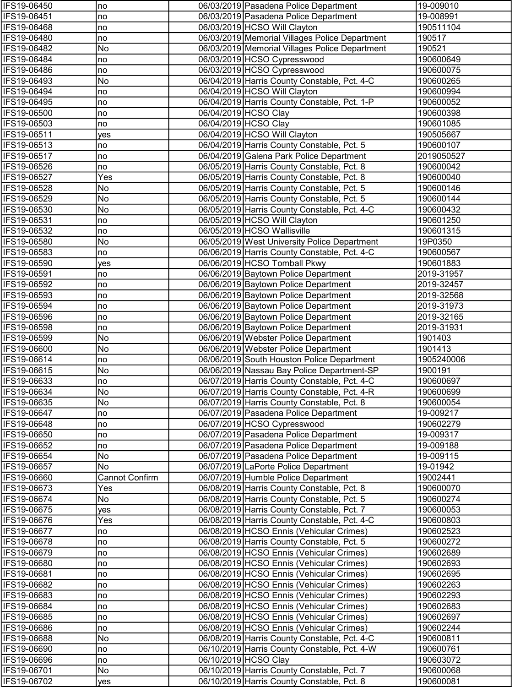| IFS19-06450                | no                    | 06/03/2019   Pasadena Police Department                                              | 19-009010              |
|----------------------------|-----------------------|--------------------------------------------------------------------------------------|------------------------|
| IFS19-06451                | no                    | 06/03/2019 Pasadena Police Department                                                | 19-008991              |
| IFS19-06468                | no                    | 06/03/2019 HCSO Will Clayton                                                         | 190511104              |
| IFS19-06480                | no                    | 06/03/2019 Memorial Villages Police Department                                       | 190517                 |
| IFS19-06482                | No                    | 06/03/2019 Memorial Villages Police Department                                       | 190521                 |
| IFS19-06484                | no                    | 06/03/2019 HCSO Cypresswood                                                          | 190600649              |
| IFS19-06486                | no                    | 06/03/2019 HCSO Cypresswood                                                          | 190600075              |
| IFS19-06493                | No                    | 06/04/2019 Harris County Constable, Pct. 4-C                                         | 190600265              |
| IFS19-06494                | no                    | 06/04/2019 HCSO Will Clayton                                                         | 190600994              |
| IFS19-06495                | no                    | 06/04/2019 Harris County Constable, Pct. 1-P                                         | 190600052              |
| IFS19-06500                | no                    | 06/04/2019 HCSO Clay                                                                 | 190600398              |
| IFS19-06503                | no                    | 06/04/2019 HCSO Clay                                                                 | 190601085              |
| IFS19-06511                | yes                   | 06/04/2019 HCSO Will Clayton                                                         | 190505667              |
| IFS19-06513                | no                    | 06/04/2019 Harris County Constable, Pct. 5                                           | 190600107              |
| IFS19-06517                | no                    | 06/04/2019 Galena Park Police Department                                             | 2019050527             |
| IFS19-06526                | no                    | 06/05/2019 Harris County Constable, Pct. 8                                           | 190600042              |
| IFS19-06527                | Yes                   | 06/05/2019 Harris County Constable, Pct. 8                                           | 190600040              |
| IFS19-06528                | No                    | 06/05/2019 Harris County Constable, Pct. 5                                           | 190600146              |
| IFS19-06529                | No<br>No              | 06/05/2019 Harris County Constable, Pct. 5                                           | 190600144              |
| IFS19-06530                |                       | 06/05/2019 Harris County Constable, Pct. 4-C                                         | 190600432              |
| IFS19-06531                | no                    | 06/05/2019 HCSO Will Clayton<br>06/05/2019 HCSO Wallisville                          | 190601250<br>190601315 |
| IFS19-06532<br>IFS19-06580 | no<br>No              | 06/05/2019 West University Police Department                                         | 19P0350                |
| IFS19-06583                | no                    | 06/06/2019 Harris County Constable, Pct. 4-C                                         | 190600567              |
| IFS19-06590                | yes                   | 06/06/2019 HCSO Tomball Pkwy                                                         | 190601883              |
| IFS19-06591                | no                    | 06/06/2019 Baytown Police Department                                                 | 2019-31957             |
| IFS19-06592                | no                    | 06/06/2019 Baytown Police Department                                                 | 2019-32457             |
| IFS19-06593                | no                    | 06/06/2019 Baytown Police Department                                                 | 2019-32568             |
| IFS19-06594                | no                    | 06/06/2019 Baytown Police Department                                                 | 2019-31973             |
| IFS19-06596                | no                    | 06/06/2019 Baytown Police Department                                                 | 2019-32165             |
| IFS19-06598                | no                    | 06/06/2019 Baytown Police Department                                                 | 2019-31931             |
| IFS19-06599                | No                    | 06/06/2019 Webster Police Department                                                 | 1901403                |
| IFS19-06600                | No                    | 06/06/2019 Webster Police Department                                                 | 1901413                |
| IFS19-06614                | no                    | 06/06/2019 South Houston Police Department                                           | 1905240006             |
| IFS19-06615                | No                    | 06/06/2019 Nassau Bay Police Department-SP                                           | 1900191                |
| IFS19-06633                | no                    | 06/07/2019 Harris County Constable, Pct. 4-C                                         | 190600697              |
| IFS19-06634                | No.                   | 06/07/2019 Harris County Constable, Pct. 4-R                                         | 190600699              |
| IFS19-06635                | No                    | 06/07/2019 Harris County Constable, Pct. 8                                           | 190600054              |
| IFS19-06647                | no                    | 06/07/2019 Pasadena Police Department                                                | 19-009217              |
| IFS19-06648                | no                    | 06/07/2019 HCSO Cypresswood                                                          | 190602279              |
| IFS19-06650                | no                    | 06/07/2019 Pasadena Police Department                                                | 19-009317              |
| IFS19-06652                | no                    | 06/07/2019 Pasadena Police Department                                                | 19-009188              |
| IFS19-06654                | No                    | 06/07/2019 Pasadena Police Department                                                | 19-009115              |
| IFS19-06657                | No                    | 06/07/2019 LaPorte Police Department                                                 | 19-01942               |
| IFS19-06660                | <b>Cannot Confirm</b> | 06/07/2019 Humble Police Department                                                  | 19002441               |
| IFS19-06673                | Yes                   | 06/08/2019 Harris County Constable, Pct. 8                                           | 190600070              |
| IFS19-06674                | No                    | 06/08/2019 Harris County Constable, Pct. 5                                           | 190600274              |
| IFS19-06675                | yes                   | 06/08/2019 Harris County Constable, Pct. 7                                           | 190600053              |
| IFS19-06676                | Yes                   | 06/08/2019 Harris County Constable, Pct. 4-C                                         | 190600803              |
| IFS19-06677                | no                    | 06/08/2019 HCSO Ennis (Vehicular Crimes)                                             | 190602523              |
| IFS19-06678                | no                    | 06/08/2019 Harris County Constable, Pct. 5                                           | 190600272              |
| IFS19-06679                | no                    | 06/08/2019 HCSO Ennis (Vehicular Crimes)                                             | 190602689              |
| IFS19-06680                | no                    | 06/08/2019 HCSO Ennis (Vehicular Crimes)                                             | 190602693              |
| IFS19-06681                | no                    | 06/08/2019 HCSO Ennis (Vehicular Crimes)                                             | 190602695              |
| IFS19-06682                | no                    | 06/08/2019 HCSO Ennis (Vehicular Crimes)                                             | 190602263              |
| IFS19-06683                | no                    | 06/08/2019 HCSO Ennis (Vehicular Crimes)                                             | 190602293              |
| IFS19-06684<br>IFS19-06685 | no                    | 06/08/2019 HCSO Ennis (Vehicular Crimes)<br>06/08/2019 HCSO Ennis (Vehicular Crimes) | 190602683<br>190602697 |
| IFS19-06686                | no<br>no              | 06/08/2019 HCSO Ennis (Vehicular Crimes)                                             | 190602244              |
| IFS19-06688                | No                    | 06/08/2019 Harris County Constable, Pct. 4-C                                         | 190600811              |
| IFS19-06690                | no                    | 06/10/2019 Harris County Constable, Pct. 4-W                                         | 190600761              |
| IFS19-06696                | no                    | 06/10/2019 HCSO Clay                                                                 | 190603072              |
| IFS19-06701                | No                    | 06/10/2019 Harris County Constable, Pct. 7                                           | 190600068              |
| IFS19-06702                | yes                   | 06/10/2019 Harris County Constable, Pct. 8                                           | 190600081              |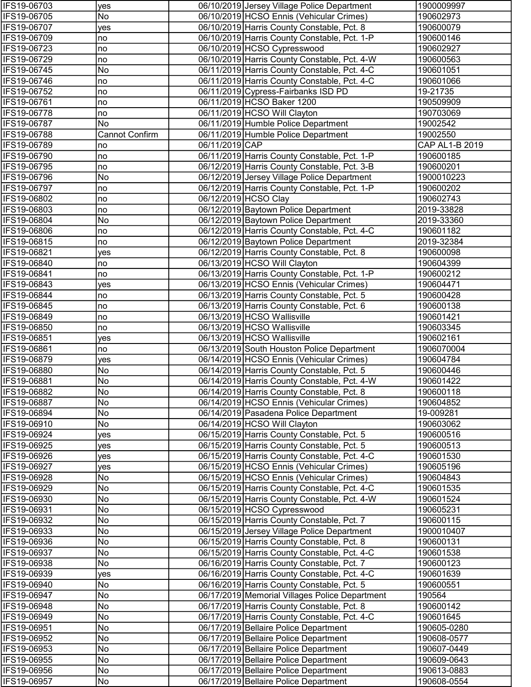| IFS19-06703                | yes                   |                | 06/10/2019 Jersey Village Police Department                                                  | 1900009997              |
|----------------------------|-----------------------|----------------|----------------------------------------------------------------------------------------------|-------------------------|
| IFS19-06705                | No                    |                | 06/10/2019 HCSO Ennis (Vehicular Crimes)                                                     | 190602973               |
| IFS19-06707                | yes                   |                | 06/10/2019 Harris County Constable, Pct. 8                                                   | 190600079               |
| IFS19-06709                | no                    |                | 06/10/2019 Harris County Constable, Pct. 1-P                                                 | 190600146               |
| IFS19-06723                | no                    |                | 06/10/2019 HCSO Cypresswood                                                                  | 190602927               |
| IFS19-06729                | no                    |                | 06/10/2019 Harris County Constable, Pct. 4-W                                                 | 190600563               |
| IFS19-06745                | No                    |                | 06/11/2019 Harris County Constable, Pct. 4-C                                                 | 190601051               |
| IFS19-06746                | no                    |                | 06/11/2019 Harris County Constable, Pct. 4-C                                                 | 190601066               |
| IFS19-06752                | no                    |                | 06/11/2019 Cypress-Fairbanks ISD PD                                                          | 19-21735                |
| IFS19-06761                | no                    |                | 06/11/2019 HCSO Baker 1200                                                                   | 190509909               |
| IFS19-06778                | no                    |                | 06/11/2019 HCSO Will Clayton                                                                 | 190703069               |
| IFS19-06787                | No                    |                | 06/11/2019 Humble Police Department                                                          | 19002542                |
| IFS19-06788                | <b>Cannot Confirm</b> |                | 06/11/2019 Humble Police Department                                                          | 19002550                |
| IFS19-06789                | no                    | 06/11/2019 CAP |                                                                                              | CAP AL1-B 2019          |
| IFS19-06790                | no                    |                | 06/11/2019 Harris County Constable, Pct. 1-P                                                 | 190600185               |
| IFS19-06795                | no                    |                | 06/12/2019 Harris County Constable, Pct. 3-B                                                 | 190600201               |
| IFS19-06796                | No                    |                | 06/12/2019 Jersey Village Police Department                                                  | 1900010223              |
| IFS19-06797                | no                    |                | 06/12/2019 Harris County Constable, Pct. 1-P                                                 | 190600202               |
| IFS19-06802                | no                    |                | 06/12/2019 HCSO Clay                                                                         | 190602743               |
| IFS19-06803                | no                    |                | 06/12/2019 Baytown Police Department                                                         | 2019-33828              |
| IFS19-06804<br>IFS19-06806 | No                    |                | 06/12/2019 Baytown Police Department<br>06/12/2019 Harris County Constable, Pct. 4-C         | 2019-33360<br>190601182 |
| IFS19-06815                | no<br>no              |                | 06/12/2019 Baytown Police Department                                                         | 2019-32384              |
| IFS19-06821                |                       |                | 06/12/2019 Harris County Constable, Pct. 8                                                   | 190600098               |
| IFS19-06840                | yes<br>no             |                | 06/13/2019 HCSO Will Clayton                                                                 | 190604399               |
| IFS19-06841                | no                    |                | 06/13/2019 Harris County Constable, Pct. 1-P                                                 | 190600212               |
| IFS19-06843                | yes                   |                | 06/13/2019 HCSO Ennis (Vehicular Crimes)                                                     | 190604471               |
| IFS19-06844                | no                    |                | 06/13/2019 Harris County Constable, Pct. 5                                                   | 190600428               |
| IFS19-06845                | no                    |                | 06/13/2019 Harris County Constable, Pct. 6                                                   | 190600138               |
| IFS19-06849                | no                    |                | 06/13/2019 HCSO Wallisville                                                                  | 190601421               |
| IFS19-06850                | no                    |                | 06/13/2019 HCSO Wallisville                                                                  | 190603345               |
| IFS19-06851                | yes                   |                | 06/13/2019 HCSO Wallisville                                                                  | 190602161               |
| IFS19-06861                | no                    |                | 06/13/2019 South Houston Police Department                                                   | 1906070004              |
| IFS19-06879                | yes                   |                | 06/14/2019 HCSO Ennis (Vehicular Crimes)                                                     | 190604784               |
| IFS19-06880                | No                    |                | 06/14/2019 Harris County Constable, Pct. 5                                                   | 190600446               |
| IFS19-06881                | No                    |                | 06/14/2019 Harris County Constable, Pct. 4-W                                                 | 190601422               |
| IFS19-06882                | No                    |                | 06/14/2019 Harris County Constable, Pct. 8                                                   | 190600118               |
| IFS19-06887                | No                    |                | 06/14/2019 HCSO Ennis (Vehicular Crimes)                                                     | 190604852               |
| IFS19-06894                | No                    |                | 06/14/2019 Pasadena Police Department                                                        | 19-009281               |
| IFS19-06910                | No                    |                | 06/14/2019 HCSO Will Clayton                                                                 | 190603062               |
| IFS19-06924                | yes                   |                | 06/15/2019 Harris County Constable, Pct. 5                                                   | 190600516               |
| IFS19-06925                | yes                   |                | 06/15/2019 Harris County Constable, Pct. 5                                                   | 190600513               |
| IFS19-06926                | yes                   |                | 06/15/2019 Harris County Constable, Pct. 4-C                                                 | 190601530               |
| IFS19-06927                | yes                   |                | 06/15/2019 HCSO Ennis (Vehicular Crimes)                                                     | 190605196               |
| IFS19-06928                | No                    |                | 06/15/2019 HCSO Ennis (Vehicular Crimes)                                                     | 190604843               |
| IFS19-06929                | No                    |                | 06/15/2019 Harris County Constable, Pct. 4-C                                                 | 190601535               |
| IFS19-06930                | No                    |                | 06/15/2019 Harris County Constable, Pct. 4-W                                                 | 190601524               |
| IFS19-06931                | No                    |                | 06/15/2019 HCSO Cypresswood                                                                  | 190605231               |
| IFS19-06932                | No                    |                | 06/15/2019 Harris County Constable, Pct. 7                                                   | 190600115               |
| IFS19-06933                | No                    |                | 06/15/2019 Jersey Village Police Department                                                  | 1900010407              |
| IFS19-06936                | No                    |                | 06/15/2019 Harris County Constable, Pct. 8                                                   | 190600131               |
| IFS19-06937                | No                    |                | 06/15/2019 Harris County Constable, Pct. 4-C                                                 | 190601538               |
| IFS19-06938                | No                    |                | 06/16/2019 Harris County Constable, Pct. 7                                                   | 190600123               |
| IFS19-06939                | yes                   |                | 06/16/2019 Harris County Constable, Pct. 4-C                                                 | 190601639               |
| IFS19-06940<br>IFS19-06947 | No<br>No              |                | 06/16/2019 Harris County Constable, Pct. 5<br>06/17/2019 Memorial Villages Police Department | 190600551<br>190564     |
| IFS19-06948                | No                    |                | 06/17/2019 Harris County Constable, Pct. 8                                                   | 190600142               |
| IFS19-06949                | No                    |                | 06/17/2019 Harris County Constable, Pct. 4-C                                                 | 190601645               |
| IFS19-06951                | No                    |                | 06/17/2019 Bellaire Police Department                                                        | 190605-0280             |
| IFS19-06952                | No                    |                | 06/17/2019 Bellaire Police Department                                                        | 190608-0577             |
| IFS19-06953                | No                    |                | 06/17/2019 Bellaire Police Department                                                        | 190607-0449             |
| IFS19-06955                | No                    |                | 06/17/2019 Bellaire Police Department                                                        | 190609-0643             |
| IFS19-06956                | No                    |                | 06/17/2019 Bellaire Police Department                                                        | 190613-0883             |
| IFS19-06957                | No                    |                | 06/17/2019 Bellaire Police Department                                                        | 190608-0554             |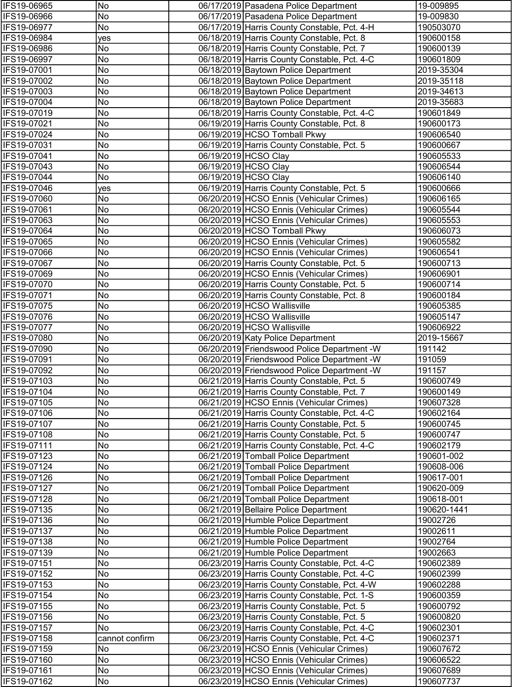| IFS19-06965                | No             | 06/17/2019 Pasadena Police Department                                                      | 19-009895              |
|----------------------------|----------------|--------------------------------------------------------------------------------------------|------------------------|
| IFS19-06966                | No             | 06/17/2019 Pasadena Police Department                                                      | 19-009830              |
| IFS19-06977                | No             | 06/17/2019 Harris County Constable, Pct. 4-H                                               | 190503070              |
| IFS19-06984                | yes            | 06/18/2019 Harris County Constable, Pct. 8                                                 | 190600158              |
| IFS19-06986                | No             | 06/18/2019 Harris County Constable, Pct. 7                                                 | 190600139              |
| IFS19-06997                | No             | 06/18/2019 Harris County Constable, Pct. 4-C                                               | 190601809              |
| IFS19-07001                | No             | 06/18/2019 Baytown Police Department                                                       | 2019-35304             |
| IFS19-07002                | No             | 06/18/2019 Baytown Police Department                                                       | 2019-35118             |
| IFS19-07003                | No             | 06/18/2019 Baytown Police Department                                                       | 2019-34613             |
| IFS19-07004                | No             | 06/18/2019 Baytown Police Department                                                       | 2019-35683             |
| IFS19-07019                | No             | 06/18/2019 Harris County Constable, Pct. 4-C                                               | 190601849              |
| IFS19-07021                | No             | 06/19/2019 Harris County Constable, Pct. 8                                                 | 190600173              |
| IFS19-07024                | No             | 06/19/2019 HCSO Tomball Pkwy                                                               | 190606540              |
| IFS19-07031                | No             | 06/19/2019 Harris County Constable, Pct. 5                                                 | 190600667              |
| IFS19-07041                | No             | 06/19/2019 HCSO Clay                                                                       | 190605533              |
| IFS19-07043                | No             | 06/19/2019 HCSO Clay                                                                       | 190606544              |
| IFS19-07044                | No             | 06/19/2019 HCSO Clay                                                                       | 190606140              |
| IFS19-07046                | yes            | 06/19/2019 Harris County Constable, Pct. 5                                                 | 190600666              |
| IFS19-07060                | No             | 06/20/2019 HCSO Ennis (Vehicular Crimes)                                                   | 190606165              |
| IFS19-07061                | No             | 06/20/2019 HCSO Ennis (Vehicular Crimes)                                                   | 190605544              |
| IFS19-07063                | No             | 06/20/2019 HCSO Ennis (Vehicular Crimes)                                                   | 190605553              |
| IFS19-07064                | No             | 06/20/2019 HCSO Tomball Pkwy                                                               | 190606073              |
| IFS19-07065                | No             | 06/20/2019 HCSO Ennis (Vehicular Crimes)                                                   | 190605582              |
| IFS19-07066                | No             | 06/20/2019 HCSO Ennis (Vehicular Crimes)                                                   | 190606541              |
| IFS19-07067                | No             | 06/20/2019 Harris County Constable, Pct. 5                                                 | 190600713              |
| IFS19-07069                | No             | 06/20/2019 HCSO Ennis (Vehicular Crimes)                                                   | 190606901              |
| IFS19-07070                | No             | 06/20/2019 Harris County Constable, Pct. 5                                                 | 190600714              |
| IFS19-07071                | No             | 06/20/2019 Harris County Constable, Pct. 8                                                 | 190600184              |
| IFS19-07075                | No             | 06/20/2019 HCSO Wallisville                                                                | 190605385              |
| IFS19-07076                | No             | 06/20/2019 HCSO Wallisville                                                                | 190605147              |
| IFS19-07077                | No             | 06/20/2019 HCSO Wallisville                                                                | 190606922              |
| IFS19-07080                | No             | 06/20/2019 Katy Police Department                                                          | 2019-15667             |
| IFS19-07090                | No             | 06/20/2019 Friendswood Police Department - W                                               | 191142                 |
| IFS19-07091                | No             | 06/20/2019 Friendswood Police Department - W                                               | 191059                 |
| IFS19-07092                | No             | 06/20/2019 Friendswood Police Department -W                                                | 191157                 |
| IFS19-07103                | No             | 06/21/2019 Harris County Constable, Pct. 5                                                 | 190600749              |
| IFS19-07104                | No<br>No       | 06/21/2019 Harris County Constable, Pct. 7                                                 | 190600149              |
| IFS19-07105                |                | 06/21/2019 HCSO Ennis (Vehicular Crimes)                                                   | 190607328              |
| IFS19-07106                | No             | 06/21/2019 Harris County Constable, Pct. 4-C                                               | 190602164              |
| IFS19-07107                | No<br>No       | 06/21/2019 Harris County Constable, Pct. 5                                                 | 190600745              |
| IFS19-07108<br>IFS19-07111 | No             | 06/21/2019 Harris County Constable, Pct. 5<br>06/21/2019 Harris County Constable, Pct. 4-C | 190600747<br>190602179 |
| IFS19-07123                | No             | 06/21/2019 Tomball Police Department                                                       | 190601-002             |
| IFS19-07124                | No             | 06/21/2019 Tomball Police Department                                                       | 190608-006             |
| IFS19-07126                | No             | 06/21/2019 Tomball Police Department                                                       | 190617-001             |
| IFS19-07127                | No             | 06/21/2019 Tomball Police Department                                                       | 190620-009             |
| IFS19-07128                | No             | 06/21/2019 Tomball Police Department                                                       | 190618-001             |
| IFS19-07135                | No             | 06/21/2019 Bellaire Police Department                                                      | 190620-1441            |
| IFS19-07136                | No             | 06/21/2019 Humble Police Department                                                        | 19002726               |
| IFS19-07137                | No             | 06/21/2019 Humble Police Department                                                        | 19002611               |
| IFS19-07138                | No             | 06/21/2019 Humble Police Department                                                        | 19002764               |
| IFS19-07139                | No             | 06/21/2019 Humble Police Department                                                        | 19002663               |
| IFS19-07151                | No             | 06/23/2019 Harris County Constable, Pct. 4-C                                               | 190602389              |
| IFS19-07152                | No             | 06/23/2019 Harris County Constable, Pct. 4-C                                               | 190602399              |
| IFS19-07153                | No             | 06/23/2019 Harris County Constable, Pct. 4-W                                               | 190602288              |
| IFS19-07154                | No             | 06/23/2019 Harris County Constable, Pct. 1-S                                               | 190600359              |
| IFS19-07155                | No             | 06/23/2019 Harris County Constable, Pct. 5                                                 | 190600792              |
| IFS19-07156                | No             | 06/23/2019 Harris County Constable, Pct. 5                                                 | 190600820              |
| IFS19-07157                | No             | 06/23/2019 Harris County Constable, Pct. 4-C                                               | 190602301              |
| IFS19-07158                | cannot confirm | 06/23/2019 Harris County Constable, Pct. 4-C                                               | 190602371              |
| IFS19-07159                | No             | 06/23/2019 HCSO Ennis (Vehicular Crimes)                                                   | 190607672              |
| IFS19-07160                | No             | 06/23/2019 HCSO Ennis (Vehicular Crimes)                                                   | 190606522              |
| IFS19-07161                | No             | 06/23/2019 HCSO Ennis (Vehicular Crimes)                                                   | 190607689              |
| IFS19-07162                | No             | 06/23/2019 HCSO Ennis (Vehicular Crimes)                                                   | 190607737              |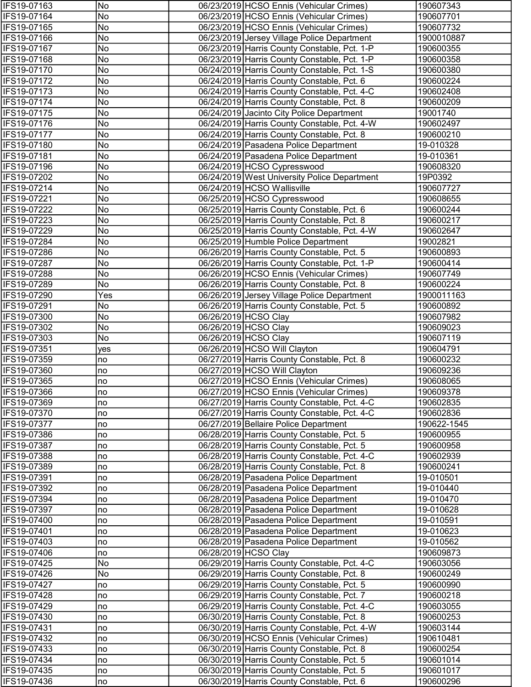| IFS19-07163                | No       | 06/23/2019 HCSO Ennis (Vehicular Crimes)                                                 | 190607343                |
|----------------------------|----------|------------------------------------------------------------------------------------------|--------------------------|
| IFS19-07164                | No       | 06/23/2019 HCSO Ennis (Vehicular Crimes)                                                 | 190607701                |
| IFS19-07165                | No       | 06/23/2019 HCSO Ennis (Vehicular Crimes)                                                 | 190607732                |
| IFS19-07166                | No       | 06/23/2019 Jersey Village Police Department                                              | 1900010887               |
| IFS19-07167                | No       | 06/23/2019 Harris County Constable, Pct. 1-P                                             | 190600355                |
| IFS19-07168                | No       | 06/23/2019 Harris County Constable, Pct. 1-P                                             | 190600358                |
| IFS19-07170                | No       | 06/24/2019 Harris County Constable, Pct. 1-S                                             | 190600380                |
| IFS19-07172                | No       | 06/24/2019 Harris County Constable, Pct. 6                                               | 190600224                |
| IFS19-07173                | No       | 06/24/2019 Harris County Constable, Pct. 4-C                                             | 190602408                |
| IFS19-07174                | No       | 06/24/2019 Harris County Constable, Pct. 8                                               | 190600209                |
| IFS19-07175                | No       | 06/24/2019 Jacinto City Police Department                                                | 19001740                 |
| IFS19-07176                | No       | 06/24/2019 Harris County Constable, Pct. 4-W                                             | 190602497                |
| IFS19-07177                | No       | 06/24/2019 Harris County Constable, Pct. 8                                               | 190600210                |
| IFS19-07180                | No       | 06/24/2019 Pasadena Police Department                                                    | 19-010328                |
| IFS19-07181                | No       | 06/24/2019 Pasadena Police Department                                                    | 19-010361                |
| IFS19-07196                | No       | 06/24/2019 HCSO Cypresswood                                                              | 190608320                |
| IFS19-07202                | No       | 06/24/2019 West University Police Department                                             | 19P0392                  |
| IFS19-07214                | No       | 06/24/2019 HCSO Wallisville                                                              | 190607727                |
| IFS19-07221                | No       | 06/25/2019 HCSO Cypresswood                                                              | 190608655                |
| IFS19-07222                | No       | 06/25/2019 Harris County Constable, Pct. 6                                               | 190600244                |
| IFS19-07223                | No       | 06/25/2019 Harris County Constable, Pct. 8                                               | 190600217                |
| IFS19-07229                | No       | 06/25/2019 Harris County Constable, Pct. 4-W                                             | 190602647                |
| IFS19-07284                | No       | 06/25/2019 Humble Police Department                                                      | 19002821                 |
| IFS19-07286                | No       | 06/26/2019 Harris County Constable, Pct. 5                                               | 190600893                |
| IFS19-07287                | No       | 06/26/2019 Harris County Constable, Pct. 1-P                                             | 190600414                |
| IFS19-07288                | No       | 06/26/2019 HCSO Ennis (Vehicular Crimes)                                                 | 190607749                |
| IFS19-07289                | No       | 06/26/2019 Harris County Constable, Pct. 8                                               | 190600224                |
| IFS19-07290                | Yes      | 06/26/2019 Jersey Village Police Department                                              | 1900011163               |
| IFS19-07291                | No       | 06/26/2019 Harris County Constable, Pct. 5                                               | 190600892                |
| IFS19-07300                | No       | 06/26/2019 HCSO Clay                                                                     | 190607982                |
| IFS19-07302                | No       | 06/26/2019 HCSO Clay                                                                     | 190609023                |
| IFS19-07303                | No       | 06/26/2019 HCSO Clay                                                                     | 190607119                |
| IFS19-07351                | yes      | 06/26/2019 HCSO Will Clayton                                                             | 190604791                |
| IFS19-07359                | no       | 06/27/2019 Harris County Constable, Pct. 8                                               | 190600232                |
| IFS19-07360                | no       | 06/27/2019 HCSO Will Clayton                                                             | 190609236                |
| IFS19-07365                | no       | 06/27/2019 HCSO Ennis (Vehicular Crimes)                                                 | 190608065                |
| <b>IFS19-07366</b>         | no       | 06/27/2019 HCSO Ennis (Vehicular Crimes)                                                 | 190609378                |
| IFS19-07369                | no       | 06/27/2019 Harris County Constable, Pct. 4-C                                             | 190602835                |
| IFS19-07370                | no       | 06/27/2019 Harris County Constable, Pct. 4-C                                             | 190602836                |
| IFS19-07377<br>IFS19-07386 | no       | 06/27/2019 Bellaire Police Department                                                    | 190622-1545<br>190600955 |
| IFS19-07387                | no       | 06/28/2019 Harris County Constable, Pct. 5<br>06/28/2019 Harris County Constable, Pct. 5 | 190600958                |
| IFS19-07388                | no       | 06/28/2019 Harris County Constable, Pct. 4-C                                             | 190602939                |
| IFS19-07389                | no<br>no | 06/28/2019 Harris County Constable, Pct. 8                                               | 190600241                |
| IFS19-07391                | no       | 06/28/2019 Pasadena Police Department                                                    | 19-010501                |
| IFS19-07392                | no       | 06/28/2019 Pasadena Police Department                                                    | 19-010440                |
| IFS19-07394                | no       | 06/28/2019 Pasadena Police Department                                                    | 19-010470                |
| IFS19-07397                | no       | 06/28/2019 Pasadena Police Department                                                    | 19-010628                |
| IFS19-07400                | no       | 06/28/2019 Pasadena Police Department                                                    | 19-010591                |
| IFS19-07401                | no       | 06/28/2019 Pasadena Police Department                                                    | 19-010623                |
| IFS19-07403                | no       | 06/28/2019 Pasadena Police Department                                                    | 19-010562                |
| IFS19-07406                | no       | 06/28/2019 HCSO Clay                                                                     | 190609873                |
| IFS19-07425                | No       | 06/29/2019 Harris County Constable, Pct. 4-C                                             | 190603056                |
| IFS19-07426                | No       | 06/29/2019 Harris County Constable, Pct. 8                                               | 190600249                |
| IFS19-07427                | no       | 06/29/2019 Harris County Constable, Pct. 5                                               | 190600990                |
| IFS19-07428                | no       | 06/29/2019 Harris County Constable, Pct. 7                                               | 190600218                |
| IFS19-07429                | no       | 06/29/2019 Harris County Constable, Pct. 4-C                                             | 190603055                |
| IFS19-07430                | no       | 06/30/2019 Harris County Constable, Pct. 8                                               | 190600253                |
| IFS19-07431                | no       | 06/30/2019 Harris County Constable, Pct. 4-W                                             | 190603144                |
| IFS19-07432                | no       | 06/30/2019 HCSO Ennis (Vehicular Crimes)                                                 | 190610481                |
| IFS19-07433                | no       | 06/30/2019 Harris County Constable, Pct. 8                                               | 190600254                |
| IFS19-07434                | no       | 06/30/2019 Harris County Constable, Pct. 5                                               | 190601014                |
| IFS19-07435                | no       | 06/30/2019 Harris County Constable, Pct. 5                                               | 190601017                |
| IFS19-07436                | no       | 06/30/2019 Harris County Constable, Pct. 6                                               | 190600296                |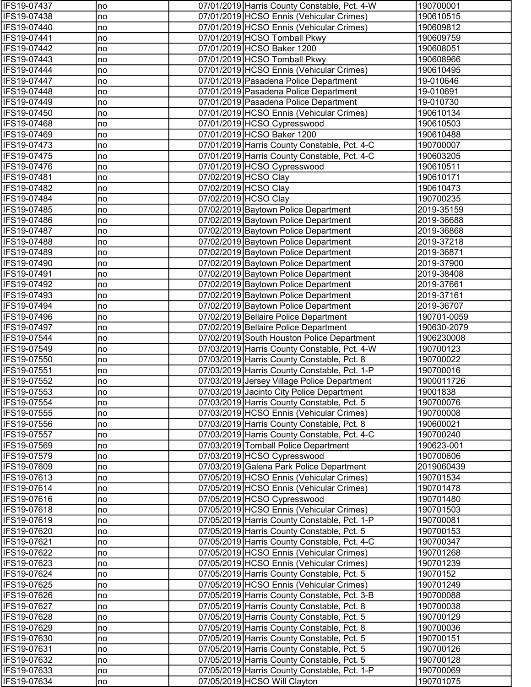| IFS19-07437        | no | 07/01/2019 Harris County Constable, Pct. 4-W | 190700001   |
|--------------------|----|----------------------------------------------|-------------|
| IFS19-07438        | no | 07/01/2019 HCSO Ennis (Vehicular Crimes)     | 190610515   |
| IFS19-07440        | no | 07/01/2019 HCSO Ennis (Vehicular Crimes)     | 190609812   |
| IFS19-07441        | no | 07/01/2019 HCSO Tomball Pkwy                 | 190609759   |
| IFS19-07442        | no | 07/01/2019 HCSO Baker 1200                   | 190608051   |
| IFS19-07443        | no | 07/01/2019 HCSO Tomball Pkwy                 | 190608966   |
| IFS19-07444        | no | 07/01/2019 HCSO Ennis (Vehicular Crimes)     | 190610495   |
| IFS19-07447        | no | 07/01/2019 Pasadena Police Department        | 19-010646   |
| IFS19-07448        | no | 07/01/2019 Pasadena Police Department        | 19-010691   |
| IFS19-07449        | no | 07/01/2019 Pasadena Police Department        | 19-010730   |
| IFS19-07450        | no | 07/01/2019 HCSO Ennis (Vehicular Crimes)     | 190610134   |
| IFS19-07468        | no | 07/01/2019 HCSO Cypresswood                  | 190610503   |
| IFS19-07469        | no | 07/01/2019 HCSO Baker 1200                   | 190610488   |
| IFS19-07473        | no | 07/01/2019 Harris County Constable, Pct. 4-C | 190700007   |
| IFS19-07475        | no | 07/01/2019 Harris County Constable, Pct. 4-C | 190603205   |
| IFS19-07476        | no | 07/01/2019 HCSO Cypresswood                  | 190610511   |
| IFS19-07481        | no | 07/02/2019 HCSO Clay                         | 190610171   |
| IFS19-07482        | no | 07/02/2019 HCSO Clay                         | 190610473   |
| IFS19-07484        | no | 07/02/2019 HCSO Clay                         | 190700235   |
| IFS19-07485        | no | 07/02/2019 Baytown Police Department         | 2019-35159  |
| IFS19-07486        | no | 07/02/2019 Baytown Police Department         | 2019-36688  |
| IFS19-07487        | no | 07/02/2019 Baytown Police Department         | 2019-36868  |
| IFS19-07488        | no | 07/02/2019 Baytown Police Department         | 2019-37218  |
| IFS19-07489        | no | 07/02/2019 Baytown Police Department         | 2019-36871  |
| IFS19-07490        | no | 07/02/2019 Baytown Police Department         | 2019-37900  |
| IFS19-07491        | no | 07/02/2019 Baytown Police Department         | 2019-38408  |
| IFS19-07492        | no | 07/02/2019 Baytown Police Department         | 2019-37661  |
| IFS19-07493        | no | 07/02/2019 Baytown Police Department         | 2019-37161  |
| IFS19-07494        | no | 07/02/2019 Baytown Police Department         | 2019-36707  |
| IFS19-07496        | no | 07/02/2019 Bellaire Police Department        | 190701-0059 |
| IFS19-07497        | no | 07/02/2019 Bellaire Police Department        | 190630-2079 |
| IFS19-07544        | no | 07/02/2019 South Houston Police Department   | 1906230008  |
| IFS19-07549        | no | 07/03/2019 Harris County Constable, Pct. 4-W | 190700123   |
| IFS19-07550        | no | 07/03/2019 Harris County Constable, Pct. 8   | 190700022   |
| IFS19-07551        | no | 07/03/2019 Harris County Constable, Pct. 1-P | 190700016   |
| IFS19-07552        | no | 07/03/2019 Jersey Village Police Department  | 1900011726  |
| <b>IFS19-07553</b> | no | 07/03/2019 Jacinto City Police Department    | 19001838    |
| IFS19-07554        | no | 07/03/2019 Harris County Constable, Pct. 5   | 190700076   |
| IFS19-07555        | no | 07/03/2019 HCSO Ennis (Vehicular Crimes)     | 190700008   |
| IFS19-07556        | no | 07/03/2019 Harris County Constable, Pct. 8   | 190600021   |
| IFS19-07557        | no | 07/03/2019 Harris County Constable, Pct. 4-C | 190700240   |
| IFS19-07569        | no | 07/03/2019 Tomball Police Department         | 190623-001  |
| IFS19-07579        | no | 07/03/2019 HCSO Cypresswood                  | 190700606   |
| IFS19-07609        | no | 07/03/2019 Galena Park Police Department     | 2019060439  |
| IFS19-07613        | no | 07/05/2019 HCSO Ennis (Vehicular Crimes)     | 190701534   |
| IFS19-07614        | no | 07/05/2019 HCSO Ennis (Vehicular Crimes)     | 190701478   |
| IFS19-07616        | no | 07/05/2019 HCSO Cypresswood                  | 190701480   |
| IFS19-07618        | no | 07/05/2019 HCSO Ennis (Vehicular Crimes)     | 190701503   |
| IFS19-07619        | no | 07/05/2019 Harris County Constable, Pct. 1-P | 190700081   |
| IFS19-07620        | no | 07/05/2019 Harris County Constable, Pct. 5   | 190700153   |
| IFS19-07621        | no | 07/05/2019 Harris County Constable, Pct. 4-C | 190700347   |
| IFS19-07622        | no | 07/05/2019 HCSO Ennis (Vehicular Crimes)     | 190701268   |
| IFS19-07623        | no | 07/05/2019 HCSO Ennis (Vehicular Crimes)     | 190701239   |
| IFS19-07624        | no | 07/05/2019 Harris County Constable, Pct. 5   | 19070152    |
| IFS19-07625        | no | 07/05/2019 HCSO Ennis (Vehicular Crimes)     | 190701249   |
| IFS19-07626        | no | 07/05/2019 Harris County Constable, Pct. 3-B | 190700088   |
| IFS19-07627        | no | 07/05/2019 Harris County Constable, Pct. 8   | 190700038   |
| IFS19-07628        | no | 07/05/2019 Harris County Constable, Pct. 5   | 190700129   |
| IFS19-07629        | no | 07/05/2019 Harris County Constable, Pct. 8   | 190700036   |
| IFS19-07630        | no | 07/05/2019 Harris County Constable, Pct. 5   | 190700151   |
| IFS19-07631        | no | 07/05/2019 Harris County Constable, Pct. 5   | 190700126   |
| IFS19-07632        | no | 07/05/2019 Harris County Constable, Pct. 5   | 190700128   |
| IFS19-07633        | no | 07/05/2019 Harris County Constable, Pct. 1-P | 190700069   |
| IFS19-07634        | no | 07/05/2019 HCSO Will Clayton                 | 190701075   |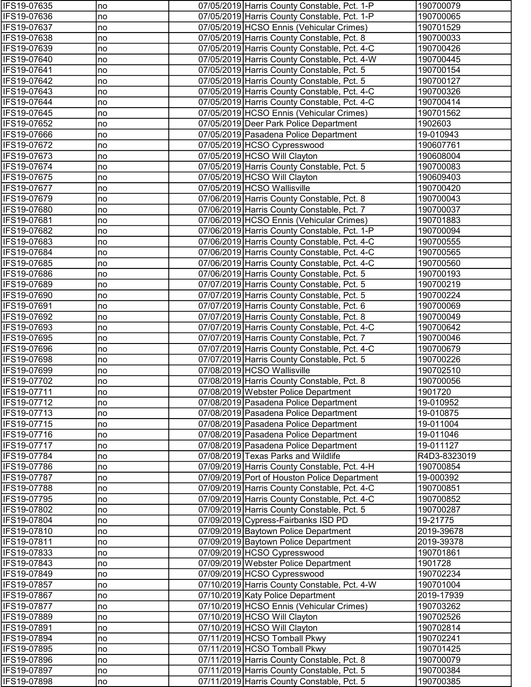| IFS19-07635 | no  | 07/05/2019 Harris County Constable, Pct. 1-P | 190700079    |
|-------------|-----|----------------------------------------------|--------------|
| IFS19-07636 | no  | 07/05/2019 Harris County Constable, Pct. 1-P | 190700065    |
| IFS19-07637 | no  | 07/05/2019 HCSO Ennis (Vehicular Crimes)     | 190701529    |
| IFS19-07638 | no  | 07/05/2019 Harris County Constable, Pct. 8   | 190700033    |
| IFS19-07639 | no  | 07/05/2019 Harris County Constable, Pct. 4-C | 190700426    |
| IFS19-07640 | no  | 07/05/2019 Harris County Constable, Pct. 4-W | 190700445    |
| IFS19-07641 | no  | 07/05/2019 Harris County Constable, Pct. 5   | 190700154    |
| IFS19-07642 | no  | 07/05/2019 Harris County Constable, Pct. 5   | 190700127    |
| IFS19-07643 | no  | 07/05/2019 Harris County Constable, Pct. 4-C | 190700326    |
| IFS19-07644 | no  | 07/05/2019 Harris County Constable, Pct. 4-C | 190700414    |
| IFS19-07645 | no  | 07/05/2019 HCSO Ennis (Vehicular Crimes)     | 190701562    |
| IFS19-07652 | no  | 07/05/2019 Deer Park Police Department       | 1902603      |
| IFS19-07666 | no  | 07/05/2019 Pasadena Police Department        | 19-010943    |
| IFS19-07672 | no  | 07/05/2019 HCSO Cypresswood                  | 190607761    |
| IFS19-07673 | no  | 07/05/2019 HCSO Will Clayton                 | 190608004    |
| IFS19-07674 | no  | 07/05/2019 Harris County Constable, Pct. 5   | 190700083    |
| IFS19-07675 | no  | 07/05/2019 HCSO Will Clayton                 | 190609403    |
| IFS19-07677 | no  | 07/05/2019 HCSO Wallisville                  | 190700420    |
| IFS19-07679 | no  | 07/06/2019 Harris County Constable, Pct. 8   | 190700043    |
| IFS19-07680 | no  | 07/06/2019 Harris County Constable, Pct. 7   | 190700037    |
| IFS19-07681 | no  | 07/06/2019 HCSO Ennis (Vehicular Crimes)     | 190701883    |
| IFS19-07682 | no  | 07/06/2019 Harris County Constable, Pct. 1-P | 190700094    |
| IFS19-07683 | no  | 07/06/2019 Harris County Constable, Pct. 4-C | 190700555    |
| IFS19-07684 | no  | 07/06/2019 Harris County Constable, Pct. 4-C | 190700565    |
| IFS19-07685 | no  | 07/06/2019 Harris County Constable, Pct. 4-C | 190700560    |
| IFS19-07686 | no  | 07/06/2019 Harris County Constable, Pct. 5   | 190700193    |
| IFS19-07689 | Ino | 07/07/2019 Harris County Constable, Pct. 5   | 190700219    |
| IFS19-07690 | Ino | 07/07/2019 Harris County Constable, Pct. 5   | 190700224    |
| IFS19-07691 | no  | 07/07/2019 Harris County Constable, Pct. 6   | 190700069    |
| IFS19-07692 | no  | 07/07/2019 Harris County Constable, Pct. 8   | 190700049    |
| IFS19-07693 | no  | 07/07/2019 Harris County Constable, Pct. 4-C | 190700642    |
| IFS19-07695 | no  | 07/07/2019 Harris County Constable, Pct. 7   | 190700046    |
| IFS19-07696 | no  | 07/07/2019 Harris County Constable, Pct. 4-C | 190700679    |
| IFS19-07698 | no  | 07/07/2019 Harris County Constable, Pct. 5   | 190700226    |
| IFS19-07699 | no  | 07/08/2019 HCSO Wallisville                  | 190702510    |
| IFS19-07702 | no  | 07/08/2019 Harris County Constable, Pct. 8   | 190700056    |
| IFS19-07711 | no  | 07/08/2019 Webster Police Department         | 1901720      |
| IFS19-07712 | no  | 07/08/2019 Pasadena Police Department        | 19-010952    |
| IFS19-07713 | no  | 07/08/2019 Pasadena Police Department        | 19-010875    |
| IFS19-07715 | no  | 07/08/2019 Pasadena Police Department        | 19-011004    |
| IFS19-07716 | no  | 07/08/2019 Pasadena Police Department        | 19-011046    |
| IFS19-07717 | no  | 07/08/2019 Pasadena Police Department        | 19-011127    |
| IFS19-07784 | no  | 07/08/2019 Texas Parks and Wildlife          | R4D3-8323019 |
| IFS19-07786 | Ino | 07/09/2019 Harris County Constable, Pct. 4-H | 190700854    |
| IFS19-07787 | no  | 07/09/2019 Port of Houston Police Department | 19-000392    |
| IFS19-07788 | no  | 07/09/2019 Harris County Constable, Pct. 4-C | 190700851    |
| IFS19-07795 | no  | 07/09/2019 Harris County Constable, Pct. 4-C | 190700852    |
| IFS19-07802 | no  | 07/09/2019 Harris County Constable, Pct. 5   | 190700287    |
| IFS19-07804 | no  | 07/09/2019 Cypress-Fairbanks ISD PD          | 19-21775     |
| IFS19-07810 | no  | 07/09/2019 Baytown Police Department         | 2019-39678   |
| IFS19-07811 | no  | 07/09/2019 Baytown Police Department         | 2019-39378   |
| IFS19-07833 | no  | 07/09/2019 HCSO Cypresswood                  | 190701861    |
| IFS19-07843 | no  | 07/09/2019 Webster Police Department         | 1901728      |
| IFS19-07849 | no  | 07/09/2019 HCSO Cypresswood                  | 190702234    |
| IFS19-07857 | no  | 07/10/2019 Harris County Constable, Pct. 4-W | 190701004    |
| IFS19-07867 | no  | 07/10/2019 Katy Police Department            | 2019-17939   |
| IFS19-07877 | no  | 07/10/2019 HCSO Ennis (Vehicular Crimes)     | 190703262    |
| IFS19-07889 | no  | 07/10/2019 HCSO Will Clayton                 | 190702526    |
| IFS19-07891 | no  | 07/10/2019 HCSO Will Clayton                 | 190702814    |
| IFS19-07894 | no  | 07/11/2019 HCSO Tomball Pkwy                 | 190702241    |
| IFS19-07895 | no  | 07/11/2019 HCSO Tomball Pkwy                 | 190701425    |
| IFS19-07896 | no  | 07/11/2019 Harris County Constable, Pct. 8   | 190700079    |
| IFS19-07897 | no  | 07/11/2019 Harris County Constable, Pct. 5   | 190700384    |
| IFS19-07898 | no  | 07/11/2019 Harris County Constable, Pct. 5   | 190700385    |